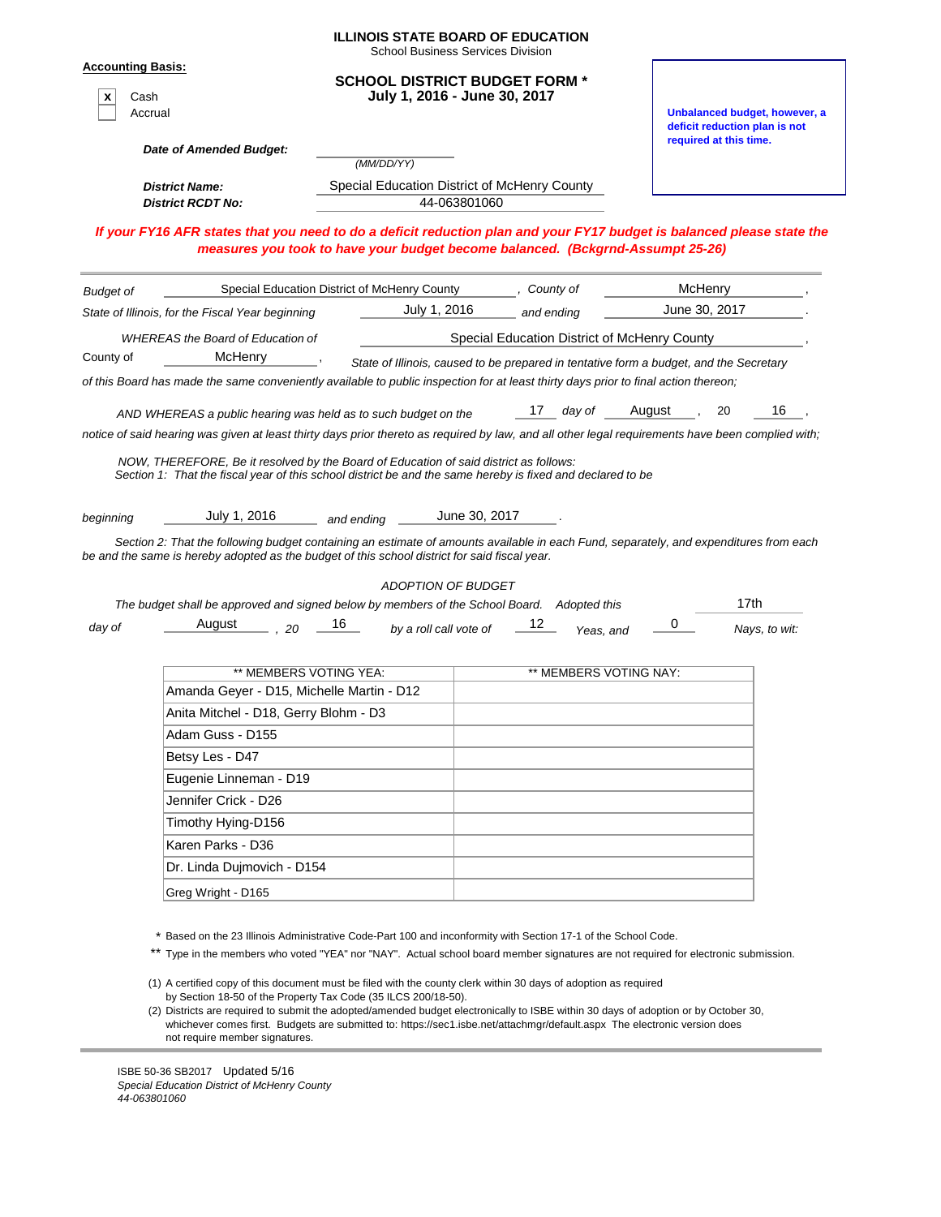|                                                  |                                                                                                                                                                                                                                                                                                                                                          |            | <b>School Business Services Division</b>                                               |                                              |                        |        |                        |      |                                                                |
|--------------------------------------------------|----------------------------------------------------------------------------------------------------------------------------------------------------------------------------------------------------------------------------------------------------------------------------------------------------------------------------------------------------------|------------|----------------------------------------------------------------------------------------|----------------------------------------------|------------------------|--------|------------------------|------|----------------------------------------------------------------|
| <b>Accounting Basis:</b><br>X<br>Cash<br>Accrual |                                                                                                                                                                                                                                                                                                                                                          |            | <b>SCHOOL DISTRICT BUDGET FORM *</b><br>July 1, 2016 - June 30, 2017                   |                                              |                        |        |                        |      | Unbalanced budget, however, a<br>deficit reduction plan is not |
|                                                  | Date of Amended Budget:                                                                                                                                                                                                                                                                                                                                  |            |                                                                                        |                                              |                        |        | required at this time. |      |                                                                |
|                                                  |                                                                                                                                                                                                                                                                                                                                                          |            | (MM/DD/YY)                                                                             |                                              |                        |        |                        |      |                                                                |
|                                                  | <b>District Name:</b>                                                                                                                                                                                                                                                                                                                                    |            | Special Education District of McHenry County                                           |                                              |                        |        |                        |      |                                                                |
|                                                  | <b>District RCDT No:</b>                                                                                                                                                                                                                                                                                                                                 |            | 44-063801060                                                                           |                                              |                        |        |                        |      |                                                                |
|                                                  | If your FY16 AFR states that you need to do a deficit reduction plan and your FY17 budget is balanced please state the<br>measures you took to have your budget become balanced. (Bckgrnd-Assumpt 25-26)                                                                                                                                                 |            |                                                                                        |                                              |                        |        |                        |      |                                                                |
| <b>Budget of</b>                                 | Special Education District of McHenry County                                                                                                                                                                                                                                                                                                             |            |                                                                                        | , County of                                  |                        |        | McHenry                |      |                                                                |
|                                                  | State of Illinois, for the Fiscal Year beginning                                                                                                                                                                                                                                                                                                         |            | July 1, 2016                                                                           |                                              | and ending             |        | June 30, 2017          |      |                                                                |
|                                                  | <b>WHEREAS the Board of Education of</b>                                                                                                                                                                                                                                                                                                                 |            |                                                                                        | Special Education District of McHenry County |                        |        |                        |      |                                                                |
| County of                                        | McHenry                                                                                                                                                                                                                                                                                                                                                  |            | State of Illinois, caused to be prepared in tentative form a budget, and the Secretary |                                              |                        |        |                        |      |                                                                |
|                                                  | of this Board has made the same conveniently available to public inspection for at least thirty days prior to final action thereon;                                                                                                                                                                                                                      |            |                                                                                        |                                              |                        |        |                        |      |                                                                |
|                                                  |                                                                                                                                                                                                                                                                                                                                                          |            |                                                                                        |                                              |                        |        |                        |      |                                                                |
|                                                  | AND WHEREAS a public hearing was held as to such budget on the                                                                                                                                                                                                                                                                                           |            |                                                                                        | 17.                                          | day of                 | August |                        | 20   | 16                                                             |
|                                                  | notice of said hearing was given at least thirty days prior thereto as required by law, and all other legal requirements have been complied with;<br>NOW, THEREFORE, Be it resolved by the Board of Education of said district as follows:<br>Section 1: That the fiscal year of this school district be and the same hereby is fixed and declared to be |            |                                                                                        |                                              |                        |        |                        |      |                                                                |
| beginning                                        | July 1, 2016<br>Section 2: That the following budget containing an estimate of amounts available in each Fund, separately, and expenditures from each<br>be and the same is hereby adopted as the budget of this school district for said fiscal year.                                                                                                   | and ending |                                                                                        | June 30, 2017                                |                        |        |                        |      |                                                                |
|                                                  | The budget shall be approved and signed below by members of the School Board. Adopted this                                                                                                                                                                                                                                                               |            | ADOPTION OF BUDGET                                                                     |                                              |                        |        |                        | 17th |                                                                |
| day of                                           | August<br>.20                                                                                                                                                                                                                                                                                                                                            | 16         | by a roll call vote of                                                                 | 12                                           | Yeas, and              | 0      |                        |      | Nays, to wit:                                                  |
|                                                  | ** MEMBERS VOTING YEA:                                                                                                                                                                                                                                                                                                                                   |            |                                                                                        |                                              | ** MEMBERS VOTING NAY: |        |                        |      |                                                                |
|                                                  | Amanda Geyer - D15, Michelle Martin - D12                                                                                                                                                                                                                                                                                                                |            |                                                                                        |                                              |                        |        |                        |      |                                                                |
|                                                  | Anita Mitchel - D18, Gerry Blohm - D3                                                                                                                                                                                                                                                                                                                    |            |                                                                                        |                                              |                        |        |                        |      |                                                                |
|                                                  | Adam Guss - D155                                                                                                                                                                                                                                                                                                                                         |            |                                                                                        |                                              |                        |        |                        |      |                                                                |
|                                                  | Betsy Les - D47                                                                                                                                                                                                                                                                                                                                          |            |                                                                                        |                                              |                        |        |                        |      |                                                                |
|                                                  | Eugenie Linneman - D19                                                                                                                                                                                                                                                                                                                                   |            |                                                                                        |                                              |                        |        |                        |      |                                                                |
|                                                  | Jennifer Crick - D26                                                                                                                                                                                                                                                                                                                                     |            |                                                                                        |                                              |                        |        |                        |      |                                                                |
|                                                  | Timothy Hying-D156                                                                                                                                                                                                                                                                                                                                       |            |                                                                                        |                                              |                        |        |                        |      |                                                                |
|                                                  | Karen Parks - D36                                                                                                                                                                                                                                                                                                                                        |            |                                                                                        |                                              |                        |        |                        |      |                                                                |
|                                                  | Dr. Linda Dujmovich - D154                                                                                                                                                                                                                                                                                                                               |            |                                                                                        |                                              |                        |        |                        |      |                                                                |

(1) A certified copy of this document must be filed with the county clerk within 30 days of adoption as required by Section 18-50 of the Property Tax Code (35 ILCS 200/18-50).

(2) Districts are required to submit the adopted/amended budget electronically to ISBE within 30 days of adoption or by October 30, whichever comes first. Budgets are submitted to: https://sec1.isbe.net/attachmgr/default.aspx The electronic version does not require member signatures.

ISBE 50-36 SB2017 Updated 5/16 *Special Education District of McHenry County 44-063801060*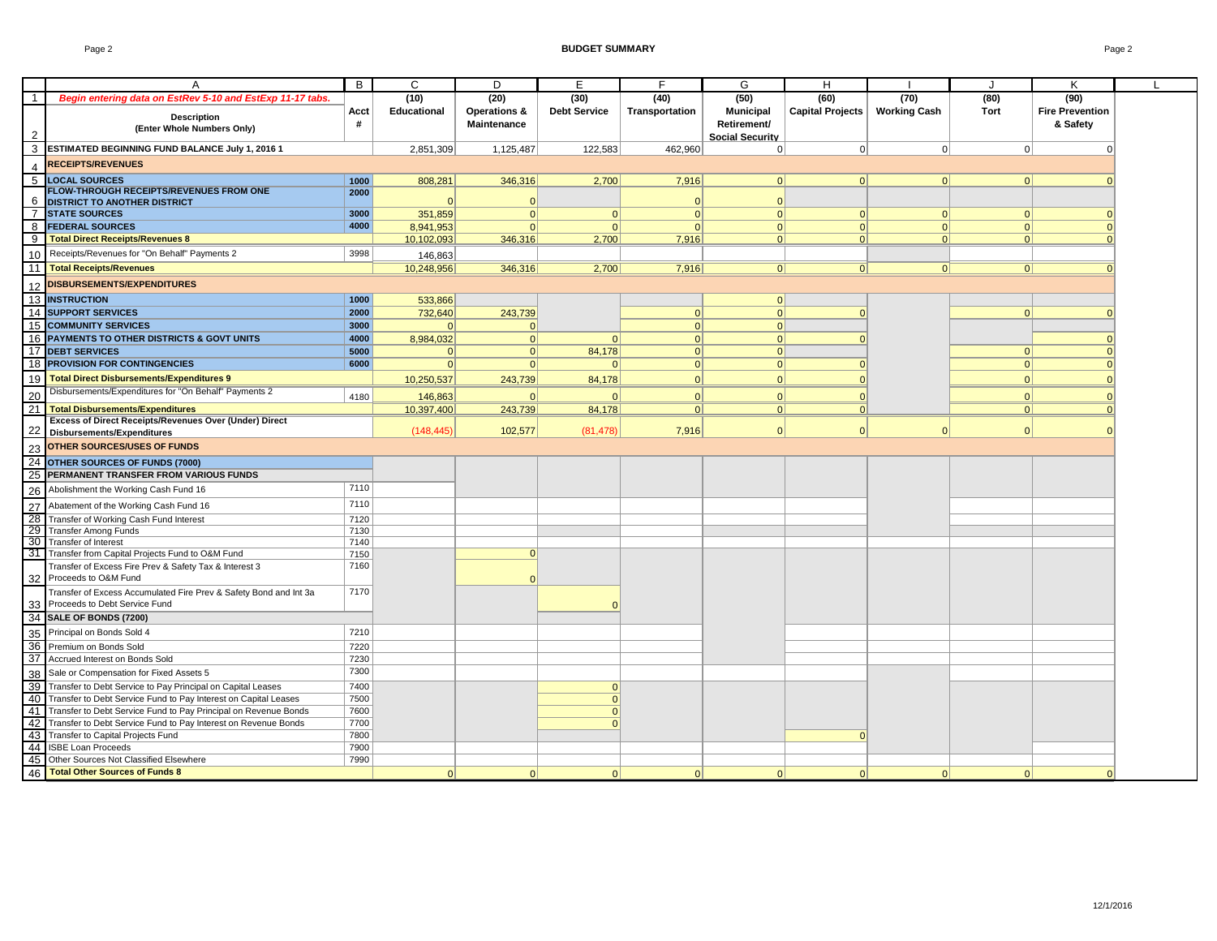|                | A                                                                                                                                        | B            | C           | D                           | E                    | F                    | G                                                         | H                |                     | $\cdot$     | Κ                                  |  |
|----------------|------------------------------------------------------------------------------------------------------------------------------------------|--------------|-------------|-----------------------------|----------------------|----------------------|-----------------------------------------------------------|------------------|---------------------|-------------|------------------------------------|--|
| -1             | Begin entering data on EstRev 5-10 and EstExp 11-17 tabs.                                                                                |              | (10)        | (20)                        | (30)                 | (40)                 | (50)                                                      | (60)             | (70)                | (80)        | (90)                               |  |
|                | <b>Description</b><br>(Enter Whole Numbers Only)                                                                                         | Acct<br>#    | Educational | Operations &<br>Maintenance | <b>Debt Service</b>  | Transportation       | <b>Municipal</b><br>Retirement/<br><b>Social Security</b> | Capital Projects | <b>Working Cash</b> | <b>Tort</b> | <b>Fire Prevention</b><br>& Safety |  |
|                | ESTIMATED BEGINNING FUND BALANCE July 1, 2016 1                                                                                          |              | 2,851,309   | 1,125,487                   | 122,583              | 462,960              | 0                                                         | $\mathbf 0$      | 0                   | 0           |                                    |  |
|                | <b>RECEIPTS/REVENUES</b>                                                                                                                 |              |             |                             |                      |                      |                                                           |                  |                     |             |                                    |  |
|                | <b>LOCAL SOURCES</b>                                                                                                                     |              |             |                             |                      |                      |                                                           |                  |                     |             |                                    |  |
| $\overline{5}$ | <b>FLOW-THROUGH RECEIPTS/REVENUES FROM ONE</b>                                                                                           | 1000<br>2000 | 808,281     | 346,316                     | 2,700                | 7,916                | 0                                                         | 0                | $\Omega$            | 0           |                                    |  |
| 6              | DISTRICT TO ANOTHER DISTRICT                                                                                                             |              | $\Omega$    | $\overline{0}$              |                      | $\Omega$             | 0                                                         |                  |                     |             |                                    |  |
| $\overline{7}$ | <b>STATE SOURCES</b>                                                                                                                     | 3000         | 351,859     | $\Omega$                    | $\Omega$             | 0                    | 0                                                         | 0                | $\Omega$            | 0           |                                    |  |
| 8              | <b>FEDERAL SOURCES</b>                                                                                                                   | 4000         | 8,941,953   | $\Omega$                    | $\Omega$             | $\Omega$             | $\Omega$                                                  | $\vert$ 0        | $\Omega$            | 0           |                                    |  |
| -9             | <b>Total Direct Receipts/Revenues 8</b>                                                                                                  |              | 10,102,093  | 346,316                     | 2,700                | 7,916                | 0                                                         | $\Omega$         | 0                   | 0           |                                    |  |
| 10             | Receipts/Revenues for "On Behalf" Payments 2                                                                                             | 3998         | 146,863     |                             |                      |                      |                                                           |                  |                     |             |                                    |  |
| 11             | <b>Total Receipts/Revenues</b>                                                                                                           |              | 10,248,956  | 346,316                     | 2,700                | 7,916                | 0                                                         | 0                | 0                   | 0           |                                    |  |
| 12             | <b>DISBURSEMENTS/EXPENDITURES</b>                                                                                                        |              |             |                             |                      |                      |                                                           |                  |                     |             |                                    |  |
|                | 13 INSTRUCTION                                                                                                                           | 1000         | 533,866     |                             |                      |                      | 0                                                         |                  |                     |             |                                    |  |
| 14             | <b>SUPPORT SERVICES</b>                                                                                                                  | 2000         | 732,640     | 243,739                     |                      | 0                    | 0                                                         | $\Omega$         |                     | 0           |                                    |  |
|                | <b>15 COMMUNITY SERVICES</b>                                                                                                             | 3000         | $\Omega$    | $\Omega$                    |                      | 0                    | $\Omega$                                                  |                  |                     |             |                                    |  |
|                | 16 PAYMENTS TO OTHER DISTRICTS & GOVT UNITS                                                                                              | 4000         | 8,984,032   | 0                           | $\Omega$             | 0                    | 0                                                         | $\Omega$         |                     |             |                                    |  |
| 17             | <b>DEBT SERVICES</b>                                                                                                                     | 5000         | $\Omega$    | $\Omega$                    | 84,178               | $\Omega$             | 0                                                         |                  |                     | 0           |                                    |  |
| 18             | <b>PROVISION FOR CONTINGENCIES</b>                                                                                                       | 6000         | 0           | $\Omega$                    | $\Omega$             | 0                    | 0                                                         | $\Omega$         |                     | 0           |                                    |  |
| 19             | <b>Total Direct Disbursements/Expenditures 9</b>                                                                                         |              | 10,250,537  | 243,739                     | 84,178               | $\Omega$             | $\Omega$                                                  | $\Omega$         |                     | 0           |                                    |  |
|                | Disbursements/Expenditures for "On Behalf" Payments 2                                                                                    |              |             |                             |                      |                      |                                                           |                  |                     |             |                                    |  |
| 20             | <b>Total Disbursements/Expenditures</b>                                                                                                  | 4180         | 146,863     | $\Omega$                    |                      | $\Omega$<br>$\Omega$ | $\Omega$<br> 0                                            | $\Omega$<br> 0   |                     | 0 <br> 0    |                                    |  |
| 21             | Excess of Direct Receipts/Revenues Over (Under) Direct                                                                                   |              | 10,397,400  | 243,739                     | 84,178               |                      |                                                           |                  |                     |             |                                    |  |
| 22             | Disbursements/Expenditures                                                                                                               |              | (148, 445)  | 102,577                     | (81, 478)            | 7,916                | 0                                                         | 0                | $\Omega$            | 0           |                                    |  |
| 23             | <b>OTHER SOURCES/USES OF FUNDS</b>                                                                                                       |              |             |                             |                      |                      |                                                           |                  |                     |             |                                    |  |
|                | 24 OTHER SOURCES OF FUNDS (7000)                                                                                                         |              |             |                             |                      |                      |                                                           |                  |                     |             |                                    |  |
| 25             | PERMANENT TRANSFER FROM VARIOUS FUNDS                                                                                                    |              |             |                             |                      |                      |                                                           |                  |                     |             |                                    |  |
| 26             | Abolishment the Working Cash Fund 16                                                                                                     | 7110         |             |                             |                      |                      |                                                           |                  |                     |             |                                    |  |
|                |                                                                                                                                          | 7110         |             |                             |                      |                      |                                                           |                  |                     |             |                                    |  |
| 27             | Abatement of the Working Cash Fund 16                                                                                                    |              |             |                             |                      |                      |                                                           |                  |                     |             |                                    |  |
|                | 28 Transfer of Working Cash Fund Interest<br>29 Transfer Among Funds                                                                     | 7120<br>7130 |             |                             |                      |                      |                                                           |                  |                     |             |                                    |  |
|                | 30 Transfer of Interest                                                                                                                  | 7140         |             |                             |                      |                      |                                                           |                  |                     |             |                                    |  |
|                | 31 Transfer from Capital Projects Fund to O&M Fund                                                                                       | 7150         |             | 0                           |                      |                      |                                                           |                  |                     |             |                                    |  |
| 32             | Transfer of Excess Fire Prev & Safety Tax & Interest 3<br>Proceeds to O&M Fund                                                           | 7160         |             | $\Omega$                    |                      |                      |                                                           |                  |                     |             |                                    |  |
|                | Transfer of Excess Accumulated Fire Prev & Safety Bond and Int 3a<br>Proceeds to Debt Service Fund                                       | 7170         |             |                             |                      |                      |                                                           |                  |                     |             |                                    |  |
| 33<br>34       | SALE OF BONDS (7200)                                                                                                                     |              |             |                             |                      |                      |                                                           |                  |                     |             |                                    |  |
|                |                                                                                                                                          |              |             |                             |                      |                      |                                                           |                  |                     |             |                                    |  |
| 35             | Principal on Bonds Sold 4                                                                                                                | 7210         |             |                             |                      |                      |                                                           |                  |                     |             |                                    |  |
|                | 36 Premium on Bonds Sold<br>37 Accrued Interest on Bonds Sold                                                                            | 7220         |             |                             |                      |                      |                                                           |                  |                     |             |                                    |  |
|                |                                                                                                                                          | 7230<br>7300 |             |                             |                      |                      |                                                           |                  |                     |             |                                    |  |
| 38             | Sale or Compensation for Fixed Assets 5                                                                                                  |              |             |                             |                      |                      |                                                           |                  |                     |             |                                    |  |
|                | 39 Transfer to Debt Service to Pay Principal on Capital Leases                                                                           | 7400         |             |                             | $\Omega$<br>$\Omega$ |                      |                                                           |                  |                     |             |                                    |  |
|                | 40 Transfer to Debt Service Fund to Pay Interest on Capital Leases<br>41 Transfer to Debt Service Fund to Pay Principal on Revenue Bonds | 7500<br>7600 |             |                             | $\Omega$             |                      |                                                           |                  |                     |             |                                    |  |
| 42             | Transfer to Debt Service Fund to Pay Interest on Revenue Bonds                                                                           | 7700         |             |                             |                      |                      |                                                           |                  |                     |             |                                    |  |
|                | 43 Transfer to Capital Projects Fund                                                                                                     | 7800         |             |                             |                      |                      |                                                           | $\Omega$         |                     |             |                                    |  |
| 44             | <b>ISBE Loan Proceeds</b>                                                                                                                | 7900         |             |                             |                      |                      |                                                           |                  |                     |             |                                    |  |
| 45             | Other Sources Not Classified Elsewhere                                                                                                   | 7990         |             |                             |                      |                      |                                                           |                  |                     |             |                                    |  |
| 46             | Total Other Sources of Funds 8                                                                                                           |              | $\Omega$    | 0                           | 0                    | $\Omega$             | $\Omega$                                                  | $\Omega$         | 0                   | 0           |                                    |  |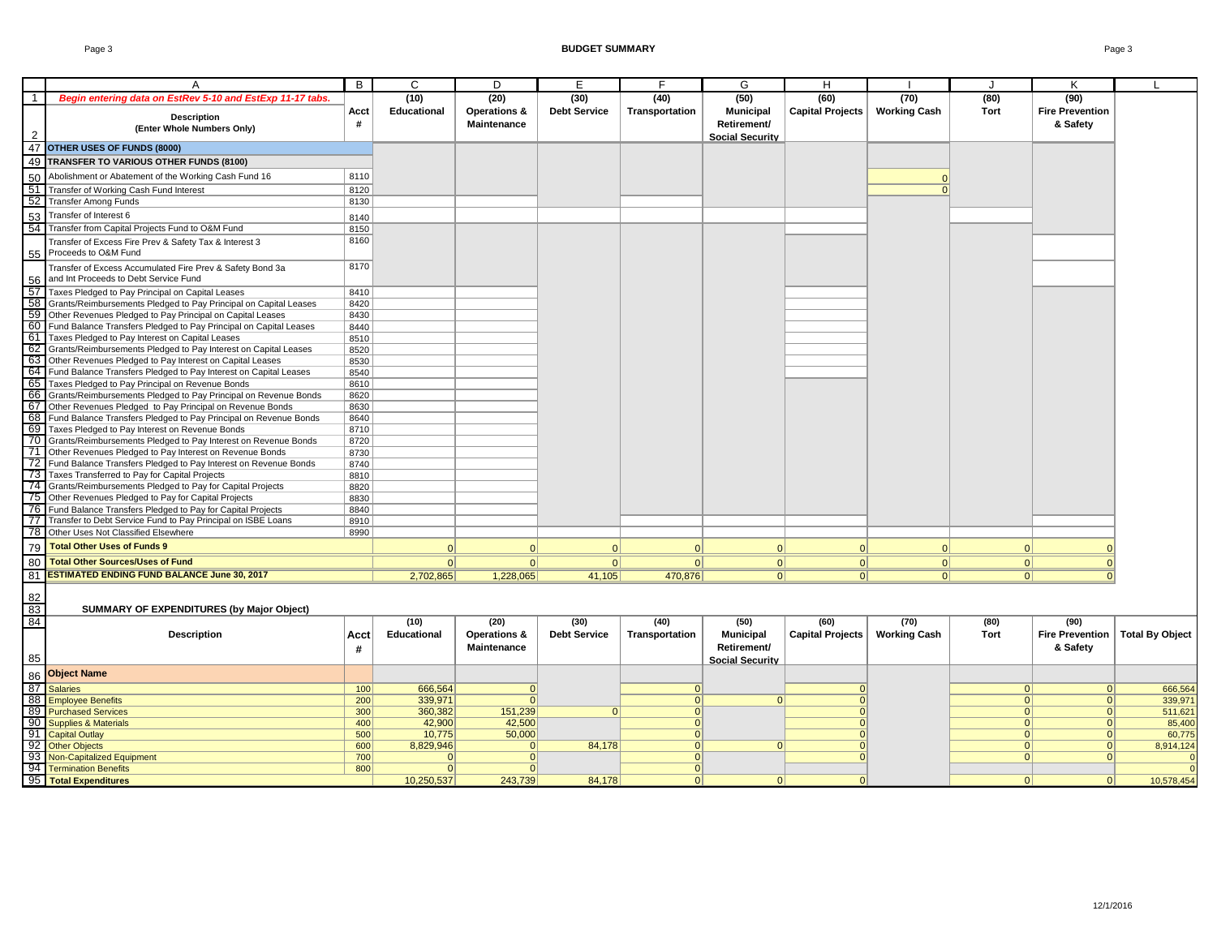|                 | A                                                                                                                            | B            | C           | D                       | Е                   | F              | G                      | н                       |                     |             | Κ                      |                        |
|-----------------|------------------------------------------------------------------------------------------------------------------------------|--------------|-------------|-------------------------|---------------------|----------------|------------------------|-------------------------|---------------------|-------------|------------------------|------------------------|
| $\overline{1}$  | Begin entering data on EstRev 5-10 and EstExp 11-17 tabs.                                                                    |              | (10)        | (20)                    | (30)                | (40)           | (50)                   | (60)                    | (70)                | (80)        | (90)                   |                        |
|                 |                                                                                                                              | Acct         | Educational | <b>Operations &amp;</b> | <b>Debt Service</b> | Transportation | <b>Municipal</b>       | Capital Projects        | <b>Working Cash</b> | <b>Tort</b> | <b>Fire Prevention</b> |                        |
|                 | <b>Description</b>                                                                                                           | #            |             | Maintenance             |                     |                | Retirement/            |                         |                     |             | & Safety               |                        |
| $\overline{2}$  | (Enter Whole Numbers Only)                                                                                                   |              |             |                         |                     |                | <b>Social Security</b> |                         |                     |             |                        |                        |
| 47              | OTHER USES OF FUNDS (8000)                                                                                                   |              |             |                         |                     |                |                        |                         |                     |             |                        |                        |
|                 |                                                                                                                              |              |             |                         |                     |                |                        |                         |                     |             |                        |                        |
|                 | 49 TRANSFER TO VARIOUS OTHER FUNDS (8100)                                                                                    |              |             |                         |                     |                |                        |                         |                     |             |                        |                        |
| 50              | Abolishment or Abatement of the Working Cash Fund 16                                                                         | 8110         |             |                         |                     |                |                        |                         |                     |             |                        |                        |
| $\overline{51}$ | Transfer of Working Cash Fund Interest                                                                                       | 8120         |             |                         |                     |                |                        |                         |                     |             |                        |                        |
| 52              | <b>Transfer Among Funds</b>                                                                                                  | 8130         |             |                         |                     |                |                        |                         |                     |             |                        |                        |
| 53              | Transfer of Interest 6                                                                                                       | 8140         |             |                         |                     |                |                        |                         |                     |             |                        |                        |
| 54              | Transfer from Capital Projects Fund to O&M Fund                                                                              | 8150         |             |                         |                     |                |                        |                         |                     |             |                        |                        |
|                 | Transfer of Excess Fire Prev & Safety Tax & Interest 3                                                                       | 8160         |             |                         |                     |                |                        |                         |                     |             |                        |                        |
|                 |                                                                                                                              |              |             |                         |                     |                |                        |                         |                     |             |                        |                        |
|                 | 55 Proceeds to O&M Fund                                                                                                      |              |             |                         |                     |                |                        |                         |                     |             |                        |                        |
|                 | Transfer of Excess Accumulated Fire Prev & Safety Bond 3a                                                                    | 8170         |             |                         |                     |                |                        |                         |                     |             |                        |                        |
| 56              | and Int Proceeds to Debt Service Fund                                                                                        |              |             |                         |                     |                |                        |                         |                     |             |                        |                        |
| 57              | Taxes Pledged to Pay Principal on Capital Leases                                                                             | 8410         |             |                         |                     |                |                        |                         |                     |             |                        |                        |
| $\overline{58}$ | Grants/Reimbursements Pledged to Pay Principal on Capital Leases                                                             | 8420         |             |                         |                     |                |                        |                         |                     |             |                        |                        |
| 59              | Other Revenues Pledged to Pay Principal on Capital Leases                                                                    | 8430         |             |                         |                     |                |                        |                         |                     |             |                        |                        |
|                 | 60 Fund Balance Transfers Pledged to Pay Principal on Capital Leases                                                         | 8440         |             |                         |                     |                |                        |                         |                     |             |                        |                        |
| 61              | Taxes Pledged to Pay Interest on Capital Leases                                                                              | 8510         |             |                         |                     |                |                        |                         |                     |             |                        |                        |
| 62              | Grants/Reimbursements Pledged to Pay Interest on Capital Leases                                                              | 8520         |             |                         |                     |                |                        |                         |                     |             |                        |                        |
| 63              | Other Revenues Pledged to Pay Interest on Capital Leases                                                                     | 8530         |             |                         |                     |                |                        |                         |                     |             |                        |                        |
|                 | 64 Fund Balance Transfers Pledged to Pay Interest on Capital Leases                                                          | 8540         |             |                         |                     |                |                        |                         |                     |             |                        |                        |
| 65              | Taxes Pledged to Pay Principal on Revenue Bonds                                                                              | 8610         |             |                         |                     |                |                        |                         |                     |             |                        |                        |
| 66 I            | Grants/Reimbursements Pledged to Pay Principal on Revenue Bonds                                                              | 8620         |             |                         |                     |                |                        |                         |                     |             |                        |                        |
| 67              | Other Revenues Pledged to Pay Principal on Revenue Bonds                                                                     | 8630         |             |                         |                     |                |                        |                         |                     |             |                        |                        |
|                 | 68 Fund Balance Transfers Pledged to Pay Principal on Revenue Bonds                                                          | 8640         |             |                         |                     |                |                        |                         |                     |             |                        |                        |
| 70              | 69 Taxes Pledged to Pay Interest on Revenue Bonds                                                                            | 8710         |             |                         |                     |                |                        |                         |                     |             |                        |                        |
|                 | Grants/Reimbursements Pledged to Pay Interest on Revenue Bonds<br>71 Other Revenues Pledged to Pay Interest on Revenue Bonds | 8720<br>8730 |             |                         |                     |                |                        |                         |                     |             |                        |                        |
| 72              | Fund Balance Transfers Pledged to Pay Interest on Revenue Bonds                                                              | 8740         |             |                         |                     |                |                        |                         |                     |             |                        |                        |
| 73              | Taxes Transferred to Pay for Capital Projects                                                                                | 8810         |             |                         |                     |                |                        |                         |                     |             |                        |                        |
|                 | 74 Grants/Reimbursements Pledged to Pay for Capital Projects                                                                 | 8820         |             |                         |                     |                |                        |                         |                     |             |                        |                        |
| 75              | Other Revenues Pledged to Pay for Capital Projects                                                                           | 8830         |             |                         |                     |                |                        |                         |                     |             |                        |                        |
|                 | 76 Fund Balance Transfers Pledged to Pay for Capital Projects                                                                | 8840         |             |                         |                     |                |                        |                         |                     |             |                        |                        |
| 77              | Transfer to Debt Service Fund to Pay Principal on ISBE Loans                                                                 | 8910         |             |                         |                     |                |                        |                         |                     |             |                        |                        |
| 78              | Other Uses Not Classified Elsewhere                                                                                          | 8990         |             |                         |                     |                |                        |                         |                     |             |                        |                        |
|                 | <b>Total Other Uses of Funds 9</b>                                                                                           |              |             |                         |                     |                |                        |                         |                     |             |                        |                        |
| 79              |                                                                                                                              |              |             | $\Omega$                |                     | $\Omega$       | 0                      | $\Omega$                |                     | $\Omega$    |                        |                        |
| 80              | <b>Total Other Sources/Uses of Fund</b>                                                                                      |              | 0           | 0                       | 0                   | 0              | 0                      | 0                       | 0                   | 0           |                        |                        |
| 81              | <b>ESTIMATED ENDING FUND BALANCE June 30, 2017</b>                                                                           |              | 2,702,865   | 1,228,065               | 41,105              | 470,876        | 0                      | 0                       | 0                   | 0           | $\Omega$               |                        |
|                 |                                                                                                                              |              |             |                         |                     |                |                        |                         |                     |             |                        |                        |
| 82              |                                                                                                                              |              |             |                         |                     |                |                        |                         |                     |             |                        |                        |
| 83              | SUMMARY OF EXPENDITURES (by Major Object)                                                                                    |              |             |                         |                     |                |                        |                         |                     |             |                        |                        |
| 84              |                                                                                                                              |              | (10)        | (20)                    | (30)                | (40)           | (50)                   | (60)                    | (70)                | (80)        | (90)                   |                        |
|                 | <b>Description</b>                                                                                                           | Acct         | Educational | Operations &            | <b>Debt Service</b> | Transportation | <b>Municipal</b>       | <b>Capital Projects</b> | <b>Working Cash</b> | Tort        | <b>Fire Prevention</b> | <b>Total By Object</b> |
|                 |                                                                                                                              | #            |             | <b>Maintenance</b>      |                     |                | Retirement/            |                         |                     |             | & Safety               |                        |
| 85              |                                                                                                                              |              |             |                         |                     |                | <b>Social Security</b> |                         |                     |             |                        |                        |
| 86              | <b>Object Name</b>                                                                                                           |              |             |                         |                     |                |                        |                         |                     |             |                        |                        |
| 87              | <b>Salaries</b>                                                                                                              | 100          | 666,564     | 0                       |                     | $\mathbf{0}$   |                        | $\mathbf 0$             |                     | $\Omega$    | $\Omega$               | 666,564                |
| 88              | <b>Employee Benefits</b>                                                                                                     | 200          | 339,971     | $\Omega$                |                     | 0              | $\Omega$               | $\mathbf{0}$            |                     | 0           | $\Omega$               | 339,971                |
|                 | 89 Purchased Services                                                                                                        | 300          | 360,382     | 151,239                 | $\Omega$            | $\mathbf{0}$   |                        | $\mathbf{0}$            |                     | 0           | $\Omega$               | 511,621                |
| 90              | <b>Supplies &amp; Materials</b>                                                                                              | 400          | 42,900      | 42,500                  |                     | $\overline{0}$ |                        | $\mathbf{0}$            |                     | 0           | $\Omega$               | 85,400                 |
| 91              | <b>Capital Outlay</b>                                                                                                        | 500          | 10,775      | 50,000                  |                     | 0              |                        | $\Omega$                |                     | 0           | $\Omega$               | 60,775                 |
| 92              | <b>Other Objects</b>                                                                                                         | 600          | 8,829,946   | $\mathbf{0}$            | 84,178              | 0              | 0                      | $\overline{0}$          |                     | 0           | 0                      | 8,914,124              |
|                 | 93 Non-Capitalized Equipment                                                                                                 | 700          | $\Omega$    | $\mathbf{0}$            |                     | 0              |                        | $\Omega$                |                     | 0           | $\Omega$               | $\overline{0}$         |
|                 | 94 Termination Benefits                                                                                                      | 800          | $\Omega$    | $\Omega$                |                     | 0              |                        |                         |                     |             |                        | $\overline{0}$         |
|                 | 95 Total Expenditures                                                                                                        |              | 10,250,537  | 243.739                 | 84.178              | $\Omega$       | $\Omega$               | $\Omega$                |                     | $\Omega$    | $\Omega$               | 10,578,454             |

┑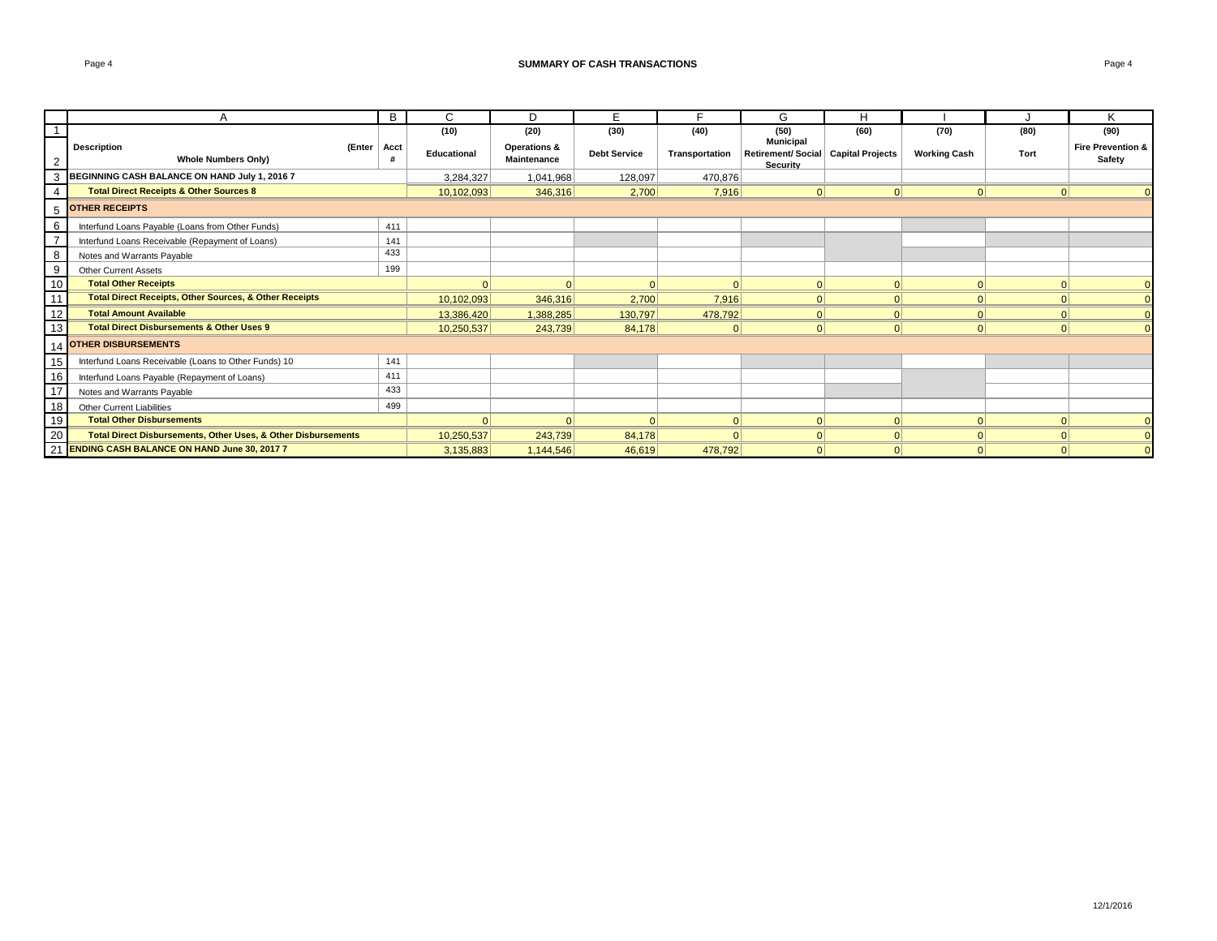|                            | $\mathsf{A}$                                                             | В    | C           | D                           | Е                   | Е              | G                                                                     | H        |                     |          | $\mathbf{v}$                           |
|----------------------------|--------------------------------------------------------------------------|------|-------------|-----------------------------|---------------------|----------------|-----------------------------------------------------------------------|----------|---------------------|----------|----------------------------------------|
| $\overline{1}$             |                                                                          |      | (10)        | (20)                        | (30)                | (40)           | (50)                                                                  | (60)     | (70)                | (80)     | (90)                                   |
| $\overline{2}$             | <b>Description</b><br>(Enter<br><b>Whole Numbers Only)</b>               | Acct | Educational | Operations &<br>Maintenance | <b>Debt Service</b> | Transportation | <b>Municipal</b><br>Retirement/ Social   Capital Projects<br>Security |          | <b>Working Cash</b> | Tort     | <b>Fire Prevention &amp;</b><br>Safety |
| 3                          | BEGINNING CASH BALANCE ON HAND July 1, 2016 7                            |      | 3,284,327   | 1,041,968                   | 128,097             | 470,876        |                                                                       |          |                     |          |                                        |
| $\overline{4}$             | <b>Total Direct Receipts &amp; Other Sources 8</b>                       |      | 10,102,093  | 346,316                     | 2,700               | 7,916          | $\Omega$                                                              | $\Omega$ | 0                   |          |                                        |
| 5                          | <b>OTHER RECEIPTS</b>                                                    |      |             |                             |                     |                |                                                                       |          |                     |          |                                        |
| 6                          | Interfund Loans Payable (Loans from Other Funds)                         | 411  |             |                             |                     |                |                                                                       |          |                     |          |                                        |
| $\overline{7}$             | Interfund Loans Receivable (Repayment of Loans)                          | 141  |             |                             |                     |                |                                                                       |          |                     |          |                                        |
| $\overline{\phantom{0}}_8$ | Notes and Warrants Payable                                               | 433  |             |                             |                     |                |                                                                       |          |                     |          |                                        |
| $\overline{9}$             | <b>Other Current Assets</b>                                              | 199  |             |                             |                     |                |                                                                       |          |                     |          |                                        |
| 10                         | <b>Total Other Receipts</b>                                              |      |             |                             |                     | $\Omega$       | $\Omega$                                                              | $\Omega$ | $\Omega$            |          |                                        |
| 11                         | <b>Total Direct Receipts, Other Sources, &amp; Other Receipts</b>        |      | 10,102,093  | 346,316                     | 2,700               | 7,916          | 0                                                                     | $\Omega$ | $\Omega$            |          |                                        |
| 12                         | <b>Total Amount Available</b>                                            |      | 13,386,420  | 1,388,285                   | 130,797             | 478,792        | 0                                                                     | $\Omega$ | 0                   |          |                                        |
| 13                         | <b>Total Direct Disbursements &amp; Other Uses 9</b>                     |      | 10,250,537  | 243,739                     | 84,178              | $\Omega$       | 0                                                                     | $\Omega$ | 0                   | $\Omega$ |                                        |
| 14                         | <b>OTHER DISBURSEMENTS</b>                                               |      |             |                             |                     |                |                                                                       |          |                     |          |                                        |
| $\frac{15}{16}$            | Interfund Loans Receivable (Loans to Other Funds) 10                     | 141  |             |                             |                     |                |                                                                       |          |                     |          |                                        |
|                            | Interfund Loans Payable (Repayment of Loans)                             | 411  |             |                             |                     |                |                                                                       |          |                     |          |                                        |
|                            | Notes and Warrants Payable                                               | 433  |             |                             |                     |                |                                                                       |          |                     |          |                                        |
| $\frac{17}{18}$            | <b>Other Current Liabilities</b>                                         | 499  |             |                             |                     |                |                                                                       |          |                     |          |                                        |
| 19                         | <b>Total Other Disbursements</b>                                         |      |             |                             | $\Omega$            | 0              | 0                                                                     | $\Omega$ | 0                   |          |                                        |
| 20                         | <b>Total Direct Disbursements, Other Uses, &amp; Other Disbursements</b> |      | 10,250,537  | 243,739                     | 84,178              | $\Omega$       | 0                                                                     | $\Omega$ | 0                   |          |                                        |
|                            | 21 ENDING CASH BALANCE ON HAND June 30, 2017 7                           |      | 3,135,883   | 1,144,546                   | 46,619              | 478,792        | $\Omega$                                                              | $\Omega$ | 0                   |          |                                        |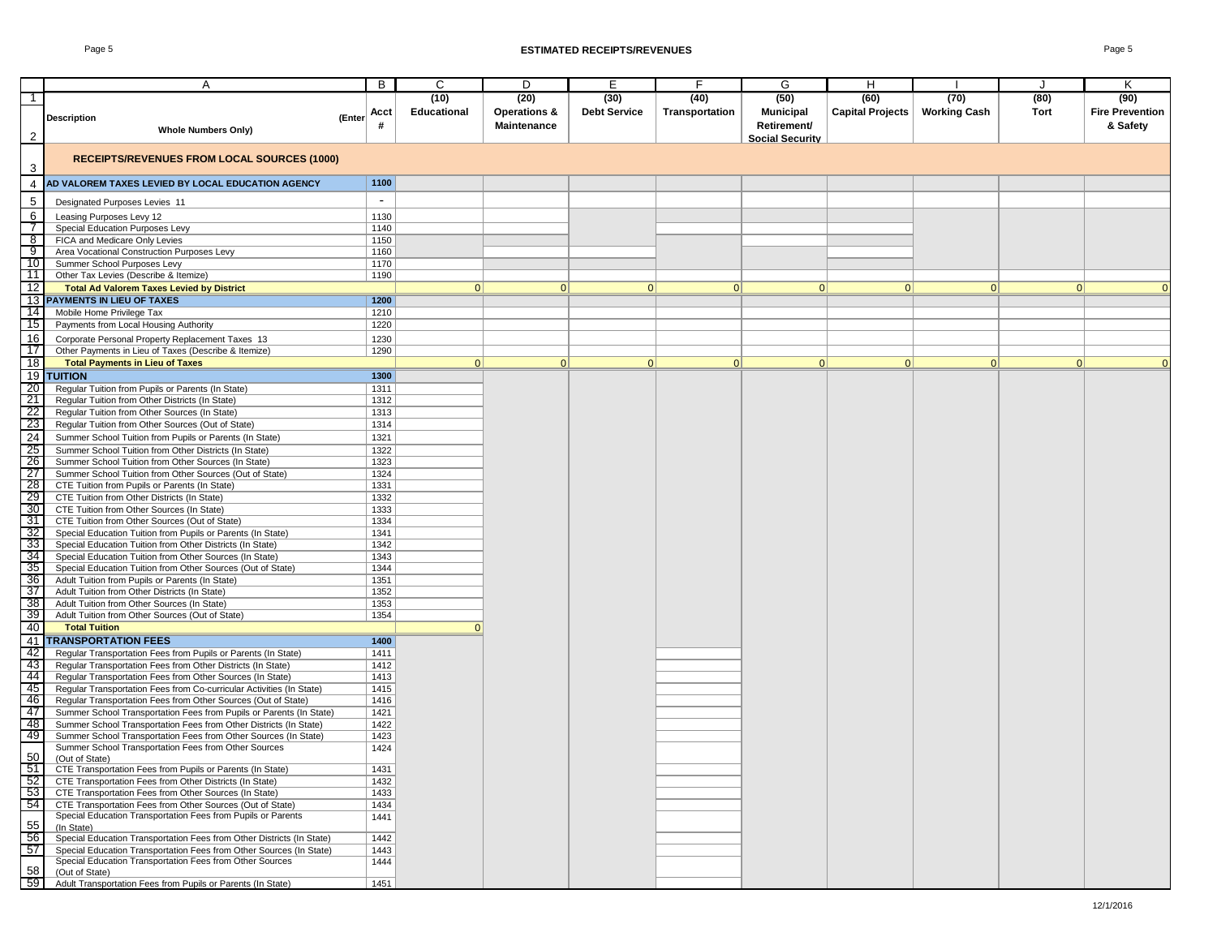#### Page 5 **ESTIMATED RECEIPTS/REVENUES** Page 5

|                 |                                                                                                                                 |        |                          | C           | D                       |                     | F              |                        |                         |                     |      | K                      |
|-----------------|---------------------------------------------------------------------------------------------------------------------------------|--------|--------------------------|-------------|-------------------------|---------------------|----------------|------------------------|-------------------------|---------------------|------|------------------------|
|                 | A                                                                                                                               |        | В                        |             |                         | Е                   |                | G                      | н                       |                     |      |                        |
| $\mathbf{1}$    |                                                                                                                                 |        |                          | (10)        | (20)                    | (30)                | (40)           | (50)                   | (60)                    | (70)                | (80) | (90)                   |
|                 | <b>Description</b>                                                                                                              | (Enter | Acct                     | Educational | <b>Operations &amp;</b> | <b>Debt Service</b> | Transportation | <b>Municipal</b>       | <b>Capital Projects</b> | <b>Working Cash</b> | Tort | <b>Fire Prevention</b> |
|                 | <b>Whole Numbers Only)</b>                                                                                                      |        | #                        |             | <b>Maintenance</b>      |                     |                | Retirement/            |                         |                     |      | & Safety               |
| $\overline{2}$  |                                                                                                                                 |        |                          |             |                         |                     |                | <b>Social Security</b> |                         |                     |      |                        |
| 3               | <b>RECEIPTS/REVENUES FROM LOCAL SOURCES (1000)</b>                                                                              |        |                          |             |                         |                     |                |                        |                         |                     |      |                        |
| 4               | AD VALOREM TAXES LEVIED BY LOCAL EDUCATION AGENCY                                                                               |        | 1100                     |             |                         |                     |                |                        |                         |                     |      |                        |
| 5               | Designated Purposes Levies 11                                                                                                   |        | $\overline{\phantom{a}}$ |             |                         |                     |                |                        |                         |                     |      |                        |
| 6               | Leasing Purposes Levy 12                                                                                                        |        | 1130                     |             |                         |                     |                |                        |                         |                     |      |                        |
| $\overline{7}$  | Special Education Purposes Levy                                                                                                 |        | 1140                     |             |                         |                     |                |                        |                         |                     |      |                        |
| ೫               | FICA and Medicare Only Levies                                                                                                   |        | 1150                     |             |                         |                     |                |                        |                         |                     |      |                        |
| 9               | Area Vocational Construction Purposes Levy                                                                                      |        | 1160                     |             |                         |                     |                |                        |                         |                     |      |                        |
| 10              | Summer School Purposes Levy                                                                                                     |        | 1170                     |             |                         |                     |                |                        |                         |                     |      |                        |
| $\overline{11}$ | Other Tax Levies (Describe & Itemize)                                                                                           |        | 1190                     |             |                         |                     |                |                        |                         |                     |      |                        |
| 12              | <b>Total Ad Valorem Taxes Levied by District</b>                                                                                |        |                          | 0           | 0                       | 0                   | 0              | 0                      | 0                       | 0                   | 0    | $\mathbf{0}$           |
|                 | <b>13 PAYMENTS IN LIEU OF TAXES</b>                                                                                             |        | 1200                     |             |                         |                     |                |                        |                         |                     |      |                        |
| 14              | Mobile Home Privilege Tax                                                                                                       |        | 1210                     |             |                         |                     |                |                        |                         |                     |      |                        |
| 15              | Payments from Local Housing Authority                                                                                           |        | 1220                     |             |                         |                     |                |                        |                         |                     |      |                        |
| 16              | Corporate Personal Property Replacement Taxes 13                                                                                |        | 1230                     |             |                         |                     |                |                        |                         |                     |      |                        |
| 17              | Other Payments in Lieu of Taxes (Describe & Itemize)                                                                            |        | 1290                     |             |                         |                     |                |                        |                         |                     |      |                        |
| 18              | <b>Total Payments in Lieu of Taxes</b>                                                                                          |        |                          | 0           | 0                       | 0                   | 0              | 0                      | 0                       | 0                   | 0    | $\mathbf{0}$           |
|                 | <b>19 TUITION</b>                                                                                                               |        | 1300                     |             |                         |                     |                |                        |                         |                     |      |                        |
| 20              | Regular Tuition from Pupils or Parents (In State)                                                                               |        | 1311                     |             |                         |                     |                |                        |                         |                     |      |                        |
| 21              | Regular Tuition from Other Districts (In State)                                                                                 |        | 1312                     |             |                         |                     |                |                        |                         |                     |      |                        |
| $\frac{22}{23}$ | Regular Tuition from Other Sources (In State)                                                                                   |        | 1313                     |             |                         |                     |                |                        |                         |                     |      |                        |
| 24              | Regular Tuition from Other Sources (Out of State)                                                                               |        | 1314                     |             |                         |                     |                |                        |                         |                     |      |                        |
|                 | Summer School Tuition from Pupils or Parents (In State)                                                                         |        | 1321                     |             |                         |                     |                |                        |                         |                     |      |                        |
| $\frac{25}{26}$ | Summer School Tuition from Other Districts (In State)<br>Summer School Tuition from Other Sources (In State)                    |        | 1322<br>1323             |             |                         |                     |                |                        |                         |                     |      |                        |
| -27             | Summer School Tuition from Other Sources (Out of State)                                                                         |        | 1324                     |             |                         |                     |                |                        |                         |                     |      |                        |
| 28              | CTE Tuition from Pupils or Parents (In State)                                                                                   |        | 1331                     |             |                         |                     |                |                        |                         |                     |      |                        |
| 29              | CTE Tuition from Other Districts (In State)                                                                                     |        | 1332                     |             |                         |                     |                |                        |                         |                     |      |                        |
| 30              | CTE Tuition from Other Sources (In State)                                                                                       |        | 1333                     |             |                         |                     |                |                        |                         |                     |      |                        |
| $\frac{31}{32}$ | CTE Tuition from Other Sources (Out of State)                                                                                   |        | 1334                     |             |                         |                     |                |                        |                         |                     |      |                        |
|                 | Special Education Tuition from Pupils or Parents (In State)                                                                     |        | 1341                     |             |                         |                     |                |                        |                         |                     |      |                        |
| 33              | Special Education Tuition from Other Districts (In State)                                                                       |        | 1342                     |             |                         |                     |                |                        |                         |                     |      |                        |
| 34              | Special Education Tuition from Other Sources (In State)                                                                         |        | 1343                     |             |                         |                     |                |                        |                         |                     |      |                        |
| $\frac{35}{36}$ | Special Education Tuition from Other Sources (Out of State)                                                                     |        | 1344                     |             |                         |                     |                |                        |                         |                     |      |                        |
|                 | Adult Tuition from Pupils or Parents (In State)                                                                                 |        | 1351                     |             |                         |                     |                |                        |                         |                     |      |                        |
| 37<br>- 38      | Adult Tuition from Other Districts (In State)                                                                                   |        | 1352                     |             |                         |                     |                |                        |                         |                     |      |                        |
| $\overline{39}$ | Adult Tuition from Other Sources (In State)<br>Adult Tuition from Other Sources (Out of State)                                  |        | 1353<br>1354             |             |                         |                     |                |                        |                         |                     |      |                        |
| 40              | <b>Total Tuition</b>                                                                                                            |        |                          | $\Omega$    |                         |                     |                |                        |                         |                     |      |                        |
| 41              | <b>TRANSPORTATION FEES</b>                                                                                                      |        | 1400                     |             |                         |                     |                |                        |                         |                     |      |                        |
| - 42            | Regular Transportation Fees from Pupils or Parents (In State)                                                                   |        | 1411                     |             |                         |                     |                |                        |                         |                     |      |                        |
| -43             | Regular Transportation Fees from Other Districts (In State)                                                                     |        | 1412                     |             |                         |                     |                |                        |                         |                     |      |                        |
| 44              | Regular Transportation Fees from Other Sources (In State)                                                                       |        | 1413                     |             |                         |                     |                |                        |                         |                     |      |                        |
| 45              | Regular Transportation Fees from Co-curricular Activities (In State)                                                            |        | 1415                     |             |                         |                     |                |                        |                         |                     |      |                        |
| - 46            | Regular Transportation Fees from Other Sources (Out of State)                                                                   |        | 1416                     |             |                         |                     |                |                        |                         |                     |      |                        |
| $\overline{47}$ | Summer School Transportation Fees from Pupils or Parents (In State)                                                             |        | 1421                     |             |                         |                     |                |                        |                         |                     |      |                        |
| - 48            | Summer School Transportation Fees from Other Districts (In State)                                                               |        | 1422                     |             |                         |                     |                |                        |                         |                     |      |                        |
| 49              | Summer School Transportation Fees from Other Sources (In State)                                                                 |        | 1423                     |             |                         |                     |                |                        |                         |                     |      |                        |
| 50              | Summer School Transportation Fees from Other Sources                                                                            |        | 1424                     |             |                         |                     |                |                        |                         |                     |      |                        |
| 51              | (Out of State)<br>CTE Transportation Fees from Pupils or Parents (In State)                                                     |        | 1431                     |             |                         |                     |                |                        |                         |                     |      |                        |
| $\overline{52}$ | CTE Transportation Fees from Other Districts (In State)                                                                         |        | 1432                     |             |                         |                     |                |                        |                         |                     |      |                        |
| $\overline{53}$ | CTE Transportation Fees from Other Sources (In State)                                                                           |        | 1433                     |             |                         |                     |                |                        |                         |                     |      |                        |
| $\overline{54}$ | CTE Transportation Fees from Other Sources (Out of State)                                                                       |        | 1434                     |             |                         |                     |                |                        |                         |                     |      |                        |
|                 | Special Education Transportation Fees from Pupils or Parents                                                                    |        | 1441                     |             |                         |                     |                |                        |                         |                     |      |                        |
| 55              | (In State)                                                                                                                      |        |                          |             |                         |                     |                |                        |                         |                     |      |                        |
| $\overline{56}$ | Special Education Transportation Fees from Other Districts (In State)                                                           |        | 1442                     |             |                         |                     |                |                        |                         |                     |      |                        |
| 57              | Special Education Transportation Fees from Other Sources (In State)<br>Special Education Transportation Fees from Other Sources |        | 1443<br>1444             |             |                         |                     |                |                        |                         |                     |      |                        |
| 58              | (Out of State)                                                                                                                  |        |                          |             |                         |                     |                |                        |                         |                     |      |                        |
| 59              | Adult Transportation Fees from Pupils or Parents (In State)                                                                     |        | 1451                     |             |                         |                     |                |                        |                         |                     |      |                        |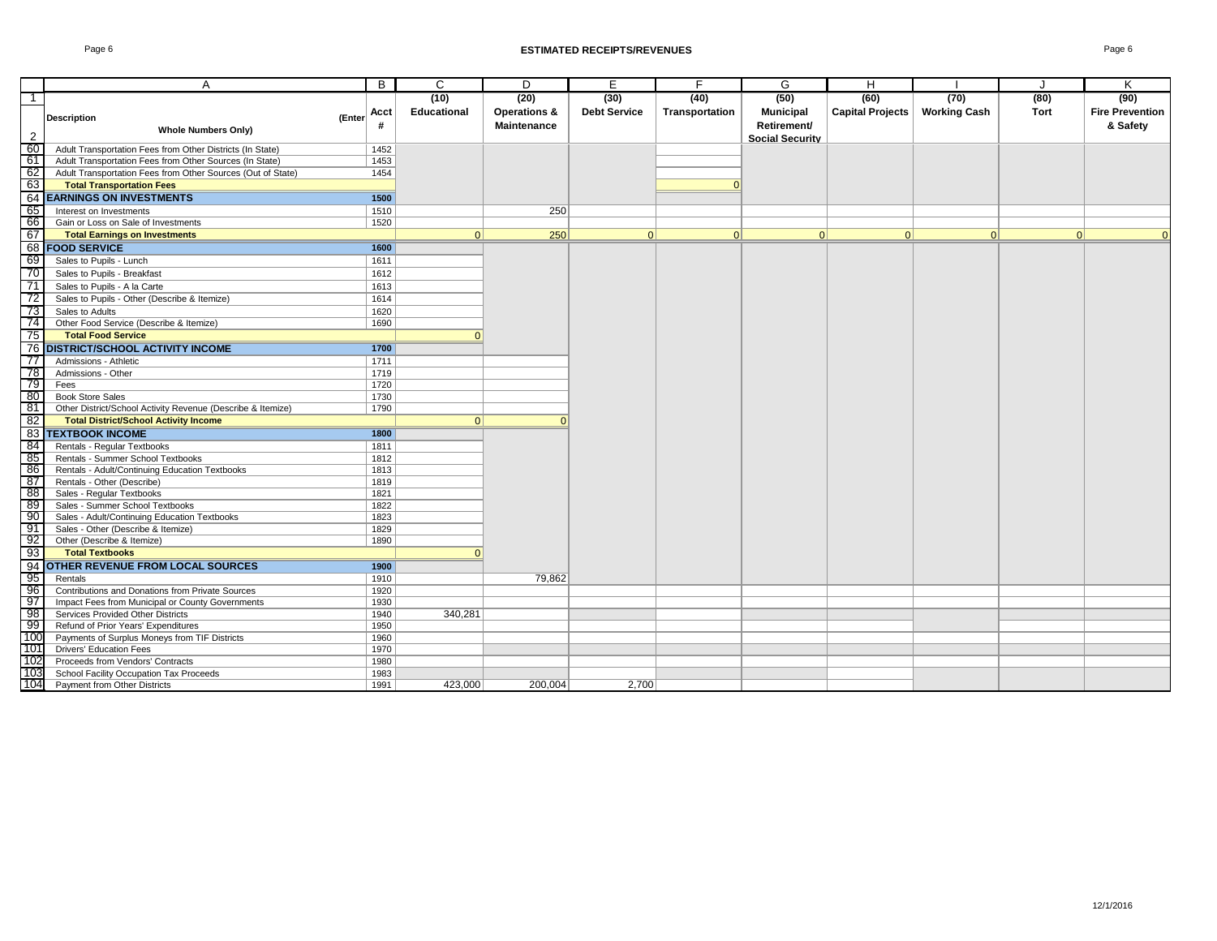|                | A                                                                | B            | C           | D                       | E                   | F              | G                      | H                       |                     | J    | K                      |
|----------------|------------------------------------------------------------------|--------------|-------------|-------------------------|---------------------|----------------|------------------------|-------------------------|---------------------|------|------------------------|
| $\overline{1}$ |                                                                  |              | (10)        | (20)                    | (30)                | (40)           | (50)                   | (60)                    | (70)                | (80) | (90)                   |
|                | <b>Description</b><br>(Enter                                     | Acct         | Educational | <b>Operations &amp;</b> | <b>Debt Service</b> | Transportation | <b>Municipal</b>       | <b>Capital Projects</b> | <b>Working Cash</b> | Tort | <b>Fire Prevention</b> |
|                | <b>Whole Numbers Only)</b>                                       | #            |             | Maintenance             |                     |                | Retirement/            |                         |                     |      | & Safety               |
| $\overline{2}$ |                                                                  |              |             |                         |                     |                | <b>Social Security</b> |                         |                     |      |                        |
| - 60           | Adult Transportation Fees from Other Districts (In State)        | 1452         |             |                         |                     |                |                        |                         |                     |      |                        |
| - 61           | Adult Transportation Fees from Other Sources (In State)          | 1453         |             |                         |                     |                |                        |                         |                     |      |                        |
| 62             | Adult Transportation Fees from Other Sources (Out of State)      | 1454         |             |                         |                     |                |                        |                         |                     |      |                        |
| 63             | <b>Total Transportation Fees</b>                                 |              |             |                         |                     | n              |                        |                         |                     |      |                        |
| 64             | <b>EARNINGS ON INVESTMENTS</b>                                   | 1500         |             |                         |                     |                |                        |                         |                     |      |                        |
| 65             | Interest on Investments                                          | 1510         |             | 250                     |                     |                |                        |                         |                     |      |                        |
| 66             | Gain or Loss on Sale of Investments                              | 1520         |             |                         |                     |                |                        |                         |                     |      |                        |
| 67             | <b>Total Earnings on Investments</b>                             |              | 0           | 250                     | 0                   | 0              | 0                      | 0                       | 0                   | 0    | $\Omega$               |
|                | 68 FOOD SERVICE                                                  | 1600         |             |                         |                     |                |                        |                         |                     |      |                        |
| 69             | Sales to Pupils - Lunch                                          | 1611         |             |                         |                     |                |                        |                         |                     |      |                        |
| -70            | Sales to Pupils - Breakfast                                      | 1612         |             |                         |                     |                |                        |                         |                     |      |                        |
| 71             | Sales to Pupils - A la Carte                                     | 1613         |             |                         |                     |                |                        |                         |                     |      |                        |
| -72            | Sales to Pupils - Other (Describe & Itemize)                     | 1614         |             |                         |                     |                |                        |                         |                     |      |                        |
| -73            | Sales to Adults                                                  | 1620         |             |                         |                     |                |                        |                         |                     |      |                        |
| -741           | Other Food Service (Describe & Itemize)                          | 1690         |             |                         |                     |                |                        |                         |                     |      |                        |
| 75             | <b>Total Food Service</b>                                        |              |             |                         |                     |                |                        |                         |                     |      |                        |
|                | <b>76 DISTRICT/SCHOOL ACTIVITY INCOME</b>                        | 1700         |             |                         |                     |                |                        |                         |                     |      |                        |
| 77             | Admissions - Athletic                                            | 1711         |             |                         |                     |                |                        |                         |                     |      |                        |
| -78            | Admissions - Other                                               | 1719         |             |                         |                     |                |                        |                         |                     |      |                        |
| -79            | Fees                                                             | 1720         |             |                         |                     |                |                        |                         |                     |      |                        |
| - 80           | <b>Book Store Sales</b>                                          | 1730         |             |                         |                     |                |                        |                         |                     |      |                        |
| 81             | Other District/School Activity Revenue (Describe & Itemize)      | 1790         |             |                         |                     |                |                        |                         |                     |      |                        |
| 82             | <b>Total District/School Activity Income</b>                     |              | $\vert$ 0   |                         |                     |                |                        |                         |                     |      |                        |
|                | <b>83 TEXTBOOK INCOME</b>                                        | 1800         |             |                         |                     |                |                        |                         |                     |      |                        |
| - 84           | Rentals - Regular Textbooks                                      | 1811         |             |                         |                     |                |                        |                         |                     |      |                        |
| - 85           | Rentals - Summer School Textbooks                                | 1812         |             |                         |                     |                |                        |                         |                     |      |                        |
| - 86           | Rentals - Adult/Continuing Education Textbooks                   | 1813         |             |                         |                     |                |                        |                         |                     |      |                        |
| - 87           | Rentals - Other (Describe)                                       | 1819         |             |                         |                     |                |                        |                         |                     |      |                        |
| 88             | Sales - Regular Textbooks                                        | 1821         |             |                         |                     |                |                        |                         |                     |      |                        |
| - 89           | Sales - Summer School Textbooks                                  | 1822         |             |                         |                     |                |                        |                         |                     |      |                        |
| 90<br>-91      | Sales - Adult/Continuing Education Textbooks                     | 1823         |             |                         |                     |                |                        |                         |                     |      |                        |
| - 92           | Sales - Other (Describe & Itemize)<br>Other (Describe & Itemize) | 1829<br>1890 |             |                         |                     |                |                        |                         |                     |      |                        |
| - 93           | <b>Total Textbooks</b>                                           |              |             |                         |                     |                |                        |                         |                     |      |                        |
| 94             | <b>OTHER REVENUE FROM LOCAL SOURCES</b>                          | 1900         |             |                         |                     |                |                        |                         |                     |      |                        |
| 95             | Rentals                                                          | 1910         |             |                         |                     |                |                        |                         |                     |      |                        |
| - 96           | Contributions and Donations from Private Sources                 | 1920         |             | 79,862                  |                     |                |                        |                         |                     |      |                        |
| 97             | Impact Fees from Municipal or County Governments                 | 1930         |             |                         |                     |                |                        |                         |                     |      |                        |
| - 98           | Services Provided Other Districts                                | 1940         | 340,281     |                         |                     |                |                        |                         |                     |      |                        |
| -99            | Refund of Prior Years' Expenditures                              | 1950         |             |                         |                     |                |                        |                         |                     |      |                        |
| 100            | Payments of Surplus Moneys from TIF Districts                    | 1960         |             |                         |                     |                |                        |                         |                     |      |                        |
| 101            | <b>Drivers' Education Fees</b>                                   | 1970         |             |                         |                     |                |                        |                         |                     |      |                        |
| 102            | Proceeds from Vendors' Contracts                                 | 1980         |             |                         |                     |                |                        |                         |                     |      |                        |
| 103            | School Facility Occupation Tax Proceeds                          | 1983         |             |                         |                     |                |                        |                         |                     |      |                        |
| 104            | Payment from Other Districts                                     | 1991         | 423.000     | 200.004                 | 2.700               |                |                        |                         |                     |      |                        |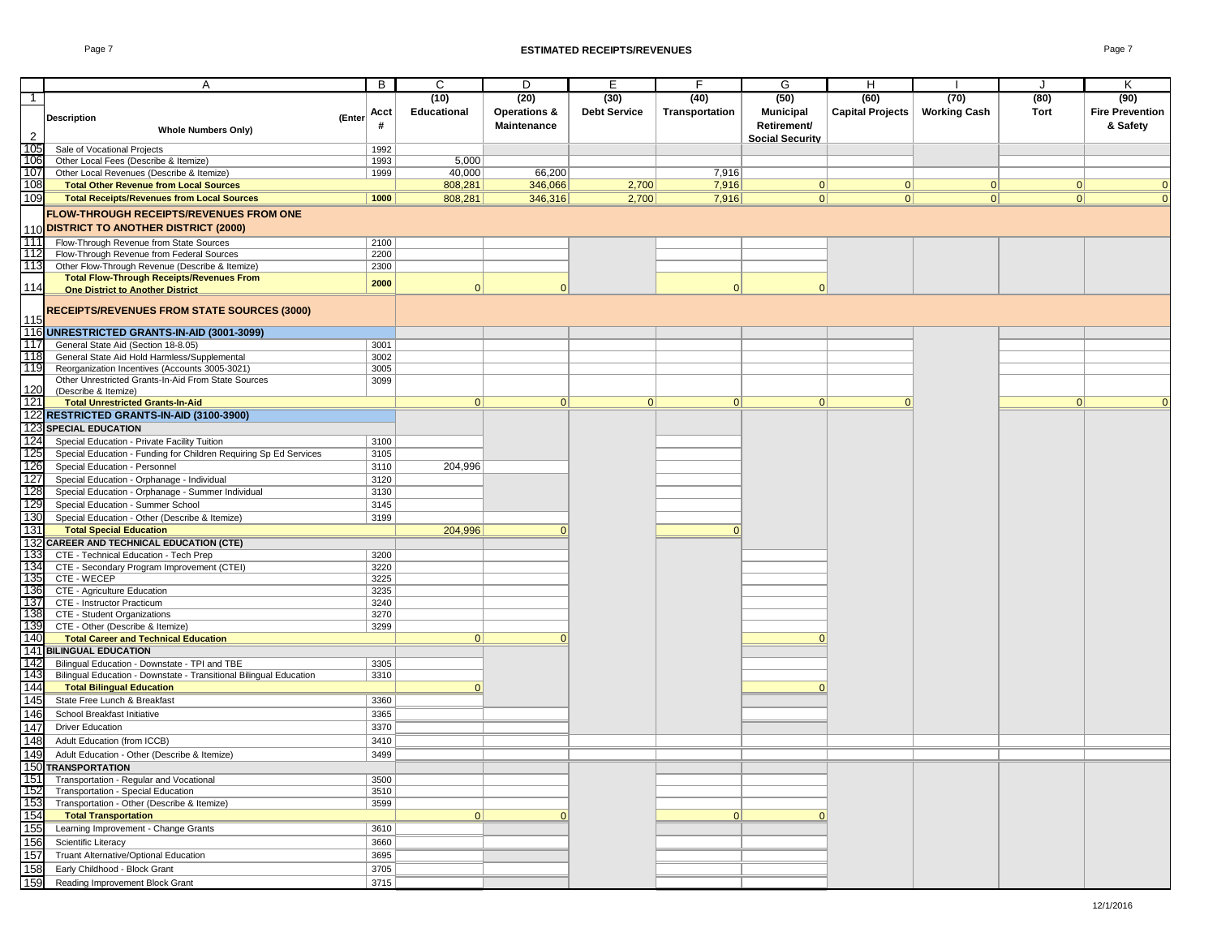|                | A                                                                  | B            | C                  | D                       | E                   |                | G                      | Н                       |                     |          | Κ                      |
|----------------|--------------------------------------------------------------------|--------------|--------------------|-------------------------|---------------------|----------------|------------------------|-------------------------|---------------------|----------|------------------------|
| $\mathbf{1}$   |                                                                    |              | (10)               | (20)                    | (30)                | (40)           | (50)                   | (60)                    | (70)                | (80)     | (90)                   |
|                |                                                                    | Acct         | <b>Educational</b> | <b>Operations &amp;</b> | <b>Debt Service</b> | Transportation | <b>Municipal</b>       | <b>Capital Projects</b> | <b>Working Cash</b> | Tort     | <b>Fire Prevention</b> |
|                | <b>Description</b><br>(Enter                                       | #            |                    | <b>Maintenance</b>      |                     |                | Retirement/            |                         |                     |          | & Safety               |
| $\overline{2}$ | <b>Whole Numbers Only)</b>                                         |              |                    |                         |                     |                | <b>Social Security</b> |                         |                     |          |                        |
| 105            | Sale of Vocational Projects                                        | 1992         |                    |                         |                     |                |                        |                         |                     |          |                        |
| 106            | Other Local Fees (Describe & Itemize)                              | 1993         | 5,000              |                         |                     |                |                        |                         |                     |          |                        |
| 107            | Other Local Revenues (Describe & Itemize)                          | 1999         | 40,000             | 66,200                  |                     | 7,916          |                        |                         |                     |          |                        |
| 108            | <b>Total Other Revenue from Local Sources</b>                      |              | 808,281            | 346,066                 | 2,700               | 7,916          | 0                      | 0                       | 0                   | 0        |                        |
| 109            | <b>Total Receipts/Revenues from Local Sources</b>                  | 1000         | 808,281            | 346,316                 | 2,700               | 7,916          | 0                      | 0                       | 0                   | 0        | $\overline{0}$         |
|                | <b>FLOW-THROUGH RECEIPTS/REVENUES FROM ONE</b>                     |              |                    |                         |                     |                |                        |                         |                     |          |                        |
|                | 110 DISTRICT TO ANOTHER DISTRICT (2000)                            |              |                    |                         |                     |                |                        |                         |                     |          |                        |
| 111            | Flow-Through Revenue from State Sources                            | 2100         |                    |                         |                     |                |                        |                         |                     |          |                        |
| 112            | Flow-Through Revenue from Federal Sources                          | 2200         |                    |                         |                     |                |                        |                         |                     |          |                        |
| 113            | Other Flow-Through Revenue (Describe & Itemize)                    | 2300         |                    |                         |                     |                |                        |                         |                     |          |                        |
|                | <b>Total Flow-Through Receipts/Revenues From</b>                   |              |                    |                         |                     |                |                        |                         |                     |          |                        |
| 114            | <b>One District to Another District</b>                            | 2000         | $\Omega$           | $\Omega$                |                     | $\Omega$       | $\Omega$               |                         |                     |          |                        |
|                |                                                                    |              |                    |                         |                     |                |                        |                         |                     |          |                        |
|                | <b>RECEIPTS/REVENUES FROM STATE SOURCES (3000)</b>                 |              |                    |                         |                     |                |                        |                         |                     |          |                        |
| 115            | 116 UNRESTRICTED GRANTS-IN-AID (3001-3099)                         |              |                    |                         |                     |                |                        |                         |                     |          |                        |
| 117            | General State Aid (Section 18-8.05)                                | 3001         |                    |                         |                     |                |                        |                         |                     |          |                        |
| 118            | General State Aid Hold Harmless/Supplemental                       | 3002         |                    |                         |                     |                |                        |                         |                     |          |                        |
| 119            | Reorganization Incentives (Accounts 3005-3021)                     | 3005         |                    |                         |                     |                |                        |                         |                     |          |                        |
|                | Other Unrestricted Grants-In-Aid From State Sources                | 3099         |                    |                         |                     |                |                        |                         |                     |          |                        |
| 120            | (Describe & Itemize)                                               |              |                    |                         |                     |                |                        |                         |                     |          |                        |
| 121            | <b>Total Unrestricted Grants-In-Aid</b>                            |              | $\Omega$           | 0                       | 0                   | $\Omega$       | $\Omega$               | $\Omega$                |                     | $\Omega$ |                        |
|                | 122 RESTRICTED GRANTS-IN-AID (3100-3900)                           |              |                    |                         |                     |                |                        |                         |                     |          |                        |
|                | <b>123 SPECIAL EDUCATION</b>                                       |              |                    |                         |                     |                |                        |                         |                     |          |                        |
| 124            | Special Education - Private Facility Tuition                       | 3100         |                    |                         |                     |                |                        |                         |                     |          |                        |
| 125            | Special Education - Funding for Children Requiring Sp Ed Services  | 3105         |                    |                         |                     |                |                        |                         |                     |          |                        |
| 126            | Special Education - Personnel                                      | 3110         | 204,996            |                         |                     |                |                        |                         |                     |          |                        |
| 127            | Special Education - Orphanage - Individual                         | 3120         |                    |                         |                     |                |                        |                         |                     |          |                        |
| 128            | Special Education - Orphanage - Summer Individual                  | 3130         |                    |                         |                     |                |                        |                         |                     |          |                        |
| 129            | Special Education - Summer School                                  | 3145         |                    |                         |                     |                |                        |                         |                     |          |                        |
| 130            | Special Education - Other (Describe & Itemize)                     | 3199         |                    |                         |                     |                |                        |                         |                     |          |                        |
| 131            | <b>Total Special Education</b>                                     |              | 204,996            |                         |                     | $\Omega$       |                        |                         |                     |          |                        |
| 132            | <b>CAREER AND TECHNICAL EDUCATION (CTE)</b>                        |              |                    |                         |                     |                |                        |                         |                     |          |                        |
| 133            | CTE - Technical Education - Tech Prep                              | 3200         |                    |                         |                     |                |                        |                         |                     |          |                        |
| 134            | CTE - Secondary Program Improvement (CTEI)                         | 3220         |                    |                         |                     |                |                        |                         |                     |          |                        |
| 135            | CTE - WECEP                                                        | 3225         |                    |                         |                     |                |                        |                         |                     |          |                        |
| 136            | CTE - Agriculture Education                                        | 3235         |                    |                         |                     |                |                        |                         |                     |          |                        |
| 137<br>138     | CTE - Instructor Practicum<br>CTE - Student Organizations          | 3240<br>3270 |                    |                         |                     |                |                        |                         |                     |          |                        |
| 139            | CTE - Other (Describe & Itemize)                                   | 3299         |                    |                         |                     |                |                        |                         |                     |          |                        |
| 140            | <b>Total Career and Technical Education</b>                        |              | $\vert$ 0          |                         |                     |                |                        |                         |                     |          |                        |
| 141            | <b>BILINGUAL EDUCATION</b>                                         |              |                    |                         |                     |                |                        |                         |                     |          |                        |
| 142            | Bilingual Education - Downstate - TPI and TBE                      | 3305         |                    |                         |                     |                |                        |                         |                     |          |                        |
| 143            | Bilingual Education - Downstate - Transitional Bilingual Education | 3310         |                    |                         |                     |                |                        |                         |                     |          |                        |
| 144            | <b>Total Bilingual Education</b>                                   |              |                    |                         |                     |                | $\Omega$               |                         |                     |          |                        |
| 145            | State Free Lunch & Breakfast                                       | 3360         |                    |                         |                     |                |                        |                         |                     |          |                        |
| 146            | School Breakfast Initiative                                        | 3365         |                    |                         |                     |                |                        |                         |                     |          |                        |
| 147            | <b>Driver Education</b>                                            | 3370         |                    |                         |                     |                |                        |                         |                     |          |                        |
| 148            | Adult Education (from ICCB)                                        | 3410         |                    |                         |                     |                |                        |                         |                     |          |                        |
| 149            | Adult Education - Other (Describe & Itemize)                       | 3499         |                    |                         |                     |                |                        |                         |                     |          |                        |
|                | 150 TRANSPORTATION                                                 |              |                    |                         |                     |                |                        |                         |                     |          |                        |
| 151            | Transportation - Regular and Vocational                            | 3500         |                    |                         |                     |                |                        |                         |                     |          |                        |
| 152            | Transportation - Special Education                                 | 3510         |                    |                         |                     |                |                        |                         |                     |          |                        |
| 153            | Transportation - Other (Describe & Itemize)                        | 3599         |                    |                         |                     |                |                        |                         |                     |          |                        |
| 154            | <b>Total Transportation</b>                                        |              | 0                  |                         |                     | 0              | $\Omega$               |                         |                     |          |                        |
| 155            | Learning Improvement - Change Grants                               | 3610         |                    |                         |                     |                |                        |                         |                     |          |                        |
| 156            | Scientific Literacy                                                | 3660         |                    |                         |                     |                |                        |                         |                     |          |                        |
| 157            | Truant Alternative/Optional Education                              | 3695         |                    |                         |                     |                |                        |                         |                     |          |                        |
| 158            | Early Childhood - Block Grant                                      | 3705         |                    |                         |                     |                |                        |                         |                     |          |                        |
| 159            | Reading Improvement Block Grant                                    | 3715         |                    |                         |                     |                |                        |                         |                     |          |                        |
|                |                                                                    |              |                    |                         |                     |                |                        |                         |                     |          |                        |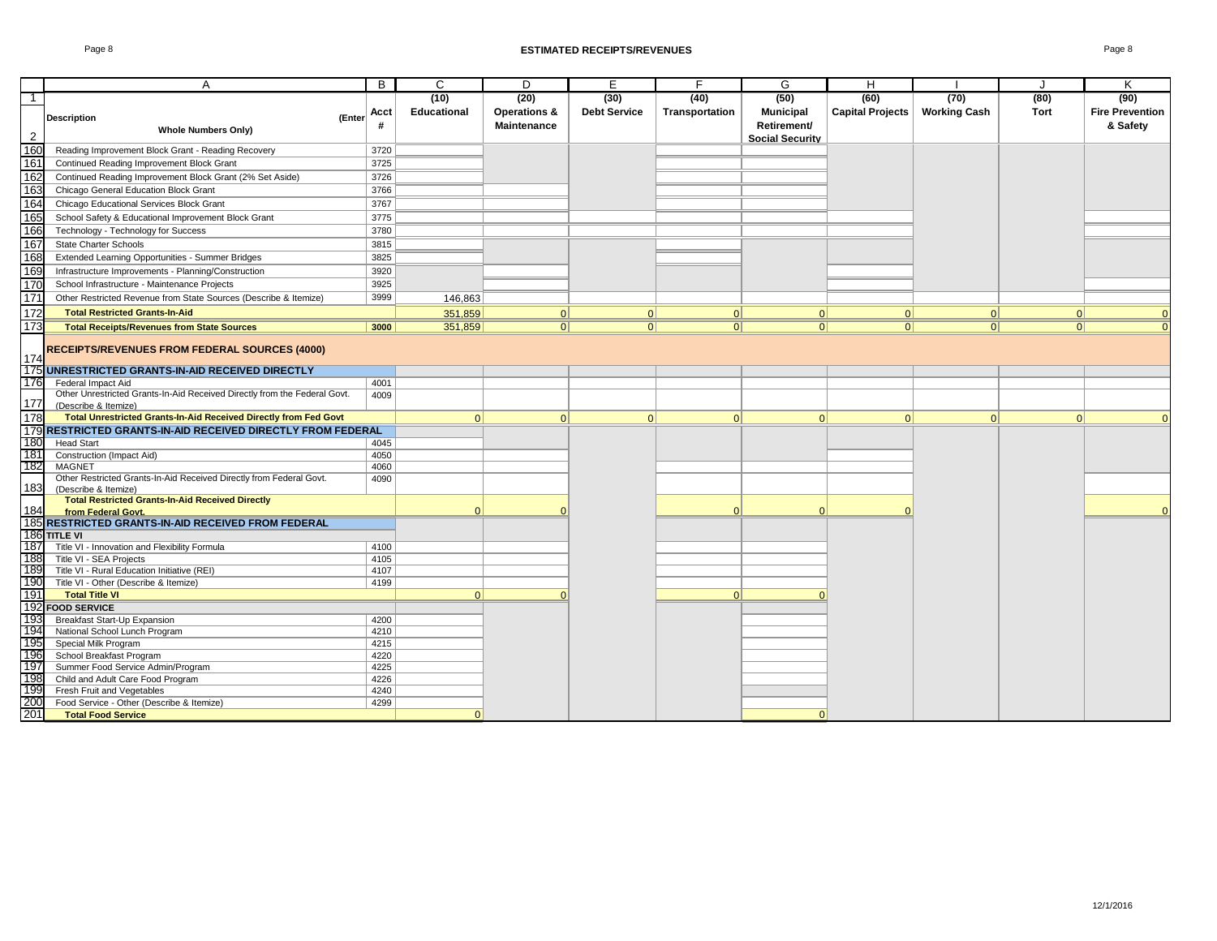### Page 8 **ESTIMATED RECEIPTS/REVENUES** Page 8

|                 | А                                                                                                 | B            | C                  | D                  | E.                  | F              | G                      | H                       |                     |             | K                      |
|-----------------|---------------------------------------------------------------------------------------------------|--------------|--------------------|--------------------|---------------------|----------------|------------------------|-------------------------|---------------------|-------------|------------------------|
| $\mathbf{1}$    |                                                                                                   |              | (10)               | (20)               | (30)                | (40)           | (50)                   | (60)                    | (70)                | (80)        | (90)                   |
|                 |                                                                                                   | Acct         | <b>Educational</b> | Operations &       | <b>Debt Service</b> | Transportation | <b>Municipal</b>       | <b>Capital Projects</b> | <b>Working Cash</b> | <b>Tort</b> | <b>Fire Prevention</b> |
|                 | <b>Description</b><br>(Enter                                                                      |              |                    | <b>Maintenance</b> |                     |                | Retirement/            |                         |                     |             | & Safety               |
| $\overline{2}$  | <b>Whole Numbers Only)</b>                                                                        |              |                    |                    |                     |                | <b>Social Security</b> |                         |                     |             |                        |
| 160             | Reading Improvement Block Grant - Reading Recovery                                                | 3720         |                    |                    |                     |                |                        |                         |                     |             |                        |
| 161             | Continued Reading Improvement Block Grant                                                         | 3725         |                    |                    |                     |                |                        |                         |                     |             |                        |
| 162             | Continued Reading Improvement Block Grant (2% Set Aside)                                          | 3726         |                    |                    |                     |                |                        |                         |                     |             |                        |
| 163             | Chicago General Education Block Grant                                                             | 3766         |                    |                    |                     |                |                        |                         |                     |             |                        |
| 164             | Chicago Educational Services Block Grant                                                          | 3767         |                    |                    |                     |                |                        |                         |                     |             |                        |
| 165             | School Safety & Educational Improvement Block Grant                                               | 3775         |                    |                    |                     |                |                        |                         |                     |             |                        |
| 166             | Technology - Technology for Success                                                               | 3780         |                    |                    |                     |                |                        |                         |                     |             |                        |
| 167             | <b>State Charter Schools</b>                                                                      | 3815         |                    |                    |                     |                |                        |                         |                     |             |                        |
| 168             | Extended Learning Opportunities - Summer Bridges                                                  | 3825         |                    |                    |                     |                |                        |                         |                     |             |                        |
| 169             | Infrastructure Improvements - Planning/Construction                                               | 3920         |                    |                    |                     |                |                        |                         |                     |             |                        |
| 170             | School Infrastructure - Maintenance Projects                                                      | 3925         |                    |                    |                     |                |                        |                         |                     |             |                        |
| $\frac{1}{171}$ | Other Restricted Revenue from State Sources (Describe & Itemize)                                  | 3999         | 146,863            |                    |                     |                |                        |                         |                     |             |                        |
| 172             | <b>Total Restricted Grants-In-Aid</b>                                                             |              | 351,859            | 0                  | 0                   | 0              | 0                      | 0                       | 0                   | 0           | $\Omega$               |
| 173             | <b>Total Receipts/Revenues from State Sources</b>                                                 | 3000         | 351,859            | 0                  | 0                   | 0              | 0                      | 0                       | 0                   | 0           | $\Omega$               |
|                 |                                                                                                   |              |                    |                    |                     |                |                        |                         |                     |             |                        |
|                 | <b>RECEIPTS/REVENUES FROM FEDERAL SOURCES (4000)</b>                                              |              |                    |                    |                     |                |                        |                         |                     |             |                        |
| 174             |                                                                                                   |              |                    |                    |                     |                |                        |                         |                     |             |                        |
|                 | 175 UNRESTRICTED GRANTS-IN-AID RECEIVED DIRECTLY                                                  |              |                    |                    |                     |                |                        |                         |                     |             |                        |
| 176             | Federal Impact Aid                                                                                | 4001         |                    |                    |                     |                |                        |                         |                     |             |                        |
| 177             | Other Unrestricted Grants-In-Aid Received Directly from the Federal Govt.<br>(Describe & Itemize) | 4009         |                    |                    |                     |                |                        |                         |                     |             |                        |
| 178             | Total Unrestricted Grants-In-Aid Received Directly from Fed Govt                                  |              | $\Omega$           | 0                  | 0                   | $\vert$ 0      | 0                      | $\Omega$                | 0                   | 0           | $\Omega$               |
|                 | 179 RESTRICTED GRANTS-IN-AID RECEIVED DIRECTLY FROM FEDERAL                                       |              |                    |                    |                     |                |                        |                         |                     |             |                        |
| 180             | <b>Head Start</b>                                                                                 | 4045         |                    |                    |                     |                |                        |                         |                     |             |                        |
| 181             | Construction (Impact Aid)                                                                         | 4050         |                    |                    |                     |                |                        |                         |                     |             |                        |
| 182             | <b>MAGNET</b>                                                                                     | 4060         |                    |                    |                     |                |                        |                         |                     |             |                        |
|                 | Other Restricted Grants-In-Aid Received Directly from Federal Govt.                               | 4090         |                    |                    |                     |                |                        |                         |                     |             |                        |
| 183             | (Describe & Itemize)                                                                              |              |                    |                    |                     |                |                        |                         |                     |             |                        |
|                 | <b>Total Restricted Grants-In-Aid Received Directly</b>                                           |              |                    |                    |                     | $\Omega$       | $\Omega$               |                         |                     |             | $\Omega$               |
| 184             | from Federal Govt.                                                                                |              |                    |                    |                     |                |                        |                         |                     |             |                        |
|                 | 185 RESTRICTED GRANTS-IN-AID RECEIVED FROM FEDERAL<br>186 TITLE VI                                |              |                    |                    |                     |                |                        |                         |                     |             |                        |
| 187             | Title VI - Innovation and Flexibility Formula                                                     | 4100         |                    |                    |                     |                |                        |                         |                     |             |                        |
| 188             | Title VI - SEA Projects                                                                           | 4105         |                    |                    |                     |                |                        |                         |                     |             |                        |
| 189             | Title VI - Rural Education Initiative (REI)                                                       | 4107         |                    |                    |                     |                |                        |                         |                     |             |                        |
| 190             | Title VI - Other (Describe & Itemize)                                                             | 4199         |                    |                    |                     |                |                        |                         |                     |             |                        |
| 191             | <b>Total Title VI</b>                                                                             |              | 0                  | $\Omega$           |                     | 0              | $\Omega$               |                         |                     |             |                        |
|                 | 192 FOOD SERVICE                                                                                  |              |                    |                    |                     |                |                        |                         |                     |             |                        |
| 193             | Breakfast Start-Up Expansion                                                                      | 4200         |                    |                    |                     |                |                        |                         |                     |             |                        |
| 194             | National School Lunch Program                                                                     | 4210         |                    |                    |                     |                |                        |                         |                     |             |                        |
| 195             | Special Milk Program                                                                              | 4215         |                    |                    |                     |                |                        |                         |                     |             |                        |
| 196             | School Breakfast Program                                                                          | 4220         |                    |                    |                     |                |                        |                         |                     |             |                        |
| 197             | Summer Food Service Admin/Program                                                                 | 4225         |                    |                    |                     |                |                        |                         |                     |             |                        |
| 198<br>199      | Child and Adult Care Food Program                                                                 | 4226         |                    |                    |                     |                |                        |                         |                     |             |                        |
| 200             | Fresh Fruit and Vegetables<br>Food Service - Other (Describe & Itemize)                           | 4240<br>4299 |                    |                    |                     |                |                        |                         |                     |             |                        |
| 201             | <b>Total Food Service</b>                                                                         |              | $\Omega$           |                    |                     |                | $\Omega$               |                         |                     |             |                        |
|                 |                                                                                                   |              |                    |                    |                     |                |                        |                         |                     |             |                        |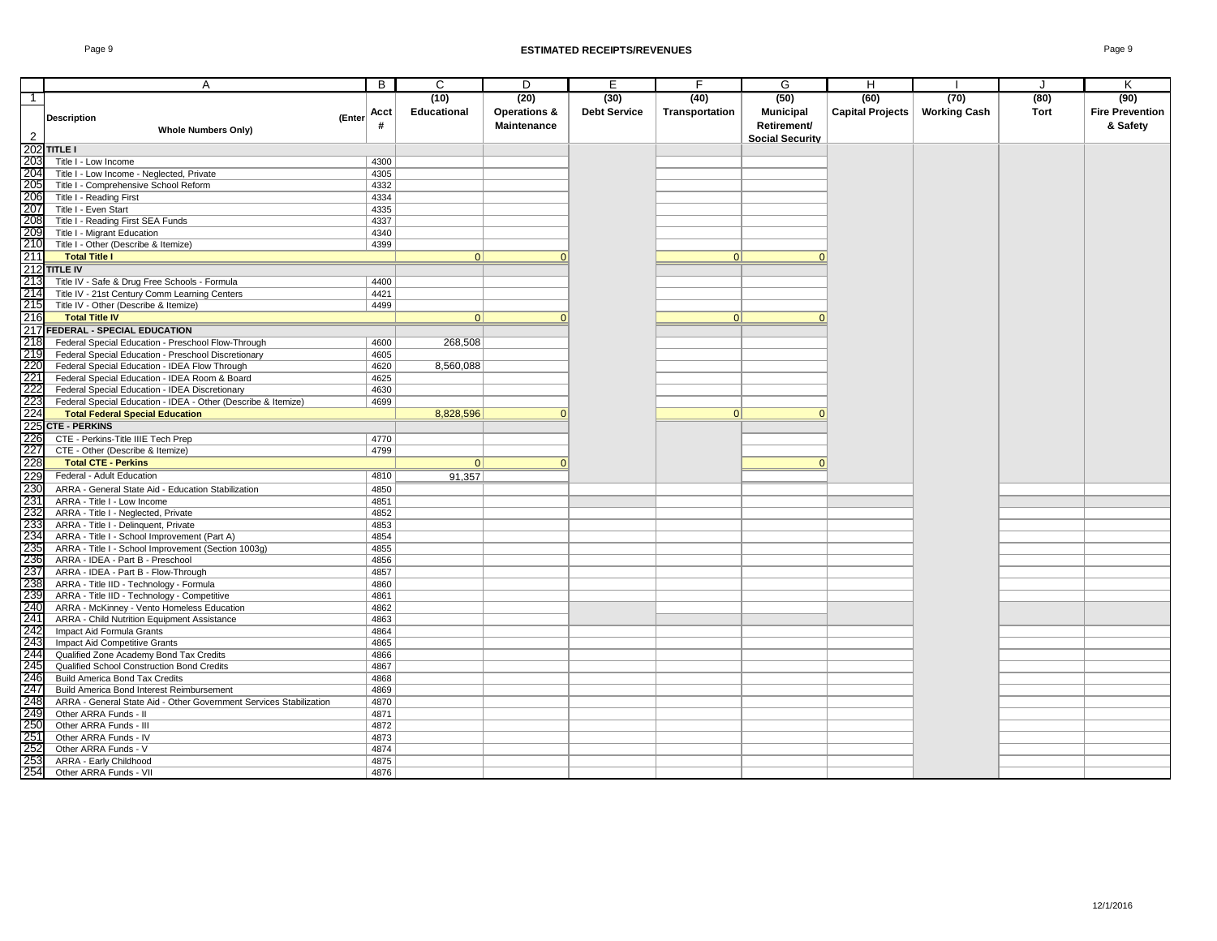|                | A                                                                                                               | B            | C                  | D                       | E                   | F              | G                      | H                       |                     | J    | K                      |
|----------------|-----------------------------------------------------------------------------------------------------------------|--------------|--------------------|-------------------------|---------------------|----------------|------------------------|-------------------------|---------------------|------|------------------------|
| $\overline{1}$ |                                                                                                                 |              | (10)               | (20)                    | (30)                | (40)           | (50)                   | (60)                    | (70)                | (80) | (90)                   |
|                |                                                                                                                 | Acct         | <b>Educational</b> | <b>Operations &amp;</b> | <b>Debt Service</b> | Transportation | <b>Municipal</b>       | <b>Capital Projects</b> | <b>Working Cash</b> | Tort | <b>Fire Prevention</b> |
|                | <b>Description</b><br>(Enter                                                                                    | #            |                    | <b>Maintenance</b>      |                     |                | Retirement/            |                         |                     |      | & Safety               |
| $\overline{2}$ | <b>Whole Numbers Only)</b>                                                                                      |              |                    |                         |                     |                | <b>Social Security</b> |                         |                     |      |                        |
| 202            | <b>TITLE I</b>                                                                                                  |              |                    |                         |                     |                |                        |                         |                     |      |                        |
| 203            | Title I - Low Income                                                                                            | 4300         |                    |                         |                     |                |                        |                         |                     |      |                        |
| 204            | Title I - Low Income - Neglected, Private                                                                       | 4305         |                    |                         |                     |                |                        |                         |                     |      |                        |
| 205            | Title I - Comprehensive School Reform                                                                           | 4332         |                    |                         |                     |                |                        |                         |                     |      |                        |
| 206            | Title I - Reading First                                                                                         | 4334         |                    |                         |                     |                |                        |                         |                     |      |                        |
| 207            | Title I - Even Start                                                                                            | 4335         |                    |                         |                     |                |                        |                         |                     |      |                        |
| 208            | Title I - Reading First SEA Funds                                                                               | 4337         |                    |                         |                     |                |                        |                         |                     |      |                        |
| 209            | Title I - Migrant Education                                                                                     | 4340         |                    |                         |                     |                |                        |                         |                     |      |                        |
| 210            | Title I - Other (Describe & Itemize)                                                                            | 4399         |                    |                         |                     |                |                        |                         |                     |      |                        |
| 211            | <b>Total Title I</b>                                                                                            |              | $\Omega$           |                         |                     | $\vert$ 0      | ŋ                      |                         |                     |      |                        |
|                | 212 TITLE IV                                                                                                    |              |                    |                         |                     |                |                        |                         |                     |      |                        |
| 213            | Title IV - Safe & Drug Free Schools - Formula                                                                   | 4400         |                    |                         |                     |                |                        |                         |                     |      |                        |
| 214            | Title IV - 21st Century Comm Learning Centers                                                                   | 4421         |                    |                         |                     |                |                        |                         |                     |      |                        |
| 215            | Title IV - Other (Describe & Itemize)                                                                           | 4499         |                    |                         |                     |                |                        |                         |                     |      |                        |
| 216            | <b>Total Title IV</b>                                                                                           |              | $\Omega$           |                         |                     | 0              | $\Omega$               |                         |                     |      |                        |
|                | 217 FEDERAL - SPECIAL EDUCATION                                                                                 |              |                    |                         |                     |                |                        |                         |                     |      |                        |
| 218            | Federal Special Education - Preschool Flow-Through                                                              | 4600         | 268,508            |                         |                     |                |                        |                         |                     |      |                        |
| 219            | Federal Special Education - Preschool Discretionary                                                             | 4605         |                    |                         |                     |                |                        |                         |                     |      |                        |
| 220            | Federal Special Education - IDEA Flow Through                                                                   | 4620         | 8,560,088          |                         |                     |                |                        |                         |                     |      |                        |
| 221            | Federal Special Education - IDEA Room & Board                                                                   | 4625         |                    |                         |                     |                |                        |                         |                     |      |                        |
| 222            | Federal Special Education - IDEA Discretionary                                                                  | 4630         |                    |                         |                     |                |                        |                         |                     |      |                        |
| 223            | Federal Special Education - IDEA - Other (Describe & Itemize)                                                   | 4699         |                    |                         |                     |                |                        |                         |                     |      |                        |
| 224            | <b>Total Federal Special Education</b>                                                                          |              | 8,828,596          |                         |                     | 0              |                        |                         |                     |      |                        |
| 225            | <b>CTE - PERKINS</b>                                                                                            |              |                    |                         |                     |                |                        |                         |                     |      |                        |
| 226            | CTE - Perkins-Title IIIE Tech Prep                                                                              | 4770         |                    |                         |                     |                |                        |                         |                     |      |                        |
| 227            | CTE - Other (Describe & Itemize)                                                                                | 4799         |                    |                         |                     |                |                        |                         |                     |      |                        |
| 228            | <b>Total CTE - Perkins</b>                                                                                      |              | 0                  |                         |                     |                | $\Omega$               |                         |                     |      |                        |
| 229            | Federal - Adult Education                                                                                       | 4810         | 91,357             |                         |                     |                |                        |                         |                     |      |                        |
| 230            | ARRA - General State Aid - Education Stabilization                                                              | 4850         |                    |                         |                     |                |                        |                         |                     |      |                        |
| 231            | ARRA - Title I - Low Income                                                                                     | 4851         |                    |                         |                     |                |                        |                         |                     |      |                        |
| 232            | ARRA - Title I - Neglected, Private                                                                             | 4852         |                    |                         |                     |                |                        |                         |                     |      |                        |
| 233            | ARRA - Title I - Delinquent, Private                                                                            | 4853         |                    |                         |                     |                |                        |                         |                     |      |                        |
| 234            | ARRA - Title I - School Improvement (Part A)                                                                    | 4854         |                    |                         |                     |                |                        |                         |                     |      |                        |
| 235            | ARRA - Title I - School Improvement (Section 1003g)                                                             | 4855         |                    |                         |                     |                |                        |                         |                     |      |                        |
| 236            | ARRA - IDEA - Part B - Preschool                                                                                | 4856         |                    |                         |                     |                |                        |                         |                     |      |                        |
| 237            | ARRA - IDEA - Part B - Flow-Through                                                                             | 4857         |                    |                         |                     |                |                        |                         |                     |      |                        |
| 238            | ARRA - Title IID - Technology - Formula                                                                         | 4860         |                    |                         |                     |                |                        |                         |                     |      |                        |
| 239            | ARRA - Title IID - Technology - Competitive                                                                     | 4861         |                    |                         |                     |                |                        |                         |                     |      |                        |
| 240            | ARRA - McKinney - Vento Homeless Education                                                                      | 4862         |                    |                         |                     |                |                        |                         |                     |      |                        |
| 241            | ARRA - Child Nutrition Equipment Assistance                                                                     | 4863         |                    |                         |                     |                |                        |                         |                     |      |                        |
| 242            | Impact Aid Formula Grants                                                                                       | 4864         |                    |                         |                     |                |                        |                         |                     |      |                        |
| 243<br>244     | Impact Aid Competitive Grants                                                                                   | 4865         |                    |                         |                     |                |                        |                         |                     |      |                        |
|                | Qualified Zone Academy Bond Tax Credits                                                                         | 4866         |                    |                         |                     |                |                        |                         |                     |      |                        |
| 245<br>246     | Qualified School Construction Bond Credits<br><b>Build America Bond Tax Credits</b>                             | 4867<br>4868 |                    |                         |                     |                |                        |                         |                     |      |                        |
| 247            |                                                                                                                 |              |                    |                         |                     |                |                        |                         |                     |      |                        |
| 248            | Build America Bond Interest Reimbursement<br>ARRA - General State Aid - Other Government Services Stabilization | 4869<br>4870 |                    |                         |                     |                |                        |                         |                     |      |                        |
| 249            | Other ARRA Funds - II                                                                                           | 4871         |                    |                         |                     |                |                        |                         |                     |      |                        |
| 250            | Other ARRA Funds - III                                                                                          | 4872         |                    |                         |                     |                |                        |                         |                     |      |                        |
| 251            | Other ARRA Funds - IV                                                                                           | 4873         |                    |                         |                     |                |                        |                         |                     |      |                        |
| 252            | Other ARRA Funds - V                                                                                            | 4874         |                    |                         |                     |                |                        |                         |                     |      |                        |
| 253            | <b>ARRA - Early Childhood</b>                                                                                   | 4875         |                    |                         |                     |                |                        |                         |                     |      |                        |
| 254            | Other ARRA Funds - VII                                                                                          | 4876         |                    |                         |                     |                |                        |                         |                     |      |                        |
|                |                                                                                                                 |              |                    |                         |                     |                |                        |                         |                     |      |                        |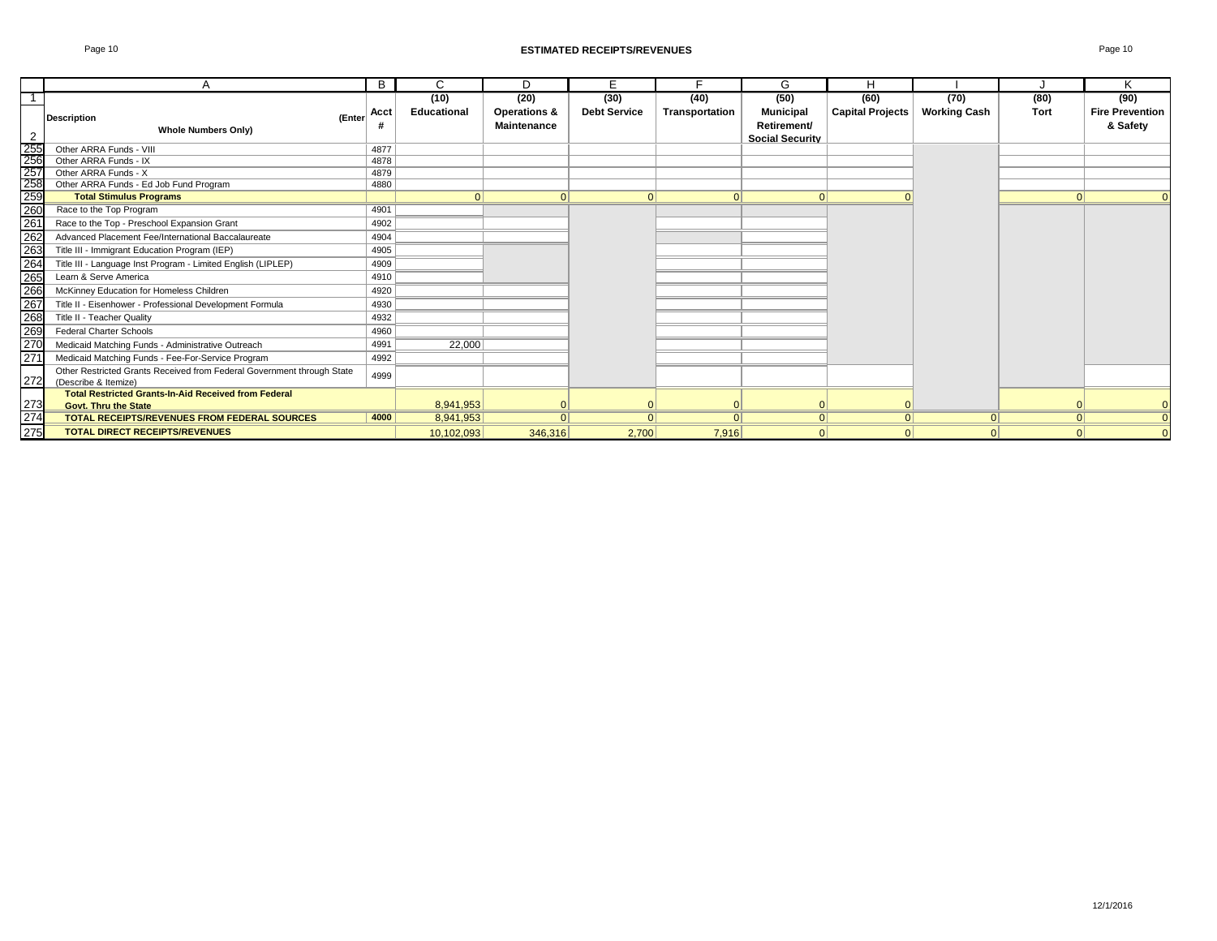|                                                                                                                                        |                                                                                                | B    | C                   | D                                                     | E                           | E.                     | G                                                                 | H                               |                             |              | K                                          |
|----------------------------------------------------------------------------------------------------------------------------------------|------------------------------------------------------------------------------------------------|------|---------------------|-------------------------------------------------------|-----------------------------|------------------------|-------------------------------------------------------------------|---------------------------------|-----------------------------|--------------|--------------------------------------------|
| -1<br>2                                                                                                                                | (Enter<br><b>Description</b><br><b>Whole Numbers Only)</b>                                     | Acct | (10)<br>Educational | (20)<br><b>Operations &amp;</b><br><b>Maintenance</b> | (30)<br><b>Debt Service</b> | (40)<br>Transportation | (50)<br><b>Municipal</b><br>Retirement/<br><b>Social Security</b> | (60)<br><b>Capital Projects</b> | (70)<br><b>Working Cash</b> | (80)<br>Tort | (90)<br><b>Fire Prevention</b><br>& Safety |
|                                                                                                                                        | Other ARRA Funds - VIII                                                                        | 4877 |                     |                                                       |                             |                        |                                                                   |                                 |                             |              |                                            |
|                                                                                                                                        | Other ARRA Funds - IX                                                                          | 4878 |                     |                                                       |                             |                        |                                                                   |                                 |                             |              |                                            |
|                                                                                                                                        | Other ARRA Funds - X                                                                           | 4879 |                     |                                                       |                             |                        |                                                                   |                                 |                             |              |                                            |
|                                                                                                                                        | Other ARRA Funds - Ed Job Fund Program                                                         | 4880 |                     |                                                       |                             |                        |                                                                   |                                 |                             |              |                                            |
|                                                                                                                                        | <b>Total Stimulus Programs</b>                                                                 |      |                     | $\Omega$                                              | $\Omega$                    | 0                      | 0                                                                 |                                 |                             |              | $\Omega$                                   |
|                                                                                                                                        | Race to the Top Program                                                                        | 4901 |                     |                                                       |                             |                        |                                                                   |                                 |                             |              |                                            |
|                                                                                                                                        | Race to the Top - Preschool Expansion Grant                                                    | 4902 |                     |                                                       |                             |                        |                                                                   |                                 |                             |              |                                            |
|                                                                                                                                        | Advanced Placement Fee/International Baccalaureate                                             | 4904 |                     |                                                       |                             |                        |                                                                   |                                 |                             |              |                                            |
|                                                                                                                                        | Title III - Immigrant Education Program (IEP)                                                  | 4905 |                     |                                                       |                             |                        |                                                                   |                                 |                             |              |                                            |
| 255<br>256<br>257<br>258<br>259<br>260<br>260<br>262<br>263<br>268<br>260<br>260<br>27<br>27<br>27<br>27<br>27<br>27<br>27<br>27<br>28 | Title III - Language Inst Program - Limited English (LIPLEP)                                   | 4909 |                     |                                                       |                             |                        |                                                                   |                                 |                             |              |                                            |
|                                                                                                                                        | Learn & Serve America                                                                          | 4910 |                     |                                                       |                             |                        |                                                                   |                                 |                             |              |                                            |
|                                                                                                                                        | McKinney Education for Homeless Children                                                       | 4920 |                     |                                                       |                             |                        |                                                                   |                                 |                             |              |                                            |
|                                                                                                                                        | Title II - Eisenhower - Professional Development Formula                                       | 4930 |                     |                                                       |                             |                        |                                                                   |                                 |                             |              |                                            |
|                                                                                                                                        | Title II - Teacher Quality                                                                     | 4932 |                     |                                                       |                             |                        |                                                                   |                                 |                             |              |                                            |
|                                                                                                                                        | <b>Federal Charter Schools</b>                                                                 | 4960 |                     |                                                       |                             |                        |                                                                   |                                 |                             |              |                                            |
|                                                                                                                                        | Medicaid Matching Funds - Administrative Outreach                                              | 4991 | 22,000              |                                                       |                             |                        |                                                                   |                                 |                             |              |                                            |
|                                                                                                                                        | Medicaid Matching Funds - Fee-For-Service Program                                              | 4992 |                     |                                                       |                             |                        |                                                                   |                                 |                             |              |                                            |
| 272                                                                                                                                    | Other Restricted Grants Received from Federal Government through State<br>(Describe & Itemize) | 4999 |                     |                                                       |                             |                        |                                                                   |                                 |                             |              |                                            |
|                                                                                                                                        | <b>Total Restricted Grants-In-Aid Received from Federal</b>                                    |      |                     |                                                       |                             |                        |                                                                   |                                 |                             |              |                                            |
|                                                                                                                                        | Govt. Thru the State                                                                           |      | 8,941,953           |                                                       |                             |                        |                                                                   |                                 |                             |              | $\Omega$                                   |
| 273<br>274                                                                                                                             | <b>TOTAL RECEIPTS/REVENUES FROM FEDERAL SOURCES</b>                                            | 4000 | 8,941,953           |                                                       | $\Omega$                    | $\Omega$               | 0                                                                 | $\Omega$                        |                             | 0            | $\Omega$                                   |
| 275                                                                                                                                    | <b>TOTAL DIRECT RECEIPTS/REVENUES</b>                                                          |      | 10,102,093          | 346,316                                               | 2,700                       | 7,916                  | 0                                                                 | $\Omega$                        |                             |              | $\Omega$                                   |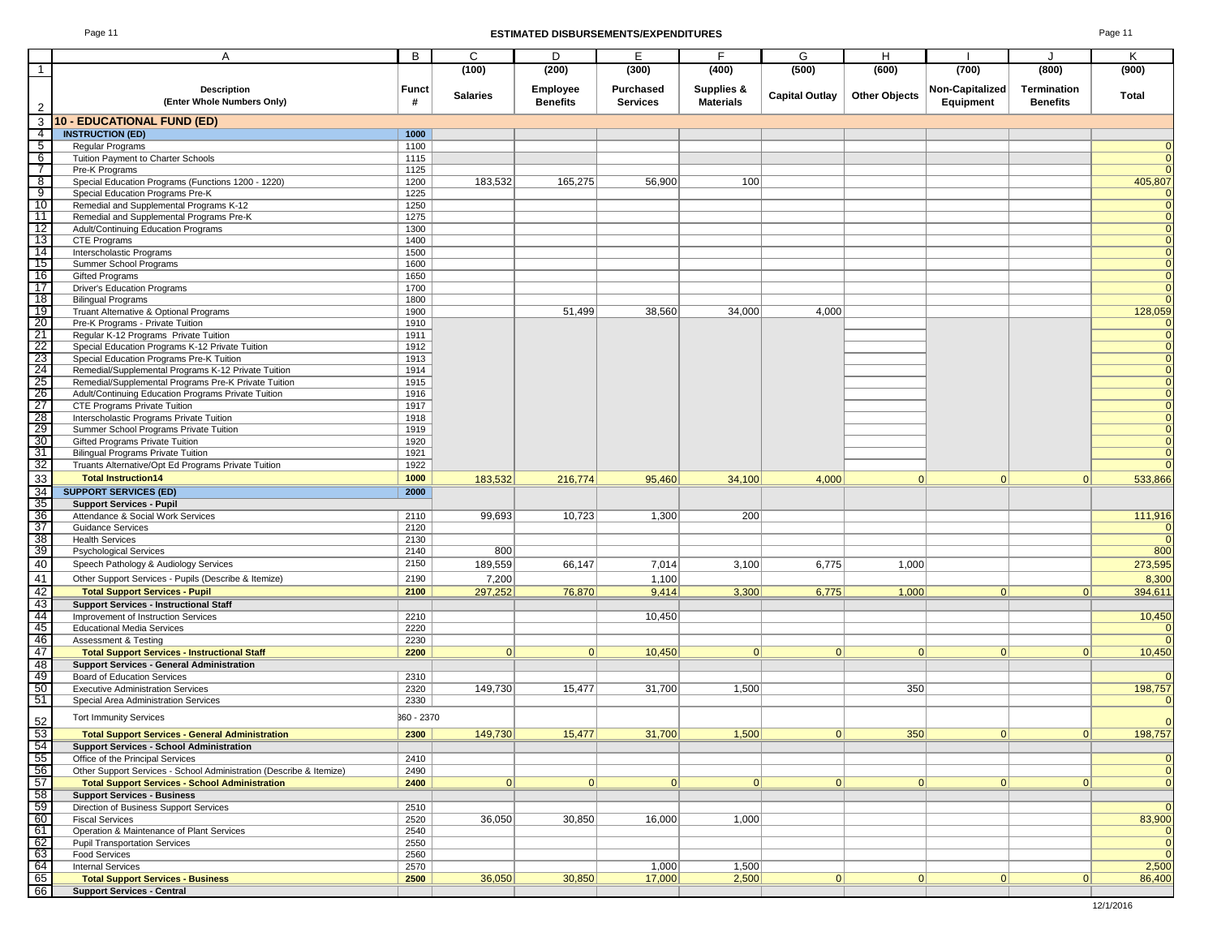#### Page 11 **ESTIMATED DISBURSEMENTS/EXPENDITURES** Page 11

| age |  |  |
|-----|--|--|
|-----|--|--|

|                                                                                      | A                                                                                               | B            | C                | D               | Е                | F.               | G                     | H                    |                 | J               | K                |
|--------------------------------------------------------------------------------------|-------------------------------------------------------------------------------------------------|--------------|------------------|-----------------|------------------|------------------|-----------------------|----------------------|-----------------|-----------------|------------------|
| $\overline{1}$                                                                       |                                                                                                 |              | (100)            | (200)           | (300)            | (400)            | (500)                 | (600)                | (700)           | (800)           | (900)            |
|                                                                                      | <b>Description</b>                                                                              | Funct        | <b>Salaries</b>  | Employee        | <b>Purchased</b> | Supplies &       | <b>Capital Outlay</b> | <b>Other Objects</b> | Non-Capitalized | Termination     | Total            |
| $\overline{2}$                                                                       | (Enter Whole Numbers Only)                                                                      | #            |                  | <b>Benefits</b> | <b>Services</b>  | <b>Materials</b> |                       |                      | Equipment       | <b>Benefits</b> |                  |
| 3                                                                                    | <b>10 - EDUCATIONAL FUND (ED)</b>                                                               |              |                  |                 |                  |                  |                       |                      |                 |                 |                  |
| $\overline{4}$                                                                       | <b>INSTRUCTION (ED)</b>                                                                         | 1000         |                  |                 |                  |                  |                       |                      |                 |                 |                  |
| $\begin{array}{c} 5 \\ 6 \end{array}$                                                | Regular Programs<br>Tuition Payment to Charter Schools                                          | 1100<br>1115 |                  |                 |                  |                  |                       |                      |                 |                 |                  |
| $\frac{\frac{3}{7}}{8}$                                                              | Pre-K Programs                                                                                  | 1125         |                  |                 |                  |                  |                       |                      |                 |                 |                  |
|                                                                                      | Special Education Programs (Functions 1200 - 1220)                                              | 1200         | 183,532          | 165,275         | 56,900           | 100              |                       |                      |                 |                 | 405,807          |
| 10                                                                                   | Special Education Programs Pre-K<br>Remedial and Supplemental Programs K-12                     | 1225<br>1250 |                  |                 |                  |                  |                       |                      |                 |                 |                  |
| $-11$                                                                                | Remedial and Supplemental Programs Pre-K                                                        | 1275         |                  |                 |                  |                  |                       |                      |                 |                 |                  |
| 12                                                                                   | Adult/Continuing Education Programs                                                             | 1300         |                  |                 |                  |                  |                       |                      |                 |                 |                  |
| $\frac{1}{13}$                                                                       | CTE Programs                                                                                    | 1400         |                  |                 |                  |                  |                       |                      |                 |                 |                  |
|                                                                                      | Interscholastic Programs<br>Summer School Programs                                              | 1500<br>1600 |                  |                 |                  |                  |                       |                      |                 |                 |                  |
| $\frac{11}{16}$<br>$\frac{16}{17}$                                                   | Gifted Programs                                                                                 | 1650         |                  |                 |                  |                  |                       |                      |                 |                 |                  |
|                                                                                      | <b>Driver's Education Programs</b>                                                              | 1700         |                  |                 |                  |                  |                       |                      |                 |                 |                  |
| 18                                                                                   | <b>Bilingual Programs</b>                                                                       | 1800<br>1900 |                  | 51,499          | 38,560           | 34,000           | 4,000                 |                      |                 |                 | 128,059          |
| $\frac{19}{20}$                                                                      | Truant Alternative & Optional Programs<br>Pre-K Programs - Private Tuition                      | 1910         |                  |                 |                  |                  |                       |                      |                 |                 |                  |
| 21                                                                                   | Regular K-12 Programs Private Tuition                                                           | 1911         |                  |                 |                  |                  |                       |                      |                 |                 |                  |
| $\frac{22}{23}$<br>$\frac{24}{25}$<br>$\frac{26}{27}$                                | Special Education Programs K-12 Private Tuition                                                 | 1912         |                  |                 |                  |                  |                       |                      |                 |                 |                  |
|                                                                                      | Special Education Programs Pre-K Tuition<br>Remedial/Supplemental Programs K-12 Private Tuition | 1913<br>1914 |                  |                 |                  |                  |                       |                      |                 |                 |                  |
|                                                                                      | Remedial/Supplemental Programs Pre-K Private Tuition                                            | 1915         |                  |                 |                  |                  |                       |                      |                 |                 |                  |
|                                                                                      | Adult/Continuing Education Programs Private Tuition                                             | 1916         |                  |                 |                  |                  |                       |                      |                 |                 |                  |
|                                                                                      | CTE Programs Private Tuition                                                                    | 1917         |                  |                 |                  |                  |                       |                      |                 |                 |                  |
|                                                                                      | Interscholastic Programs Private Tuition<br>Summer School Programs Private Tuition              | 1918<br>1919 |                  |                 |                  |                  |                       |                      |                 |                 |                  |
|                                                                                      | Gifted Programs Private Tuition                                                                 | 1920         |                  |                 |                  |                  |                       |                      |                 |                 |                  |
| $\frac{28}{29}$<br>$\frac{29}{30}$<br>$\frac{31}{31}$                                | <b>Bilingual Programs Private Tuition</b>                                                       | 1921         |                  |                 |                  |                  |                       |                      |                 |                 |                  |
| $\overline{32}$                                                                      | Truants Alternative/Opt Ed Programs Private Tuition                                             | 1922         |                  |                 |                  |                  |                       |                      |                 |                 |                  |
| 33                                                                                   | <b>Total Instruction14</b>                                                                      | 1000         | 183,532          | 216,774         | 95,460           | 34,100           | 4,000                 | $\Omega$             | $\Omega$        | $\Omega$        | 533,866          |
| 34                                                                                   | <b>SUPPORT SERVICES (ED)</b><br><b>Support Services - Pupil</b>                                 | 2000         |                  |                 |                  |                  |                       |                      |                 |                 |                  |
| $\frac{35}{36}$                                                                      | Attendance & Social Work Services                                                               | 2110         | 99,693           | 10,723          | 1,300            | 200              |                       |                      |                 |                 | 111,916          |
| $\begin{array}{r} \n \overline{37} \\ \overline{38} \\ \overline{39} \\ \end{array}$ | <b>Guidance Services</b>                                                                        | 2120         |                  |                 |                  |                  |                       |                      |                 |                 |                  |
|                                                                                      | <b>Health Services</b>                                                                          | 2130         |                  |                 |                  |                  |                       |                      |                 |                 |                  |
| 40                                                                                   | <b>Psychological Services</b>                                                                   | 2140<br>2150 | 800              |                 |                  |                  |                       |                      |                 |                 | 800              |
| 41                                                                                   | Speech Pathology & Audiology Services<br>Other Support Services - Pupils (Describe & Itemize)   | 2190         | 189,559<br>7,200 | 66,147          | 7,014<br>1,100   | 3,100            | 6,775                 | 1,000                |                 |                 | 273,595<br>8,300 |
|                                                                                      | <b>Total Support Services - Pupil</b>                                                           | 2100         | 297,252          | 76,870          | 9,414            | 3,300            | 6,775                 | 1,000                | 0               | 0               | 394,611          |
|                                                                                      | <b>Support Services - Instructional Staff</b>                                                   |              |                  |                 |                  |                  |                       |                      |                 |                 |                  |
| $\begin{array}{r} 42 \\ 43 \\ 44 \\ \hline 45 \\ 46 \end{array}$                     | Improvement of Instruction Services                                                             | 2210         |                  |                 | 10,450           |                  |                       |                      |                 |                 | 10,450           |
|                                                                                      | <b>Educational Media Services</b>                                                               | 2220         |                  |                 |                  |                  |                       |                      |                 |                 |                  |
| 47                                                                                   | Assessment & Testing<br><b>Total Support Services - Instructional Staff</b>                     | 2230<br>2200 | 0                | 0               | 10,450           | 0                | 0                     | 0                    | 0               | 0               | 10,450           |
|                                                                                      | <b>Support Services - General Administration</b>                                                |              |                  |                 |                  |                  |                       |                      |                 |                 |                  |
| 48<br>49                                                                             | <b>Board of Education Services</b>                                                              | 2310         |                  |                 |                  |                  |                       |                      |                 |                 |                  |
| $\frac{50}{51}$                                                                      | <b>Executive Administration Services</b>                                                        | 2320         | 149,730          | 15,477          | 31,700           | 1,500            |                       | 350                  |                 |                 | 198,757          |
|                                                                                      | Special Area Administration Services                                                            | 2330         |                  |                 |                  |                  |                       |                      |                 |                 |                  |
| 52                                                                                   | <b>Tort Immunity Services</b>                                                                   | 360 - 2370   |                  |                 |                  |                  |                       |                      |                 |                 |                  |
| <u>മിരിച്ചിരിയില്ലാണ്ട് പ്രവ</u>                                                     | <b>Total Support Services - General Administration</b>                                          | 2300         | 149,730          | 15,477          | 31,700           | 1,500            | $\overline{0}$        | 350                  | 0               | 0               | 198,757          |
|                                                                                      | <b>Support Services - School Administration</b><br>Office of the Principal Services             | 2410         |                  |                 |                  |                  |                       |                      |                 |                 |                  |
|                                                                                      | Other Support Services - School Administration (Describe & Itemize)                             | 2490         |                  |                 |                  |                  |                       |                      |                 |                 |                  |
|                                                                                      | <b>Total Support Services - School Administration</b>                                           | 2400         | 0                | 0               | 0                | 0                | 0                     | 0                    | 0               | 0               |                  |
|                                                                                      | <b>Support Services - Business</b>                                                              |              |                  |                 |                  |                  |                       |                      |                 |                 |                  |
|                                                                                      | Direction of Business Support Services                                                          | 2510         |                  |                 |                  |                  |                       |                      |                 |                 |                  |
|                                                                                      | <b>Fiscal Services</b><br>Operation & Maintenance of Plant Services                             | 2520<br>2540 | 36,050           | 30,850          | 16,000           | 1,000            |                       |                      |                 |                 | 83,900           |
|                                                                                      | <b>Pupil Transportation Services</b>                                                            | 2550         |                  |                 |                  |                  |                       |                      |                 |                 |                  |
|                                                                                      | <b>Food Services</b>                                                                            | 2560         |                  |                 |                  |                  |                       |                      |                 |                 |                  |
|                                                                                      | <b>Internal Services</b>                                                                        | 2570         |                  |                 | 1,000            | 1,500            |                       |                      |                 |                 | 2,500            |
| 65<br>66                                                                             | <b>Total Support Services - Business</b><br><b>Support Services - Central</b>                   | 2500         | 36,050           | 30,850          | 17,000           | 2,500            | 0                     | 0                    | 0               | 0               | 86,400           |
|                                                                                      |                                                                                                 |              |                  |                 |                  |                  |                       |                      |                 |                 |                  |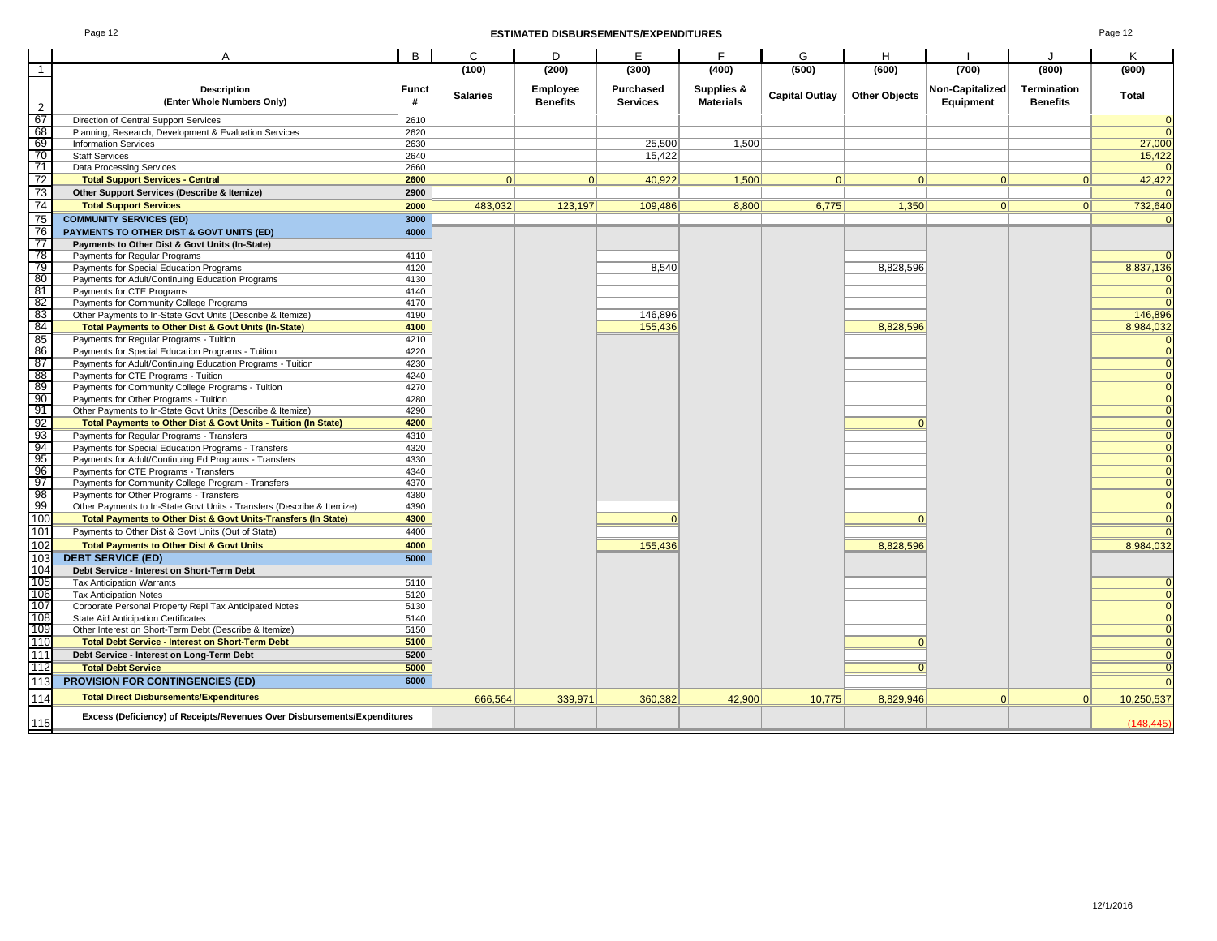#### Page 12 **ESTIMATED DISBURSEMENTS/EXPENDITURES** Page 12

|                                                      | A                                                                                                | B            | C               | D               | E               | F                | G                     | H                    |                 |                    | K                            |
|------------------------------------------------------|--------------------------------------------------------------------------------------------------|--------------|-----------------|-----------------|-----------------|------------------|-----------------------|----------------------|-----------------|--------------------|------------------------------|
| $\overline{1}$                                       |                                                                                                  |              | (100)           | (200)           | (300)           | (400)            | (500)                 | (600)                | (700)           | (800)              | (900)                        |
|                                                      | <b>Description</b>                                                                               | <b>Funct</b> |                 | Employee        | Purchased       | Supplies &       |                       |                      | Non-Capitalized | <b>Termination</b> |                              |
| 2                                                    | (Enter Whole Numbers Only)                                                                       | #            | <b>Salaries</b> | <b>Benefits</b> | <b>Services</b> | <b>Materials</b> | <b>Capital Outlay</b> | <b>Other Objects</b> | Equipment       | <b>Benefits</b>    | Total                        |
| 67                                                   | Direction of Central Support Services                                                            | 2610         |                 |                 |                 |                  |                       |                      |                 |                    | $\mathbf{0}$                 |
|                                                      | Planning, Research, Development & Evaluation Services                                            | 2620         |                 |                 |                 |                  |                       |                      |                 |                    | $\mathbf{0}$                 |
|                                                      | <b>Information Services</b>                                                                      | 2630         |                 |                 | 25,500          | 1.500            |                       |                      |                 |                    | 27,000                       |
| စ်စေး                                                | <b>Staff Services</b>                                                                            | 2640         |                 |                 | 15,422          |                  |                       |                      |                 |                    | 15,422                       |
| $\overline{71}$                                      | <b>Data Processing Services</b>                                                                  | 2660         |                 |                 |                 |                  |                       |                      |                 |                    | $\Omega$                     |
| 72                                                   | <b>Total Support Services - Central</b>                                                          | 2600         | 0               | 0               | 40.922          | 1.500            | 0                     | 0                    | 0               | 0                  | 42,422                       |
| $\frac{73}{74}$                                      | Other Support Services (Describe & Itemize)                                                      | 2900         |                 |                 |                 |                  |                       |                      |                 |                    | $\Omega$                     |
|                                                      | <b>Total Support Services</b>                                                                    | 2000         | 483,032         | 123,197         | 109,486         | 8,800            | 6,775                 | 1,350                | 0               | 0                  | 732,640                      |
| 75                                                   | <b>COMMUNITY SERVICES (ED)</b>                                                                   | 3000         |                 |                 |                 |                  |                       |                      |                 |                    | $\Omega$                     |
| $\overline{76}$                                      | PAYMENTS TO OTHER DIST & GOVT UNITS (ED)                                                         | 4000         |                 |                 |                 |                  |                       |                      |                 |                    |                              |
| $\frac{1}{77}$                                       | Payments to Other Dist & Govt Units (In-State)                                                   |              |                 |                 |                 |                  |                       |                      |                 |                    |                              |
|                                                      | Payments for Regular Programs                                                                    | 4110         |                 |                 |                 |                  |                       |                      |                 |                    | $\Omega$                     |
| 78<br>79<br>80                                       | Payments for Special Education Programs                                                          | 4120         |                 |                 | 8.540           |                  |                       | 8.828.596            |                 |                    | 8,837,136                    |
|                                                      | Payments for Adult/Continuing Education Programs                                                 | 4130         |                 |                 |                 |                  |                       |                      |                 |                    | 0                            |
| 81                                                   | Payments for CTE Programs                                                                        | 4140         |                 |                 |                 |                  |                       |                      |                 |                    | $\mathbf{0}$                 |
| $rac{82}{83}$                                        | Payments for Community College Programs                                                          | 4170         |                 |                 |                 |                  |                       |                      |                 |                    | $\Omega$                     |
|                                                      | Other Payments to In-State Govt Units (Describe & Itemize)                                       | 4190         |                 |                 | 146,896         |                  |                       |                      |                 |                    | 146,896                      |
| 84                                                   | Total Payments to Other Dist & Govt Units (In-State)                                             | 4100         |                 |                 | 155,436         |                  |                       | 8,828,596            |                 |                    | 8,984,032                    |
| $\begin{array}{r} 85 \\ 86 \\ \hline 87 \end{array}$ | Payments for Regular Programs - Tuition                                                          | 4210         |                 |                 |                 |                  |                       |                      |                 |                    | $\mathbf 0$                  |
|                                                      | Payments for Special Education Programs - Tuition                                                | 4220         |                 |                 |                 |                  |                       |                      |                 |                    | $\mathbf{0}$                 |
|                                                      | Payments for Adult/Continuing Education Programs - Tuition                                       | 4230         |                 |                 |                 |                  |                       |                      |                 |                    | $\mathbf{0}$                 |
| 88<br>88<br>90                                       | Payments for CTE Programs - Tuition                                                              | 4240         |                 |                 |                 |                  |                       |                      |                 |                    | $\Omega$                     |
|                                                      | Payments for Community College Programs - Tuition                                                | 4270         |                 |                 |                 |                  |                       |                      |                 |                    | $\Omega$                     |
| 91                                                   | Payments for Other Programs - Tuition                                                            | 4280<br>4290 |                 |                 |                 |                  |                       |                      |                 |                    | $\Omega$<br>$\mathbf{0}$     |
|                                                      | Other Payments to In-State Govt Units (Describe & Itemize)                                       | 4200         |                 |                 |                 |                  |                       | $\Omega$             |                 |                    |                              |
| ၁)<br>၁) ၁) ၁) ၁)<br>၁) ၁) ၁                         | Total Payments to Other Dist & Govt Units - Tuition (In State)                                   | 4310         |                 |                 |                 |                  |                       |                      |                 |                    | $\Omega$                     |
|                                                      | Payments for Regular Programs - Transfers<br>Payments for Special Education Programs - Transfers | 4320         |                 |                 |                 |                  |                       |                      |                 |                    | $\mathbf{0}$<br>$\mathbf{0}$ |
|                                                      | Payments for Adult/Continuing Ed Programs - Transfers                                            | 4330         |                 |                 |                 |                  |                       |                      |                 |                    | $\mathbf{0}$                 |
|                                                      | Payments for CTE Programs - Transfers                                                            | 4340         |                 |                 |                 |                  |                       |                      |                 |                    | $\Omega$                     |
|                                                      | Payments for Community College Program - Transfers                                               | 4370         |                 |                 |                 |                  |                       |                      |                 |                    | $\mathbf{0}$                 |
|                                                      | Payments for Other Programs - Transfers                                                          | 4380         |                 |                 |                 |                  |                       |                      |                 |                    | $\Omega$                     |
| $rac{98}{99}$                                        | Other Payments to In-State Govt Units - Transfers (Describe & Itemize)                           | 4390         |                 |                 |                 |                  |                       |                      |                 |                    | $\mathbf{0}$                 |
| 100                                                  | Total Payments to Other Dist & Govt Units-Transfers (In State)                                   | 4300         |                 |                 | $\Omega$        |                  |                       | $\Omega$             |                 |                    | $\mathbf{0}$                 |
| 101                                                  | Payments to Other Dist & Govt Units (Out of State)                                               | 4400         |                 |                 |                 |                  |                       |                      |                 |                    |                              |
| 102                                                  | <b>Total Payments to Other Dist &amp; Govt Units</b>                                             | 4000         |                 |                 | 155,436         |                  |                       | 8,828,596            |                 |                    | 8,984,032                    |
| 103                                                  | <b>DEBT SERVICE (ED)</b>                                                                         | 5000         |                 |                 |                 |                  |                       |                      |                 |                    |                              |
|                                                      | Debt Service - Interest on Short-Term Debt                                                       |              |                 |                 |                 |                  |                       |                      |                 |                    |                              |
| 104<br>105                                           | <b>Tax Anticipation Warrants</b>                                                                 | 5110         |                 |                 |                 |                  |                       |                      |                 |                    | $\Omega$                     |
|                                                      | <b>Tax Anticipation Notes</b>                                                                    | 5120         |                 |                 |                 |                  |                       |                      |                 |                    | $\mathbf{0}$                 |
| 106<br>107                                           | Corporate Personal Property Repl Tax Anticipated Notes                                           | 5130         |                 |                 |                 |                  |                       |                      |                 |                    | $\mathbf{0}$                 |
|                                                      | <b>State Aid Anticipation Certificates</b>                                                       | 5140         |                 |                 |                 |                  |                       |                      |                 |                    | $\mathbf{0}$                 |
| 108<br>109                                           | Other Interest on Short-Term Debt (Describe & Itemize)                                           | 5150         |                 |                 |                 |                  |                       |                      |                 |                    | $\mathbf{0}$                 |
| 110                                                  | <b>Total Debt Service - Interest on Short-Term Debt</b>                                          | 5100         |                 |                 |                 |                  |                       | $\Omega$             |                 |                    | $\mathbf{0}$                 |
| 111                                                  | Debt Service - Interest on Long-Term Debt                                                        | 5200         |                 |                 |                 |                  |                       |                      |                 |                    | $\mathbf{0}$                 |
| 112                                                  | <b>Total Debt Service</b>                                                                        | 5000         |                 |                 |                 |                  |                       | $\Omega$             |                 |                    | $\mathbf{0}$                 |
| 113                                                  | <b>PROVISION FOR CONTINGENCIES (ED)</b>                                                          | 6000         |                 |                 |                 |                  |                       |                      |                 |                    | $\Omega$                     |
| 114                                                  | <b>Total Direct Disbursements/Expenditures</b>                                                   |              | 666,564         | 339,971         | 360,382         | 42,900           | 10,775                | 8,829,946            | $\Omega$        | $\mathbf{0}$       | 10,250,537                   |
|                                                      | Excess (Deficiency) of Receipts/Revenues Over Disbursements/Expenditures                         |              |                 |                 |                 |                  |                       |                      |                 |                    |                              |
| 115                                                  |                                                                                                  |              |                 |                 |                 |                  |                       |                      |                 |                    | (148, 445)                   |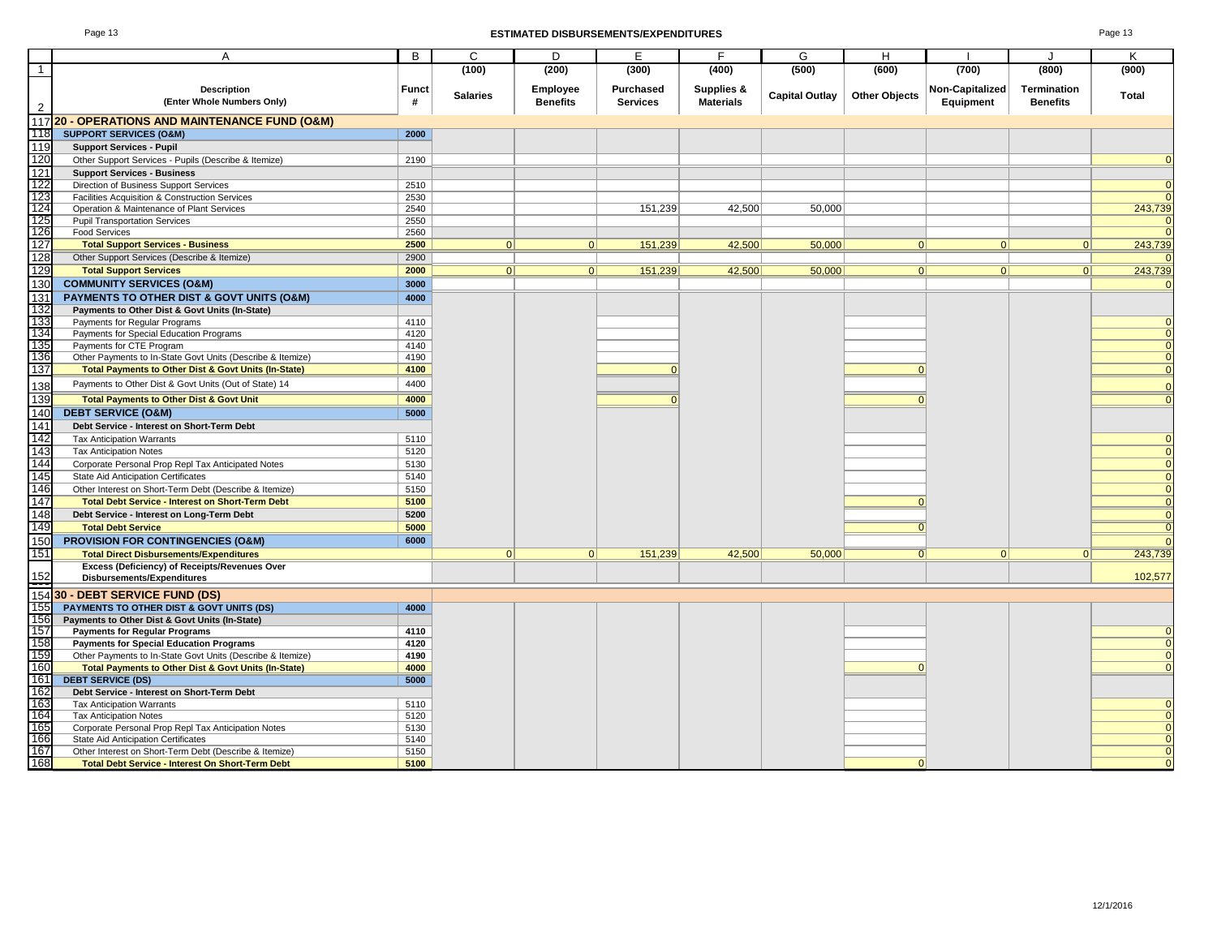#### Page 13 **ESTIMATED DISBURSEMENTS/EXPENDITURES** Page 13

|                   | A                                                          | B            | C               | D               | E                | F                | G                     | Н                    |                 | J                  | Κ              |
|-------------------|------------------------------------------------------------|--------------|-----------------|-----------------|------------------|------------------|-----------------------|----------------------|-----------------|--------------------|----------------|
| $\overline{1}$    |                                                            |              | (100)           | (200)           | (300)            | (400)            | (500)                 | (600)                | (700)           | (800)              | (900)          |
|                   | <b>Description</b>                                         | <b>Funct</b> |                 |                 | <b>Purchased</b> | Supplies &       |                       |                      | Non-Capitalized | <b>Termination</b> |                |
|                   |                                                            |              | <b>Salaries</b> | <b>Employee</b> |                  |                  | <b>Capital Outlay</b> | <b>Other Objects</b> |                 |                    | Total          |
| $\overline{2}$    | (Enter Whole Numbers Only)                                 | #            |                 | <b>Benefits</b> | <b>Services</b>  | <b>Materials</b> |                       |                      | Equipment       | <b>Benefits</b>    |                |
|                   | 117 20 - OPERATIONS AND MAINTENANCE FUND (O&M)             |              |                 |                 |                  |                  |                       |                      |                 |                    |                |
| 118               | <b>SUPPORT SERVICES (O&amp;M)</b>                          | 2000         |                 |                 |                  |                  |                       |                      |                 |                    |                |
| 119               | <b>Support Services - Pupil</b>                            |              |                 |                 |                  |                  |                       |                      |                 |                    |                |
| 120               |                                                            | 2190         |                 |                 |                  |                  |                       |                      |                 |                    |                |
|                   | Other Support Services - Pupils (Describe & Itemize)       |              |                 |                 |                  |                  |                       |                      |                 |                    |                |
| 121               | <b>Support Services - Business</b>                         |              |                 |                 |                  |                  |                       |                      |                 |                    |                |
| 122               | Direction of Business Support Services                     | 2510         |                 |                 |                  |                  |                       |                      |                 |                    |                |
|                   | Facilities Acquisition & Construction Services             | 2530         |                 |                 |                  |                  |                       |                      |                 |                    | $\Omega$       |
| 123<br>124<br>125 | Operation & Maintenance of Plant Services                  | 2540         |                 |                 | 151,239          | 42,500           | 50,000                |                      |                 |                    | 243,739        |
|                   | <b>Pupil Transportation Services</b>                       | 2550         |                 |                 |                  |                  |                       |                      |                 |                    | 0              |
| 126               | <b>Food Services</b>                                       | 2560         |                 |                 |                  |                  |                       |                      |                 |                    |                |
| 127               | <b>Total Support Services - Business</b>                   | 2500         | 0               | 0               | 151,239          | 42,500           | 50,000                | 0                    | 0               | 0                  | 243,739        |
| 128               | Other Support Services (Describe & Itemize)                | 2900         |                 |                 |                  |                  |                       |                      |                 |                    |                |
| 129               | <b>Total Support Services</b>                              | 2000         | 0               | 0               | 151,239          | 42,500           | 50,000                | 0                    | 0               | 0                  | 243,739        |
| 130               | <b>COMMUNITY SERVICES (O&amp;M)</b>                        | 3000         |                 |                 |                  |                  |                       |                      |                 |                    | $\Omega$       |
| 131<br>132        | PAYMENTS TO OTHER DIST & GOVT UNITS (O&M)                  | 4000         |                 |                 |                  |                  |                       |                      |                 |                    |                |
|                   | Payments to Other Dist & Govt Units (In-State)             |              |                 |                 |                  |                  |                       |                      |                 |                    |                |
| 133               | Payments for Regular Programs                              | 4110         |                 |                 |                  |                  |                       |                      |                 |                    |                |
| 134               | Payments for Special Education Programs                    | 4120         |                 |                 |                  |                  |                       |                      |                 |                    |                |
| 135               | Payments for CTE Program                                   | 4140         |                 |                 |                  |                  |                       |                      |                 |                    | $\Omega$       |
| 136               | Other Payments to In-State Govt Units (Describe & Itemize) | 4190         |                 |                 |                  |                  |                       |                      |                 |                    | $\Omega$       |
| 137               | Total Payments to Other Dist & Govt Units (In-State)       | 4100         |                 |                 | $\Omega$         |                  |                       | $\Omega$             |                 |                    | $\mathbf{0}$   |
|                   |                                                            |              |                 |                 |                  |                  |                       |                      |                 |                    |                |
| 138               | Payments to Other Dist & Govt Units (Out of State) 14      | 4400         |                 |                 |                  |                  |                       |                      |                 |                    | $\mathbf{0}$   |
| 139               | <b>Total Payments to Other Dist &amp; Govt Unit</b>        | 4000         |                 |                 | $\Omega$         |                  |                       | $\Omega$             |                 |                    | $\Omega$       |
| 140               | <b>DEBT SERVICE (O&amp;M)</b>                              | 5000         |                 |                 |                  |                  |                       |                      |                 |                    |                |
| 141               | Debt Service - Interest on Short-Term Debt                 |              |                 |                 |                  |                  |                       |                      |                 |                    |                |
| 142               | <b>Tax Anticipation Warrants</b>                           | 5110         |                 |                 |                  |                  |                       |                      |                 |                    | $\mathbf 0$    |
| 143               | <b>Tax Anticipation Notes</b>                              | 5120         |                 |                 |                  |                  |                       |                      |                 |                    | $\mathbf{0}$   |
| 144               | Corporate Personal Prop Repl Tax Anticipated Notes         | 5130         |                 |                 |                  |                  |                       |                      |                 |                    |                |
| 145               | State Aid Anticipation Certificates                        | 5140         |                 |                 |                  |                  |                       |                      |                 |                    | $\Omega$       |
| 146               | Other Interest on Short-Term Debt (Describe & Itemize)     | 5150         |                 |                 |                  |                  |                       |                      |                 |                    |                |
| 147               |                                                            |              |                 |                 |                  |                  |                       | $\Omega$             |                 |                    |                |
|                   | <b>Total Debt Service - Interest on Short-Term Debt</b>    | 5100         |                 |                 |                  |                  |                       |                      |                 |                    |                |
| 148               | Debt Service - Interest on Long-Term Debt                  | 5200         |                 |                 |                  |                  |                       |                      |                 |                    | $\mathbf{0}$   |
| 149               | <b>Total Debt Service</b>                                  | 5000         |                 |                 |                  |                  |                       | $\overline{0}$       |                 |                    | $\mathbf 0$    |
| 150               | <b>PROVISION FOR CONTINGENCIES (O&amp;M)</b>               | 6000         |                 |                 |                  |                  |                       |                      |                 |                    |                |
| 151               | <b>Total Direct Disbursements/Expenditures</b>             |              | 0               | 0               | 151,239          | 42,500           | 50,000                | $\overline{0}$       | 0               | 0                  | 243,739        |
|                   | Excess (Deficiency) of Receipts/Revenues Over              |              |                 |                 |                  |                  |                       |                      |                 |                    |                |
| $\frac{152}{154}$ | Disbursements/Expenditures                                 |              |                 |                 |                  |                  |                       |                      |                 |                    | 102,577        |
|                   | <b>30 - DEBT SERVICE FUND (DS)</b>                         |              |                 |                 |                  |                  |                       |                      |                 |                    |                |
| 155               | PAYMENTS TO OTHER DIST & GOVT UNITS (DS)                   | 4000         |                 |                 |                  |                  |                       |                      |                 |                    |                |
| 156               | Payments to Other Dist & Govt Units (In-State)             |              |                 |                 |                  |                  |                       |                      |                 |                    |                |
|                   | <b>Payments for Regular Programs</b>                       | 4110         |                 |                 |                  |                  |                       |                      |                 |                    |                |
| 157<br>158<br>159 | <b>Payments for Special Education Programs</b>             | 4120         |                 |                 |                  |                  |                       |                      |                 |                    | $\overline{0}$ |
|                   | Other Payments to In-State Govt Units (Describe & Itemize) | 4190         |                 |                 |                  |                  |                       |                      |                 |                    | $\mathbf{0}$   |
| 160               | Total Payments to Other Dist & Govt Units (In-State)       | 4000         |                 |                 |                  |                  |                       | $\Omega$             |                 |                    |                |
| 161               |                                                            |              |                 |                 |                  |                  |                       |                      |                 |                    |                |
|                   | <b>DEBT SERVICE (DS)</b>                                   | 5000         |                 |                 |                  |                  |                       |                      |                 |                    |                |
| $\frac{162}{163}$ | Debt Service - Interest on Short-Term Debt                 |              |                 |                 |                  |                  |                       |                      |                 |                    |                |
| 164               | <b>Tax Anticipation Warrants</b>                           | 5110         |                 |                 |                  |                  |                       |                      |                 |                    |                |
| 165               | <b>Tax Anticipation Notes</b>                              | 5120         |                 |                 |                  |                  |                       |                      |                 |                    |                |
| 166               | Corporate Personal Prop Repl Tax Anticipation Notes        | 5130         |                 |                 |                  |                  |                       |                      |                 |                    |                |
| 167               | State Aid Anticipation Certificates                        | 5140         |                 |                 |                  |                  |                       |                      |                 |                    |                |
|                   | Other Interest on Short-Term Debt (Describe & Itemize)     | 5150         |                 |                 |                  |                  |                       |                      |                 |                    | 0              |
| 168               | <b>Total Debt Service - Interest On Short-Term Debt</b>    | 5100         |                 |                 |                  |                  |                       | $\Omega$             |                 |                    |                |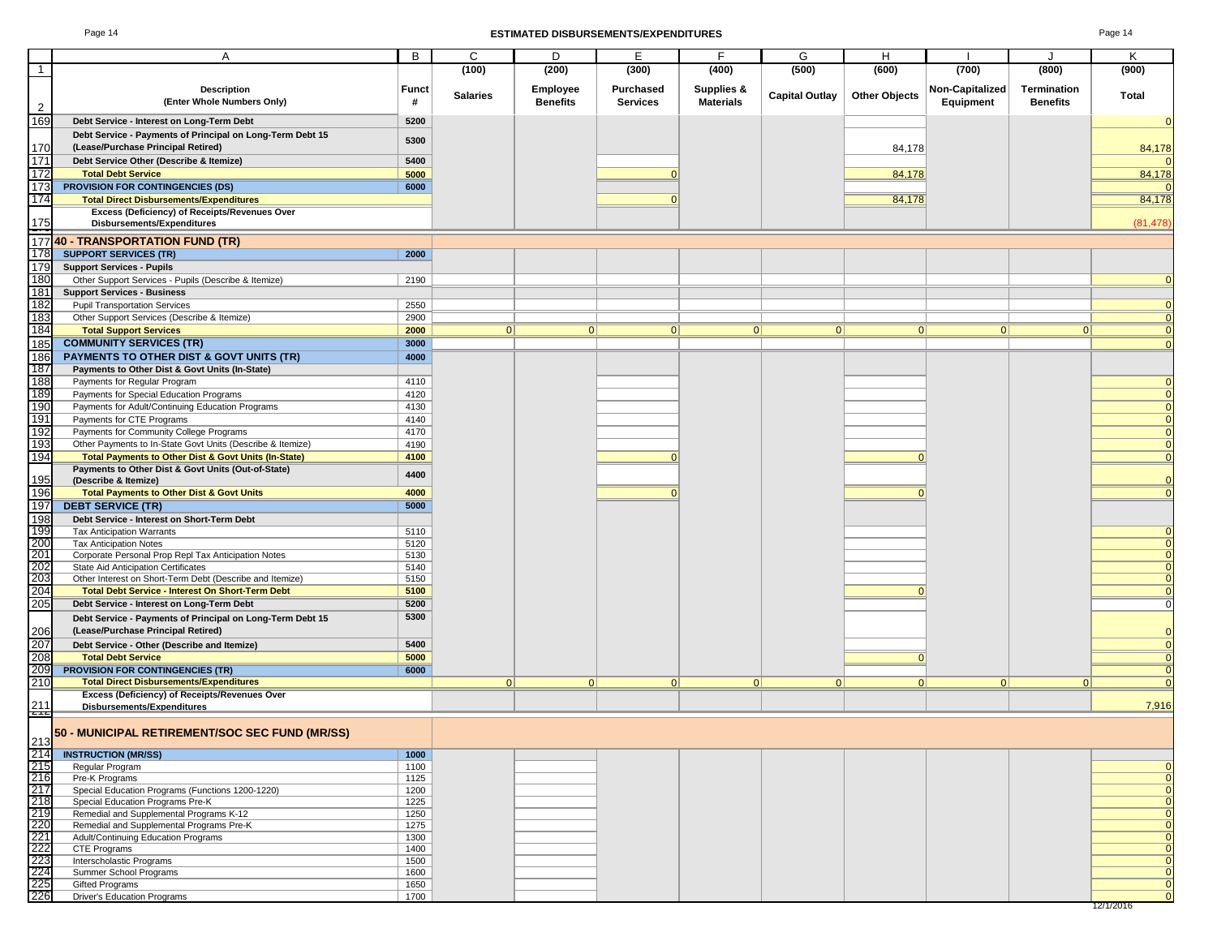### Page 14 **ESTIMATED DISBURSEMENTS/EXPENDITURES** Page 14

|                                                      |                                                            | B            | C               | D               | E               | F.               |                       |                      |                 |                 |                            |
|------------------------------------------------------|------------------------------------------------------------|--------------|-----------------|-----------------|-----------------|------------------|-----------------------|----------------------|-----------------|-----------------|----------------------------|
|                                                      | A                                                          |              |                 |                 |                 |                  | G                     | H                    |                 | J               | Κ                          |
| $\mathbf{1}$                                         |                                                            |              | (100)           | (200)           | (300)           | (400)            | (500)                 | (600)                | (700)           | (800)           | (900)                      |
|                                                      | <b>Description</b>                                         | <b>Funct</b> |                 | <b>Employee</b> | Purchased       | Supplies &       |                       |                      | Non-Capitalized | Termination     |                            |
|                                                      | (Enter Whole Numbers Only)                                 | #            | <b>Salaries</b> | <b>Benefits</b> | <b>Services</b> | <b>Materials</b> | <b>Capital Outlay</b> | <b>Other Objects</b> | Equipment       | <b>Benefits</b> | Total                      |
| $\overline{2}$                                       |                                                            |              |                 |                 |                 |                  |                       |                      |                 |                 |                            |
| 169                                                  | Debt Service - Interest on Long-Term Debt                  | 5200         |                 |                 |                 |                  |                       |                      |                 |                 | $\Omega$                   |
|                                                      | Debt Service - Payments of Principal on Long-Term Debt 15  | 5300         |                 |                 |                 |                  |                       |                      |                 |                 |                            |
| 170                                                  | (Lease/Purchase Principal Retired)                         |              |                 |                 |                 |                  |                       | 84,178               |                 |                 | 84,178                     |
| 171                                                  | Debt Service Other (Describe & Itemize)                    | 5400         |                 |                 |                 |                  |                       |                      |                 |                 |                            |
| 172                                                  | <b>Total Debt Service</b>                                  | 5000         |                 |                 |                 |                  |                       | 84,178               |                 |                 | 84,178                     |
| 173                                                  | PROVISION FOR CONTINGENCIES (DS)                           | 6000         |                 |                 |                 |                  |                       |                      |                 |                 |                            |
| 174                                                  | <b>Total Direct Disbursements/Expenditures</b>             |              |                 |                 | $\Omega$        |                  |                       | 84,178               |                 |                 | 84,178                     |
|                                                      | Excess (Deficiency) of Receipts/Revenues Over              |              |                 |                 |                 |                  |                       |                      |                 |                 |                            |
| $\frac{175}{2}$                                      | Disbursements/Expenditures                                 |              |                 |                 |                 |                  |                       |                      |                 |                 | (81, 478)                  |
|                                                      |                                                            |              |                 |                 |                 |                  |                       |                      |                 |                 |                            |
|                                                      | 17740 - TRANSPORTATION FUND (TR)                           |              |                 |                 |                 |                  |                       |                      |                 |                 |                            |
| 178                                                  | <b>SUPPORT SERVICES (TR)</b>                               | 2000         |                 |                 |                 |                  |                       |                      |                 |                 |                            |
| 179                                                  | <b>Support Services - Pupils</b>                           |              |                 |                 |                 |                  |                       |                      |                 |                 |                            |
| 180                                                  | Other Support Services - Pupils (Describe & Itemize)       | 2190         |                 |                 |                 |                  |                       |                      |                 |                 |                            |
| 181                                                  | <b>Support Services - Business</b>                         |              |                 |                 |                 |                  |                       |                      |                 |                 |                            |
| 182                                                  | <b>Pupil Transportation Services</b>                       | 2550         |                 |                 |                 |                  |                       |                      |                 |                 |                            |
| 183                                                  | Other Support Services (Describe & Itemize)                | 2900         |                 |                 |                 |                  |                       |                      |                 |                 | $\Omega$                   |
| 184                                                  | <b>Total Support Services</b>                              | 2000         | 0               | 0               | 0               | 0                | 0                     | 0                    | 0               | 0               | $\Omega$                   |
| 185                                                  | <b>COMMUNITY SERVICES (TR)</b>                             | 3000         |                 |                 |                 |                  |                       |                      |                 |                 | $\Omega$                   |
| 186                                                  | <b>PAYMENTS TO OTHER DIST &amp; GOVT UNITS (TR)</b>        | 4000         |                 |                 |                 |                  |                       |                      |                 |                 |                            |
| 187                                                  | Payments to Other Dist & Govt Units (In-State)             |              |                 |                 |                 |                  |                       |                      |                 |                 |                            |
| 188                                                  | Payments for Regular Program                               | 4110         |                 |                 |                 |                  |                       |                      |                 |                 |                            |
| 189                                                  | Payments for Special Education Programs                    | 4120         |                 |                 |                 |                  |                       |                      |                 |                 | $\Omega$                   |
| 190                                                  | Payments for Adult/Continuing Education Programs           | 4130         |                 |                 |                 |                  |                       |                      |                 |                 | $\overline{0}$             |
| 191                                                  | Payments for CTE Programs                                  | 4140         |                 |                 |                 |                  |                       |                      |                 |                 | $\Omega$                   |
| 192                                                  | Payments for Community College Programs                    | 4170         |                 |                 |                 |                  |                       |                      |                 |                 | $\overline{0}$             |
| 193                                                  | Other Payments to In-State Govt Units (Describe & Itemize) | 4190         |                 |                 |                 |                  |                       |                      |                 |                 | $\overline{0}$             |
| 194                                                  | Total Payments to Other Dist & Govt Units (In-State)       | 4100         |                 |                 | $\Omega$        |                  |                       | $\Omega$             |                 |                 | $\overline{0}$             |
|                                                      | Payments to Other Dist & Govt Units (Out-of-State)         | 4400         |                 |                 |                 |                  |                       |                      |                 |                 |                            |
| 195                                                  | (Describe & Itemize)                                       |              |                 |                 |                 |                  |                       |                      |                 |                 | $\Omega$                   |
| 196                                                  | <b>Total Payments to Other Dist &amp; Govt Units</b>       | 4000         |                 |                 | $\Omega$        |                  |                       | $\Omega$             |                 |                 | $\Omega$                   |
| 197                                                  | <b>DEBT SERVICE (TR)</b>                                   | 5000         |                 |                 |                 |                  |                       |                      |                 |                 |                            |
| 198                                                  | Debt Service - Interest on Short-Term Debt                 |              |                 |                 |                 |                  |                       |                      |                 |                 |                            |
|                                                      | <b>Tax Anticipation Warrants</b>                           | 5110         |                 |                 |                 |                  |                       |                      |                 |                 |                            |
| 199<br>200                                           | <b>Tax Anticipation Notes</b>                              | 5120         |                 |                 |                 |                  |                       |                      |                 |                 | $\overline{0}$             |
| 201<br>202                                           | Corporate Personal Prop Repl Tax Anticipation Notes        | 5130         |                 |                 |                 |                  |                       |                      |                 |                 | $\overline{0}$             |
|                                                      | State Aid Anticipation Certificates                        | 5140         |                 |                 |                 |                  |                       |                      |                 |                 | $\overline{0}$             |
| 203                                                  | Other Interest on Short-Term Debt (Describe and Itemize)   | 5150         |                 |                 |                 |                  |                       |                      |                 |                 | $\Omega$                   |
| 204                                                  | <b>Total Debt Service - Interest On Short-Term Debt</b>    | 5100         |                 |                 |                 |                  |                       |                      |                 |                 | $\mathbf 0$                |
| 205                                                  | Debt Service - Interest on Long-Term Debt                  | 5200         |                 |                 |                 |                  |                       |                      |                 |                 | $\overline{0}$             |
|                                                      | Debt Service - Payments of Principal on Long-Term Debt 15  | 5300         |                 |                 |                 |                  |                       |                      |                 |                 |                            |
| 206                                                  | (Lease/Purchase Principal Retired)                         |              |                 |                 |                 |                  |                       |                      |                 |                 | $\Omega$                   |
| 207                                                  | Debt Service - Other (Describe and Itemize)                | 5400         |                 |                 |                 |                  |                       |                      |                 |                 | $\Omega$                   |
| 208                                                  | <b>Total Debt Service</b>                                  | 5000         |                 |                 |                 |                  |                       | $\Omega$             |                 |                 | $\Omega$                   |
| 209                                                  | <b>PROVISION FOR CONTINGENCIES (TR)</b>                    | 6000         |                 |                 |                 |                  |                       |                      |                 |                 |                            |
| 210                                                  | <b>Total Direct Disbursements/Expenditures</b>             |              | 0               | $\Omega$        | 0               | 0                | $\Omega$              | 0                    | $\mathbf{0}$    | $\Omega$        | $\overline{0}$             |
|                                                      | Excess (Deficiency) of Receipts/Revenues Over              |              |                 |                 |                 |                  |                       |                      |                 |                 |                            |
| 211                                                  | Disbursements/Expenditures                                 |              |                 |                 |                 |                  |                       |                      |                 |                 | 7,916                      |
|                                                      |                                                            |              |                 |                 |                 |                  |                       |                      |                 |                 |                            |
|                                                      | 50 - MUNICIPAL RETIREMENT/SOC SEC FUND (MR/SS)             |              |                 |                 |                 |                  |                       |                      |                 |                 |                            |
|                                                      |                                                            |              |                 |                 |                 |                  |                       |                      |                 |                 |                            |
|                                                      | <b>INSTRUCTION (MR/SS)</b>                                 | 1000         |                 |                 |                 |                  |                       |                      |                 |                 |                            |
|                                                      | Regular Program                                            | 1100         |                 |                 |                 |                  |                       |                      |                 |                 | $\Omega$                   |
| 213<br>214<br>215<br>216<br>217<br>218<br>219<br>219 | Pre-K Programs                                             | 1125         |                 |                 |                 |                  |                       |                      |                 |                 | $\overline{0}$             |
|                                                      | Special Education Programs (Functions 1200-1220)           | 1200         |                 |                 |                 |                  |                       |                      |                 |                 | $\overline{0}$             |
|                                                      | Special Education Programs Pre-K                           | 1225         |                 |                 |                 |                  |                       |                      |                 |                 | $\overline{0}$             |
|                                                      | Remedial and Supplemental Programs K-12                    | 1250         |                 |                 |                 |                  |                       |                      |                 |                 | $\overline{0}$<br>$\Omega$ |
|                                                      | Remedial and Supplemental Programs Pre-K                   | 1275<br>1300 |                 |                 |                 |                  |                       |                      |                 |                 | $\Omega$                   |
|                                                      | Adult/Continuing Education Programs<br>CTE Programs        | 1400         |                 |                 |                 |                  |                       |                      |                 |                 | $\overline{0}$             |
|                                                      | Interscholastic Programs                                   | 1500         |                 |                 |                 |                  |                       |                      |                 |                 | $\overline{0}$             |
|                                                      | Summer School Programs                                     | 1600         |                 |                 |                 |                  |                       |                      |                 |                 | $\overline{0}$             |
|                                                      | <b>Gifted Programs</b>                                     | 1650         |                 |                 |                 |                  |                       |                      |                 |                 | $\overline{0}$             |
| 220<br>221<br>222<br>223<br>224<br>225<br>225<br>226 | <b>Driver's Education Programs</b>                         | 1700         |                 |                 |                 |                  |                       |                      |                 |                 |                            |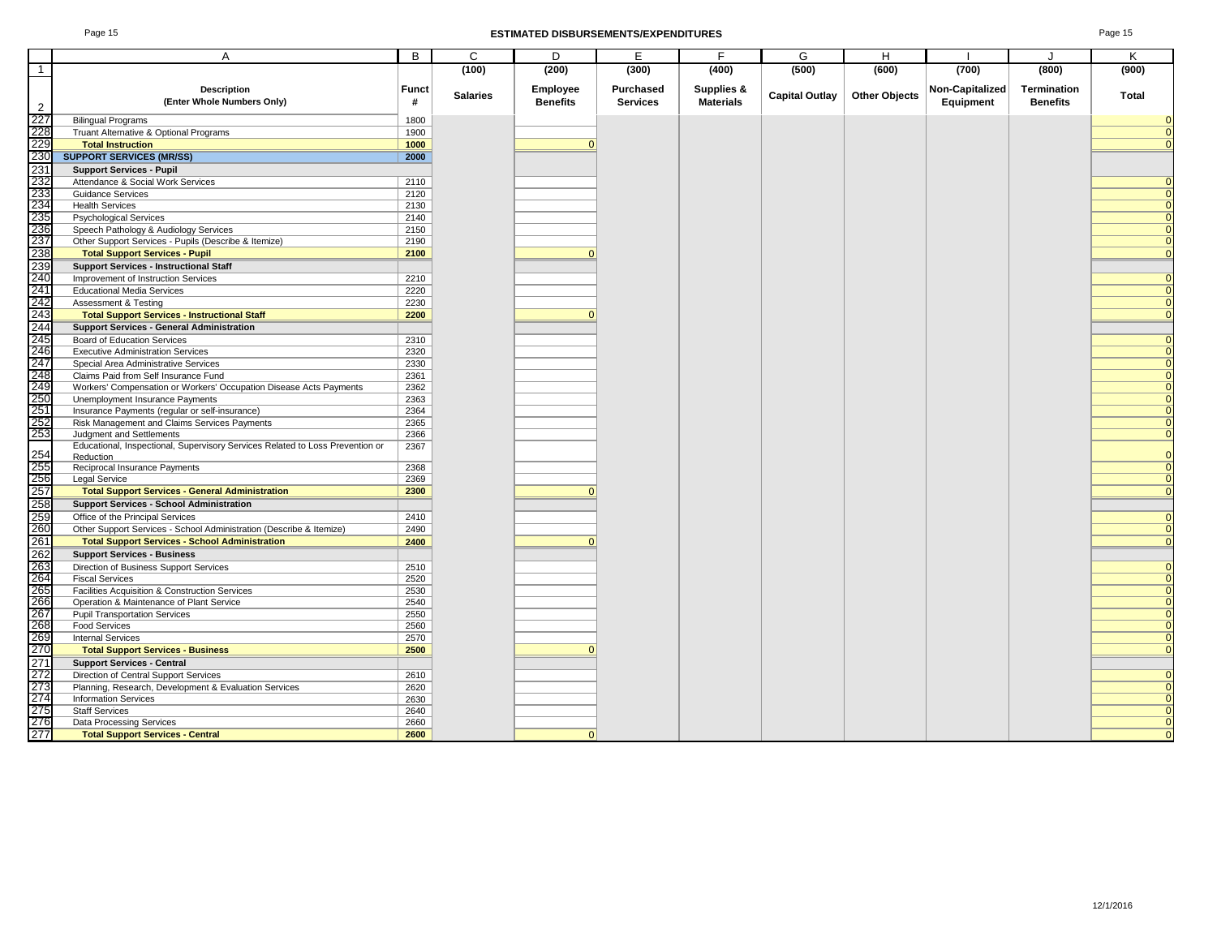#### Page 15 **ESTIMATED DISBURSEMENTS/EXPENDITURES** Page 15

| Page 15 |
|---------|
|---------|

|                                               | A                                                                                                                            | B            | C               | D               | Е               | F                | G                     | H                    |                 | J               | Κ                    |
|-----------------------------------------------|------------------------------------------------------------------------------------------------------------------------------|--------------|-----------------|-----------------|-----------------|------------------|-----------------------|----------------------|-----------------|-----------------|----------------------|
| $\overline{1}$                                |                                                                                                                              |              | (100)           | (200)           | (300)           | (400)            | (500)                 | (600)                | (700)           | (800)           | (900)                |
|                                               |                                                                                                                              |              |                 |                 |                 |                  |                       |                      |                 |                 |                      |
|                                               | Description<br>(Enter Whole Numbers Only)                                                                                    | Funct        | <b>Salaries</b> | Employee        | Purchased       | Supplies &       | <b>Capital Outlay</b> | <b>Other Objects</b> | Non-Capitalized | Termination     | Total                |
| $\overline{2}$                                |                                                                                                                              | #            |                 | <b>Benefits</b> | <b>Services</b> | <b>Materials</b> |                       |                      | Equipment       | <b>Benefits</b> |                      |
| $\frac{227}{228}$                             | <b>Bilingual Programs</b>                                                                                                    | 1800         |                 |                 |                 |                  |                       |                      |                 |                 |                      |
|                                               | Truant Alternative & Optional Programs                                                                                       | 1900         |                 |                 |                 |                  |                       |                      |                 |                 | $\Omega$             |
|                                               | <b>Total Instruction</b>                                                                                                     | 1000         |                 | $\Omega$        |                 |                  |                       |                      |                 |                 | $\Omega$             |
|                                               | <b>SUPPORT SERVICES (MR/SS)</b>                                                                                              | 2000         |                 |                 |                 |                  |                       |                      |                 |                 |                      |
|                                               | <b>Support Services - Pupil</b>                                                                                              |              |                 |                 |                 |                  |                       |                      |                 |                 |                      |
|                                               | Attendance & Social Work Services                                                                                            | 2110         |                 |                 |                 |                  |                       |                      |                 |                 |                      |
|                                               | <b>Guidance Services</b>                                                                                                     | 2120         |                 |                 |                 |                  |                       |                      |                 |                 | $\Omega$             |
|                                               | <b>Health Services</b>                                                                                                       | 2130         |                 |                 |                 |                  |                       |                      |                 |                 | $\Omega$             |
|                                               | <b>Psychological Services</b>                                                                                                | 2140         |                 |                 |                 |                  |                       |                      |                 |                 | $\Omega$<br>$\Omega$ |
|                                               | Speech Pathology & Audiology Services                                                                                        | 2150         |                 |                 |                 |                  |                       |                      |                 |                 | $\Omega$             |
|                                               | Other Support Services - Pupils (Describe & Itemize)                                                                         | 2190<br>2100 |                 | $\Omega$        |                 |                  |                       |                      |                 |                 | $\Omega$             |
|                                               | <b>Total Support Services - Pupil</b>                                                                                        |              |                 |                 |                 |                  |                       |                      |                 |                 |                      |
|                                               | <b>Support Services - Instructional Staff</b><br>Improvement of Instruction Services                                         | 2210         |                 |                 |                 |                  |                       |                      |                 |                 | $\Omega$             |
|                                               | <b>Educational Media Services</b>                                                                                            | 2220         |                 |                 |                 |                  |                       |                      |                 |                 | $\Omega$             |
|                                               | <b>Assessment &amp; Testing</b>                                                                                              | 2230         |                 |                 |                 |                  |                       |                      |                 |                 | $\Omega$             |
|                                               | <b>Total Support Services - Instructional Staff</b>                                                                          | 2200         |                 |                 |                 |                  |                       |                      |                 |                 | $\Omega$             |
|                                               | <b>Support Services - General Administration</b>                                                                             |              |                 |                 |                 |                  |                       |                      |                 |                 |                      |
|                                               | <b>Board of Education Services</b>                                                                                           | 2310         |                 |                 |                 |                  |                       |                      |                 |                 | $\Omega$             |
|                                               | <b>Executive Administration Services</b>                                                                                     | 2320         |                 |                 |                 |                  |                       |                      |                 |                 | $\Omega$             |
|                                               | Special Area Administrative Services                                                                                         | 2330         |                 |                 |                 |                  |                       |                      |                 |                 | $\Omega$             |
|                                               | Claims Paid from Self Insurance Fund                                                                                         | 2361         |                 |                 |                 |                  |                       |                      |                 |                 | $\Omega$             |
|                                               | Workers' Compensation or Workers' Occupation Disease Acts Payments                                                           | 2362         |                 |                 |                 |                  |                       |                      |                 |                 | $\Omega$             |
|                                               | Unemployment Insurance Payments                                                                                              | 2363         |                 |                 |                 |                  |                       |                      |                 |                 | $\Omega$             |
|                                               | Insurance Payments (regular or self-insurance)                                                                               | 2364         |                 |                 |                 |                  |                       |                      |                 |                 | $\Omega$             |
|                                               | Risk Management and Claims Services Payments                                                                                 | 2365         |                 |                 |                 |                  |                       |                      |                 |                 | $\Omega$             |
|                                               | Judgment and Settlements                                                                                                     | 2366         |                 |                 |                 |                  |                       |                      |                 |                 | $\Omega$             |
|                                               | Educational, Inspectional, Supervisory Services Related to Loss Prevention or                                                | 2367         |                 |                 |                 |                  |                       |                      |                 |                 |                      |
|                                               | Reduction                                                                                                                    | 2368         |                 |                 |                 |                  |                       |                      |                 |                 | $\Omega$             |
|                                               | Reciprocal Insurance Payments<br>Legal Service                                                                               | 2369         |                 |                 |                 |                  |                       |                      |                 |                 | $\overline{0}$       |
|                                               | <b>Total Support Services - General Administration</b>                                                                       | 2300         |                 |                 |                 |                  |                       |                      |                 |                 | $\Omega$             |
|                                               | <b>Support Services - School Administration</b>                                                                              |              |                 |                 |                 |                  |                       |                      |                 |                 |                      |
|                                               |                                                                                                                              | 2410         |                 |                 |                 |                  |                       |                      |                 |                 | $\Omega$             |
|                                               | Office of the Principal Services                                                                                             | 2490         |                 |                 |                 |                  |                       |                      |                 |                 | $\Omega$             |
|                                               | Other Support Services - School Administration (Describe & Itemize)<br><b>Total Support Services - School Administration</b> | 2400         |                 |                 |                 |                  |                       |                      |                 |                 | $\overline{0}$       |
|                                               | <b>Support Services - Business</b>                                                                                           |              |                 |                 |                 |                  |                       |                      |                 |                 |                      |
|                                               | Direction of Business Support Services                                                                                       | 2510         |                 |                 |                 |                  |                       |                      |                 |                 | $\Omega$             |
|                                               | <b>Fiscal Services</b>                                                                                                       | 2520         |                 |                 |                 |                  |                       |                      |                 |                 | $\Omega$             |
|                                               | Facilities Acquisition & Construction Services                                                                               | 2530         |                 |                 |                 |                  |                       |                      |                 |                 | $\Omega$             |
|                                               | Operation & Maintenance of Plant Service                                                                                     | 2540         |                 |                 |                 |                  |                       |                      |                 |                 | $\Omega$             |
|                                               | <b>Pupil Transportation Services</b>                                                                                         | 2550         |                 |                 |                 |                  |                       |                      |                 |                 | $\Omega$             |
|                                               | <b>Food Services</b>                                                                                                         | 2560         |                 |                 |                 |                  |                       |                      |                 |                 | $\Omega$             |
|                                               | <b>Internal Services</b>                                                                                                     | 2570         |                 |                 |                 |                  |                       |                      |                 |                 | $\Omega$             |
|                                               | <b>Total Support Services - Business</b>                                                                                     | 2500         |                 |                 |                 |                  |                       |                      |                 |                 |                      |
| 271<br>272<br>273<br>274<br>275<br>276<br>277 | <b>Support Services - Central</b>                                                                                            |              |                 |                 |                 |                  |                       |                      |                 |                 |                      |
|                                               | Direction of Central Support Services                                                                                        | 2610         |                 |                 |                 |                  |                       |                      |                 |                 | $\Omega$             |
|                                               | Planning, Research, Development & Evaluation Services                                                                        | 2620         |                 |                 |                 |                  |                       |                      |                 |                 | $\Omega$             |
|                                               | <b>Information Services</b>                                                                                                  | 2630         |                 |                 |                 |                  |                       |                      |                 |                 | $\overline{0}$       |
|                                               | <b>Staff Services</b>                                                                                                        | 2640         |                 |                 |                 |                  |                       |                      |                 |                 | $\Omega$             |
|                                               | Data Processing Services                                                                                                     | 2660         |                 |                 |                 |                  |                       |                      |                 |                 | $\Omega$             |
|                                               | <b>Total Support Services - Central</b>                                                                                      | 2600         |                 | n               |                 |                  |                       |                      |                 |                 |                      |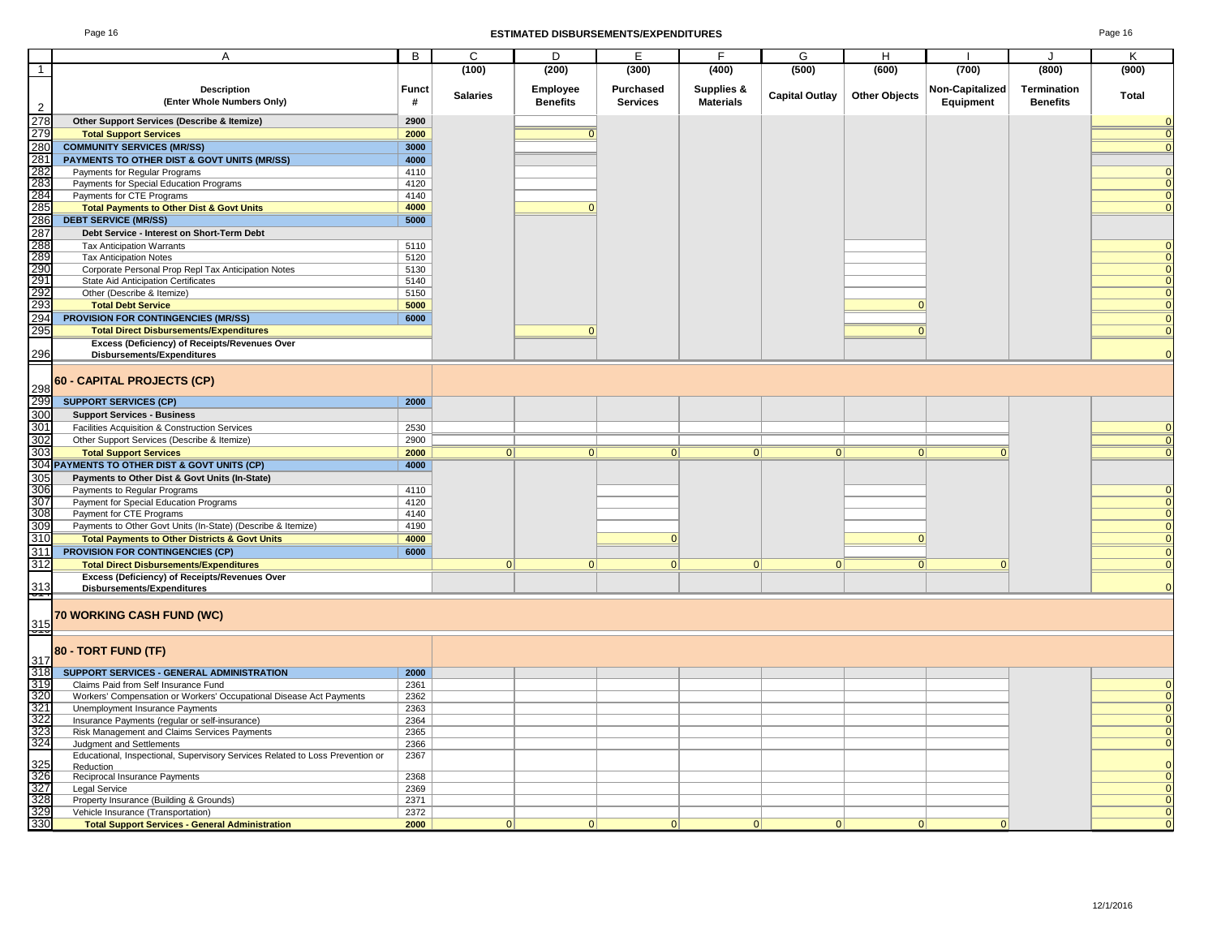### Page 16 **ESTIMATED DISBURSEMENTS/EXPENDITURES** Page 16

|                                                      | Α                                                                             | В            | C               | D               | Е               | F                | G                     | н                    |                 |                 | Κ              |
|------------------------------------------------------|-------------------------------------------------------------------------------|--------------|-----------------|-----------------|-----------------|------------------|-----------------------|----------------------|-----------------|-----------------|----------------|
| $\overline{1}$                                       |                                                                               |              | (100)           | (200)           | (300)           | (400)            | (500)                 | (600)                | (700)           | (800)           | (900)          |
|                                                      | <b>Description</b>                                                            | <b>Funct</b> |                 | Employee        | Purchased       | Supplies &       |                       |                      | Non-Capitalized | Termination     |                |
|                                                      | (Enter Whole Numbers Only)                                                    | #            | <b>Salaries</b> | <b>Benefits</b> | <b>Services</b> | <b>Materials</b> | <b>Capital Outlay</b> | <b>Other Objects</b> | Equipment       | <b>Benefits</b> | Total          |
| $\overline{2}$                                       |                                                                               |              |                 |                 |                 |                  |                       |                      |                 |                 |                |
| $\frac{1}{278}$                                      | Other Support Services (Describe & Itemize)                                   | 2900         |                 |                 |                 |                  |                       |                      |                 |                 | $\mathbf{0}$   |
| 279                                                  | <b>Total Support Services</b>                                                 | 2000         |                 |                 |                 |                  |                       |                      |                 |                 | $\overline{0}$ |
|                                                      | <b>COMMUNITY SERVICES (MR/SS)</b>                                             | 3000         |                 |                 |                 |                  |                       |                      |                 |                 | $\mathbf{0}$   |
|                                                      | PAYMENTS TO OTHER DIST & GOVT UNITS (MR/SS)                                   | 4000         |                 |                 |                 |                  |                       |                      |                 |                 |                |
|                                                      | Payments for Regular Programs                                                 | 4110         |                 |                 |                 |                  |                       |                      |                 |                 |                |
|                                                      | Payments for Special Education Programs                                       | 4120         |                 |                 |                 |                  |                       |                      |                 |                 |                |
| 280<br>281<br>282<br>283<br>284<br>285               | Payments for CTE Programs                                                     | 4140         |                 |                 |                 |                  |                       |                      |                 |                 | $\Omega$       |
|                                                      | <b>Total Payments to Other Dist &amp; Govt Units</b>                          | 4000         |                 | $\Omega$        |                 |                  |                       |                      |                 |                 | $\Omega$       |
| 286                                                  | <b>DEBT SERVICE (MR/SS)</b>                                                   | 5000         |                 |                 |                 |                  |                       |                      |                 |                 |                |
|                                                      | Debt Service - Interest on Short-Term Debt                                    |              |                 |                 |                 |                  |                       |                      |                 |                 |                |
|                                                      | <b>Tax Anticipation Warrants</b>                                              | 5110         |                 |                 |                 |                  |                       |                      |                 |                 |                |
|                                                      | <b>Tax Anticipation Notes</b>                                                 | 5120         |                 |                 |                 |                  |                       |                      |                 |                 |                |
|                                                      | Corporate Personal Prop Repl Tax Anticipation Notes                           | 5130         |                 |                 |                 |                  |                       |                      |                 |                 | $\mathbf{0}$   |
| 287<br>288<br>289<br>290<br>291<br>292               | State Aid Anticipation Certificates                                           | 5140         |                 |                 |                 |                  |                       |                      |                 |                 |                |
|                                                      | Other (Describe & Itemize)                                                    | 5150         |                 |                 |                 |                  |                       |                      |                 |                 |                |
| 293                                                  | <b>Total Debt Service</b>                                                     | 5000         |                 |                 |                 |                  |                       | $\mathbf{0}$         |                 |                 | $\mathbf 0$    |
| 294                                                  | PROVISION FOR CONTINGENCIES (MR/SS)                                           | 6000         |                 |                 |                 |                  |                       |                      |                 |                 | $\Omega$       |
| 295                                                  | <b>Total Direct Disbursements/Expenditures</b>                                |              |                 | $\mathbf{0}$    |                 |                  |                       | $\Omega$             |                 |                 | $\mathbf 0$    |
|                                                      | Excess (Deficiency) of Receipts/Revenues Over                                 |              |                 |                 |                 |                  |                       |                      |                 |                 |                |
| 296                                                  | Disbursements/Expenditures                                                    |              |                 |                 |                 |                  |                       |                      |                 |                 | $\Omega$       |
|                                                      |                                                                               |              |                 |                 |                 |                  |                       |                      |                 |                 |                |
|                                                      | 60 - CAPITAL PROJECTS (CP)                                                    |              |                 |                 |                 |                  |                       |                      |                 |                 |                |
| 298<br>299                                           |                                                                               |              |                 |                 |                 |                  |                       |                      |                 |                 |                |
|                                                      | <b>SUPPORT SERVICES (CP)</b>                                                  | 2000         |                 |                 |                 |                  |                       |                      |                 |                 |                |
| 300                                                  | <b>Support Services - Business</b>                                            |              |                 |                 |                 |                  |                       |                      |                 |                 |                |
| 301                                                  | Facilities Acquisition & Construction Services                                | 2530         |                 |                 |                 |                  |                       |                      |                 |                 | $\mathbf{0}$   |
| 302                                                  | Other Support Services (Describe & Itemize)                                   | 2900         |                 |                 |                 |                  |                       |                      |                 |                 | $\overline{0}$ |
| 303                                                  | <b>Total Support Services</b>                                                 | 2000         | 0               | 0               | 0               | $\vert 0 \vert$  | 0                     | 0                    | $\Omega$        |                 | $\mathbf{0}$   |
|                                                      | 304 PAYMENTS TO OTHER DIST & GOVT UNITS (CP)                                  | 4000         |                 |                 |                 |                  |                       |                      |                 |                 |                |
| 305                                                  | Payments to Other Dist & Govt Units (In-State)                                |              |                 |                 |                 |                  |                       |                      |                 |                 |                |
| 306                                                  | Payments to Regular Programs                                                  | 4110         |                 |                 |                 |                  |                       |                      |                 |                 | 0              |
| 307<br>308<br>309<br>310<br>311                      | Payment for Special Education Programs                                        | 4120         |                 |                 |                 |                  |                       |                      |                 |                 |                |
|                                                      | Payment for CTE Programs                                                      | 4140         |                 |                 |                 |                  |                       |                      |                 |                 |                |
|                                                      | Payments to Other Govt Units (In-State) (Describe & Itemize)                  | 4190         |                 |                 |                 |                  |                       |                      |                 |                 | $\mathbf{0}$   |
|                                                      | <b>Total Payments to Other Districts &amp; Govt Units</b>                     | 4000         |                 |                 | $\mathbf 0$     |                  |                       | $\mathbf{0}$         |                 |                 | $\mathbf{0}$   |
|                                                      | PROVISION FOR CONTINGENCIES (CP)                                              | 6000         |                 |                 |                 |                  |                       |                      |                 |                 | $\mathbf{0}$   |
| 312                                                  | <b>Total Direct Disbursements/Expenditures</b>                                |              | 0               | 0               | 0               | 0                | 0                     | $\Omega$             | $\mathbf{0}$    |                 | $\Omega$       |
|                                                      | Excess (Deficiency) of Receipts/Revenues Over                                 |              |                 |                 |                 |                  |                       |                      |                 |                 | $\Omega$       |
| $\frac{313}{212}$                                    | <b>Disbursements/Expenditures</b>                                             |              |                 |                 |                 |                  |                       |                      |                 |                 |                |
|                                                      |                                                                               |              |                 |                 |                 |                  |                       |                      |                 |                 |                |
|                                                      | 70 WORKING CASH FUND (WC)                                                     |              |                 |                 |                 |                  |                       |                      |                 |                 |                |
| $\frac{315}{215}$                                    |                                                                               |              |                 |                 |                 |                  |                       |                      |                 |                 |                |
|                                                      | 80 - TORT FUND (TF)                                                           |              |                 |                 |                 |                  |                       |                      |                 |                 |                |
|                                                      |                                                                               |              |                 |                 |                 |                  |                       |                      |                 |                 |                |
|                                                      | SUPPORT SERVICES - GENERAL ADMINISTRATION                                     | 2000         |                 |                 |                 |                  |                       |                      |                 |                 |                |
|                                                      | Claims Paid from Self Insurance Fund                                          | 2361         |                 |                 |                 |                  |                       |                      |                 |                 | 0              |
| 317<br>318<br>319<br>320<br>322<br>322<br>323<br>323 | Workers' Compensation or Workers' Occupational Disease Act Payments           | 2362         |                 |                 |                 |                  |                       |                      |                 |                 |                |
|                                                      | Unemployment Insurance Payments                                               | 2363         |                 |                 |                 |                  |                       |                      |                 |                 |                |
|                                                      | Insurance Payments (regular or self-insurance)                                | 2364         |                 |                 |                 |                  |                       |                      |                 |                 | 0              |
|                                                      | Risk Management and Claims Services Payments                                  | 2365         |                 |                 |                 |                  |                       |                      |                 |                 | $\mathbf 0$    |
|                                                      | Judgment and Settlements                                                      | 2366         |                 |                 |                 |                  |                       |                      |                 |                 | $\mathbf{0}$   |
|                                                      | Educational, Inspectional, Supervisory Services Related to Loss Prevention or | 2367         |                 |                 |                 |                  |                       |                      |                 |                 |                |
|                                                      | Reduction                                                                     | 2368         |                 |                 |                 |                  |                       |                      |                 |                 |                |
| 325<br>326<br>327<br>328<br>328                      | Reciprocal Insurance Payments<br>Legal Service                                | 2369         |                 |                 |                 |                  |                       |                      |                 |                 |                |
|                                                      | Property Insurance (Building & Grounds)                                       | 2371         |                 |                 |                 |                  |                       |                      |                 |                 | $\mathbf 0$    |
|                                                      | Vehicle Insurance (Transportation)                                            | 2372         |                 |                 |                 |                  |                       |                      |                 |                 | $\mathbf{0}$   |
| 330                                                  | <b>Total Support Services - General Administration</b>                        | 2000         | 0               | 0               | $\Omega$        | $\Omega$         | $\Omega$              | $\Omega$             | $\Omega$        |                 |                |
|                                                      |                                                                               |              |                 |                 |                 |                  |                       |                      |                 |                 |                |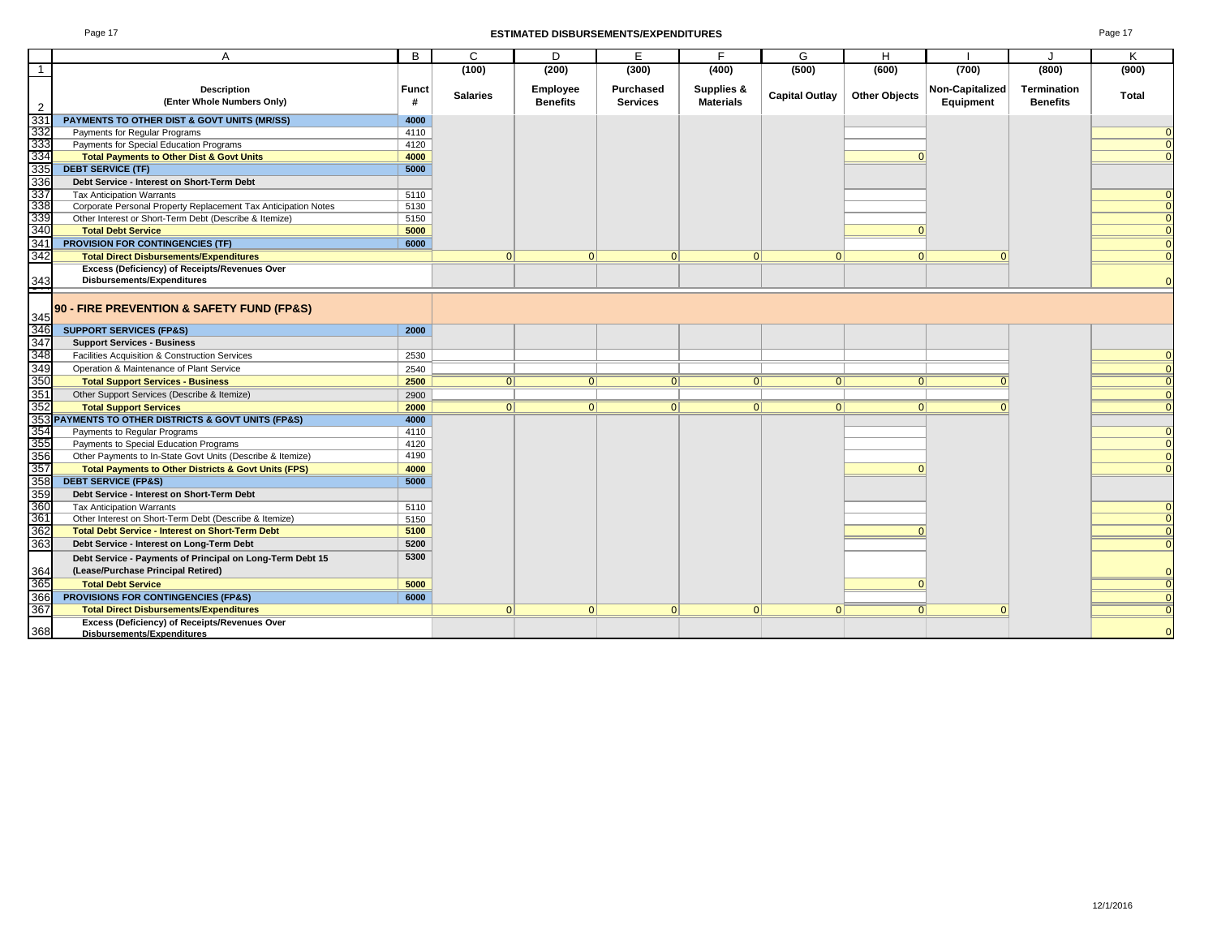### Page 17 **ESTIMATED DISBURSEMENTS/EXPENDITURES** Page 17

| ь<br>ы |  |
|--------|--|
|--------|--|

|                                 | A                                                                              | B            | $\mathbf{C}$    | D               | E.               | F.               | G                     | H                    |                        | J               | K        |
|---------------------------------|--------------------------------------------------------------------------------|--------------|-----------------|-----------------|------------------|------------------|-----------------------|----------------------|------------------------|-----------------|----------|
| $\mathbf{1}$                    |                                                                                |              | (100)           | (200)           | (300)            | (400)            | (500)                 | (600)                | (700)                  | (800)           | (900)    |
|                                 | <b>Description</b>                                                             | <b>Funct</b> |                 | Employee        | <b>Purchased</b> | Supplies &       |                       |                      | <b>Non-Capitalized</b> | Termination     |          |
|                                 | (Enter Whole Numbers Only)                                                     | #            | <b>Salaries</b> | <b>Benefits</b> | <b>Services</b>  | <b>Materials</b> | <b>Capital Outlay</b> | <b>Other Objects</b> | Equipment              | <b>Benefits</b> | Total    |
| $\overline{2}$                  |                                                                                |              |                 |                 |                  |                  |                       |                      |                        |                 |          |
| 331<br>332                      | PAYMENTS TO OTHER DIST & GOVT UNITS (MR/SS)                                    | 4000         |                 |                 |                  |                  |                       |                      |                        |                 |          |
| 333                             | Payments for Regular Programs                                                  | 4110         |                 |                 |                  |                  |                       |                      |                        |                 |          |
| 334                             | Payments for Special Education Programs                                        | 4120<br>4000 |                 |                 |                  |                  |                       |                      |                        |                 |          |
| 335                             | <b>Total Payments to Other Dist &amp; Govt Units</b>                           |              |                 |                 |                  |                  |                       |                      |                        |                 |          |
|                                 | <b>DEBT SERVICE (TF)</b>                                                       | 5000         |                 |                 |                  |                  |                       |                      |                        |                 |          |
| 336<br>336<br>337<br>338<br>339 | Debt Service - Interest on Short-Term Debt<br><b>Tax Anticipation Warrants</b> |              |                 |                 |                  |                  |                       |                      |                        |                 |          |
|                                 | Corporate Personal Property Replacement Tax Anticipation Notes                 | 5110<br>5130 |                 |                 |                  |                  |                       |                      |                        |                 | $\Omega$ |
|                                 | Other Interest or Short-Term Debt (Describe & Itemize)                         | 5150         |                 |                 |                  |                  |                       |                      |                        |                 | $\Omega$ |
| 340                             | <b>Total Debt Service</b>                                                      | 5000         |                 |                 |                  |                  |                       |                      |                        |                 |          |
| 341                             | <b>PROVISION FOR CONTINGENCIES (TF)</b>                                        | 6000         |                 |                 |                  |                  |                       |                      |                        |                 |          |
| 342                             | <b>Total Direct Disbursements/Expenditures</b>                                 |              | $\Omega$        | $\Omega$        | $\Omega$         | $\Omega$         | $\Omega$              | $\Omega$             | $\Omega$               |                 |          |
|                                 | <b>Excess (Deficiency) of Receipts/Revenues Over</b>                           |              |                 |                 |                  |                  |                       |                      |                        |                 |          |
|                                 | Disbursements/Expenditures                                                     |              |                 |                 |                  |                  |                       |                      |                        |                 |          |
| 343                             |                                                                                |              |                 |                 |                  |                  |                       |                      |                        |                 |          |
|                                 |                                                                                |              |                 |                 |                  |                  |                       |                      |                        |                 |          |
| 345                             | 90 - FIRE PREVENTION & SAFETY FUND (FP&S)                                      |              |                 |                 |                  |                  |                       |                      |                        |                 |          |
| 346                             | <b>SUPPORT SERVICES (FP&amp;S)</b>                                             | 2000         |                 |                 |                  |                  |                       |                      |                        |                 |          |
| 347                             | <b>Support Services - Business</b>                                             |              |                 |                 |                  |                  |                       |                      |                        |                 |          |
| 348                             | Facilities Acquisition & Construction Services                                 | 2530         |                 |                 |                  |                  |                       |                      |                        |                 |          |
|                                 | Operation & Maintenance of Plant Service                                       | 2540         |                 |                 |                  |                  |                       |                      |                        |                 |          |
| 349<br>350                      | <b>Total Support Services - Business</b>                                       | 2500         | 0               | 0               | 0                | 0                | 0                     | 0                    |                        |                 |          |
| 351                             | Other Support Services (Describe & Itemize)                                    | 2900         |                 |                 |                  |                  |                       |                      |                        |                 |          |
| 352                             | <b>Total Support Services</b>                                                  | 2000         | $\Omega$        | 0               | 0                | 0                | 0 <sup>1</sup>        | 0                    |                        |                 |          |
|                                 | 353 PAYMENTS TO OTHER DISTRICTS & GOVT UNITS (FP&S)                            | 4000         |                 |                 |                  |                  |                       |                      |                        |                 |          |
| 354<br>355                      | Payments to Regular Programs                                                   | 4110         |                 |                 |                  |                  |                       |                      |                        |                 |          |
|                                 | Payments to Special Education Programs                                         | 4120         |                 |                 |                  |                  |                       |                      |                        |                 | $\Omega$ |
| 356                             | Other Payments to In-State Govt Units (Describe & Itemize)                     | 4190         |                 |                 |                  |                  |                       |                      |                        |                 | $\Omega$ |
| 357                             | <b>Total Payments to Other Districts &amp; Govt Units (FPS)</b>                | 4000         |                 |                 |                  |                  |                       |                      |                        |                 |          |
| 358                             | <b>DEBT SERVICE (FP&amp;S)</b>                                                 | 5000         |                 |                 |                  |                  |                       |                      |                        |                 |          |
| 359<br>360                      | Debt Service - Interest on Short-Term Debt                                     |              |                 |                 |                  |                  |                       |                      |                        |                 |          |
|                                 | <b>Tax Anticipation Warrants</b>                                               | 5110         |                 |                 |                  |                  |                       |                      |                        |                 |          |
| 361                             | Other Interest on Short-Term Debt (Describe & Itemize)                         | 5150         |                 |                 |                  |                  |                       |                      |                        |                 | $\Omega$ |
| 362                             | <b>Total Debt Service - Interest on Short-Term Debt</b>                        | 5100         |                 |                 |                  |                  |                       | $\Omega$             |                        |                 |          |
| 363                             | Debt Service - Interest on Long-Term Debt                                      | 5200         |                 |                 |                  |                  |                       |                      |                        |                 |          |
|                                 | Debt Service - Payments of Principal on Long-Term Debt 15                      | 5300         |                 |                 |                  |                  |                       |                      |                        |                 |          |
| 364                             | (Lease/Purchase Principal Retired)                                             |              |                 |                 |                  |                  |                       |                      |                        |                 |          |
| 365                             | <b>Total Debt Service</b>                                                      | 5000         |                 |                 |                  |                  |                       |                      |                        |                 |          |
| 366                             | PROVISIONS FOR CONTINGENCIES (FP&S)                                            | 6000         |                 |                 |                  |                  |                       |                      |                        |                 |          |
| 367                             | <b>Total Direct Disbursements/Expenditures</b>                                 |              | 0               | 0               | 0                | $\Omega$         | $\Omega$              | $\Omega$             |                        |                 | $\Omega$ |
|                                 | Excess (Deficiency) of Receipts/Revenues Over                                  |              |                 |                 |                  |                  |                       |                      |                        |                 |          |
| 368                             | Disbursements/Expenditures                                                     |              |                 |                 |                  |                  |                       |                      |                        |                 |          |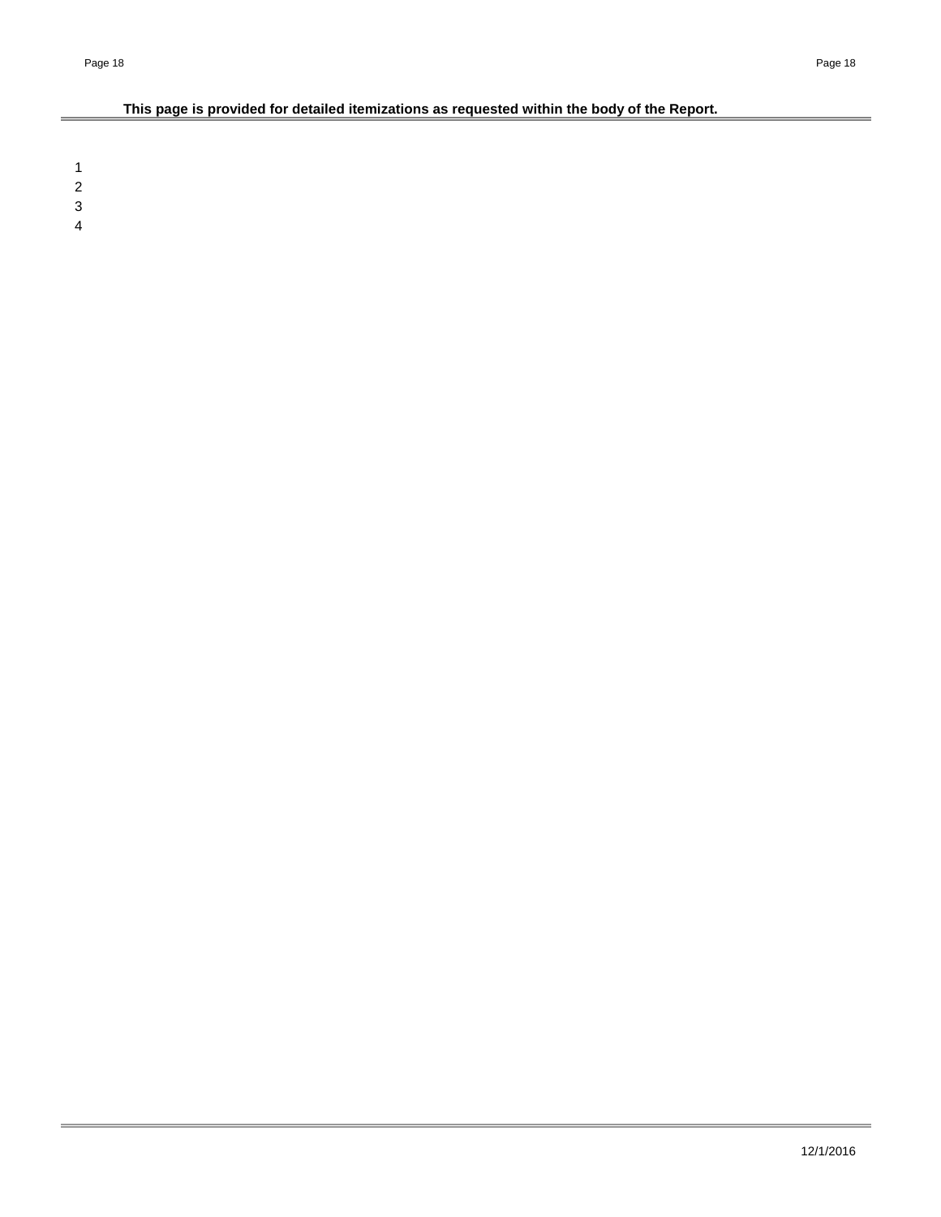# **This page is provided for detailed itemizations as requested within the body of the Report.**

1 2

Ė

3

4

÷.

÷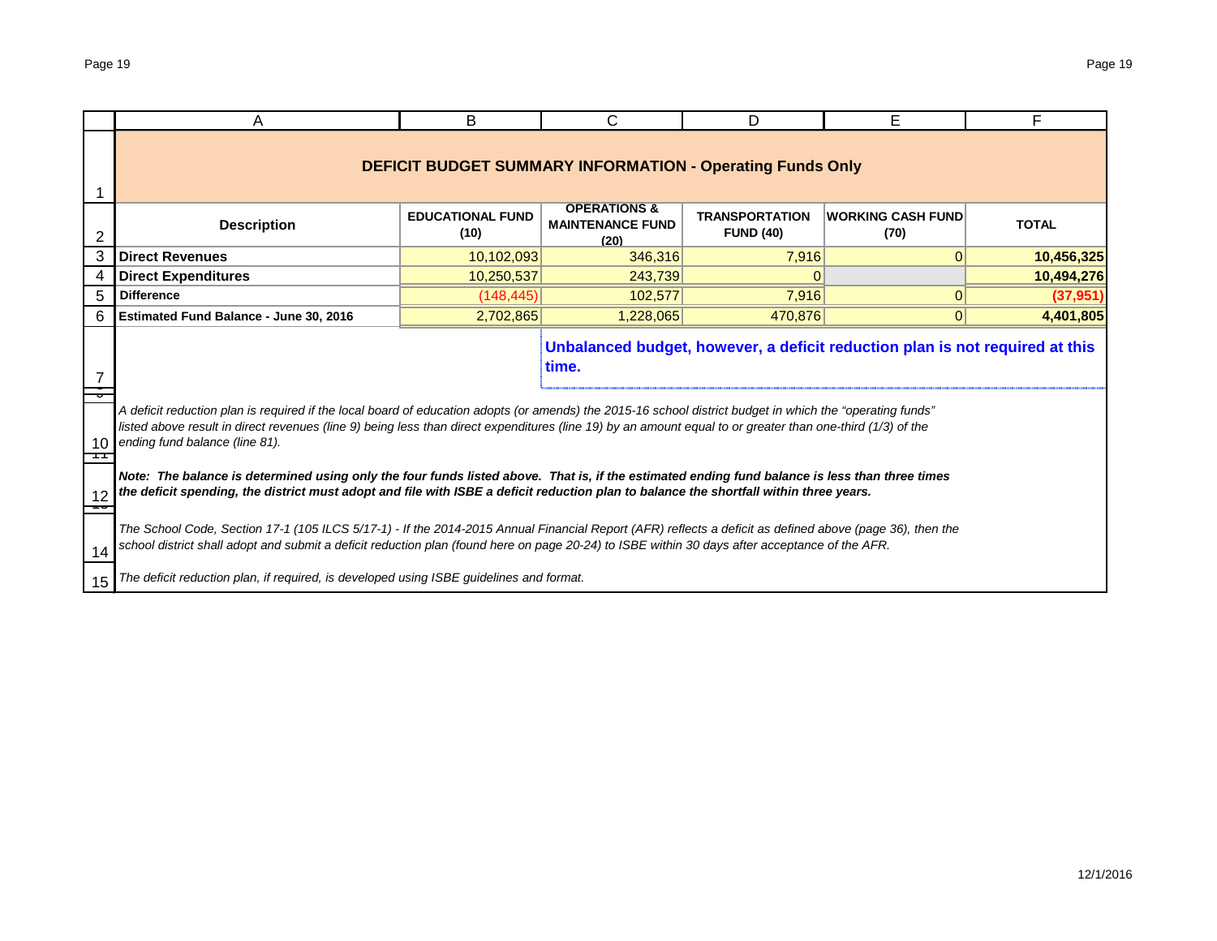|    | A                                                                                                                                                                                                                                                                                                                                                         | B                               | С                                                                | D                                         | E.                                 | F            |  |  |  |  |  |  |
|----|-----------------------------------------------------------------------------------------------------------------------------------------------------------------------------------------------------------------------------------------------------------------------------------------------------------------------------------------------------------|---------------------------------|------------------------------------------------------------------|-------------------------------------------|------------------------------------|--------------|--|--|--|--|--|--|
|    |                                                                                                                                                                                                                                                                                                                                                           |                                 | <b>DEFICIT BUDGET SUMMARY INFORMATION - Operating Funds Only</b> |                                           |                                    |              |  |  |  |  |  |  |
| 2  | <b>Description</b>                                                                                                                                                                                                                                                                                                                                        | <b>EDUCATIONAL FUND</b><br>(10) | <b>OPERATIONS &amp;</b><br><b>MAINTENANCE FUND</b><br>(20)       | <b>TRANSPORTATION</b><br><b>FUND (40)</b> | <b> WORKING CASH FUND </b><br>(70) | <b>TOTAL</b> |  |  |  |  |  |  |
| 3  | <b>Direct Revenues</b>                                                                                                                                                                                                                                                                                                                                    | 10,102,093                      | 346,316                                                          | 7,916                                     | 0                                  | 10,456,325   |  |  |  |  |  |  |
| 4  | <b>Direct Expenditures</b>                                                                                                                                                                                                                                                                                                                                | 10,250,537                      | 243,739                                                          | $\mathbf 0$                               |                                    | 10,494,276   |  |  |  |  |  |  |
| 5  | <b>Difference</b>                                                                                                                                                                                                                                                                                                                                         | (148, 445)                      | 102,577                                                          | 7,916                                     | 0                                  | (37, 951)    |  |  |  |  |  |  |
|    | Estimated Fund Balance - June 30, 2016                                                                                                                                                                                                                                                                                                                    | 2,702,865                       | 1,228,065                                                        | 470.876                                   | 0                                  | 4,401,805    |  |  |  |  |  |  |
|    | Unbalanced budget, however, a deficit reduction plan is not required at this<br>time.                                                                                                                                                                                                                                                                     |                                 |                                                                  |                                           |                                    |              |  |  |  |  |  |  |
| 10 | A deficit reduction plan is required if the local board of education adopts (or amends) the 2015-16 school district budget in which the "operating funds"<br>listed above result in direct revenues (line 9) being less than direct expenditures (line 19) by an amount equal to or greater than one-third (1/3) of the<br>ending fund balance (line 81). |                                 |                                                                  |                                           |                                    |              |  |  |  |  |  |  |
| 12 | Note: The balance is determined using only the four funds listed above. That is, if the estimated ending fund balance is less than three times<br>the deficit spending, the district must adopt and file with ISBE a deficit reduction plan to balance the shortfall within three years.                                                                  |                                 |                                                                  |                                           |                                    |              |  |  |  |  |  |  |
| 14 | The School Code, Section 17-1 (105 ILCS 5/17-1) - If the 2014-2015 Annual Financial Report (AFR) reflects a deficit as defined above (page 36), then the<br>school district shall adopt and submit a deficit reduction plan (found here on page 20-24) to ISBE within 30 days after acceptance of the AFR.                                                |                                 |                                                                  |                                           |                                    |              |  |  |  |  |  |  |
| 15 | The deficit reduction plan, if required, is developed using ISBE guidelines and format.                                                                                                                                                                                                                                                                   |                                 |                                                                  |                                           |                                    |              |  |  |  |  |  |  |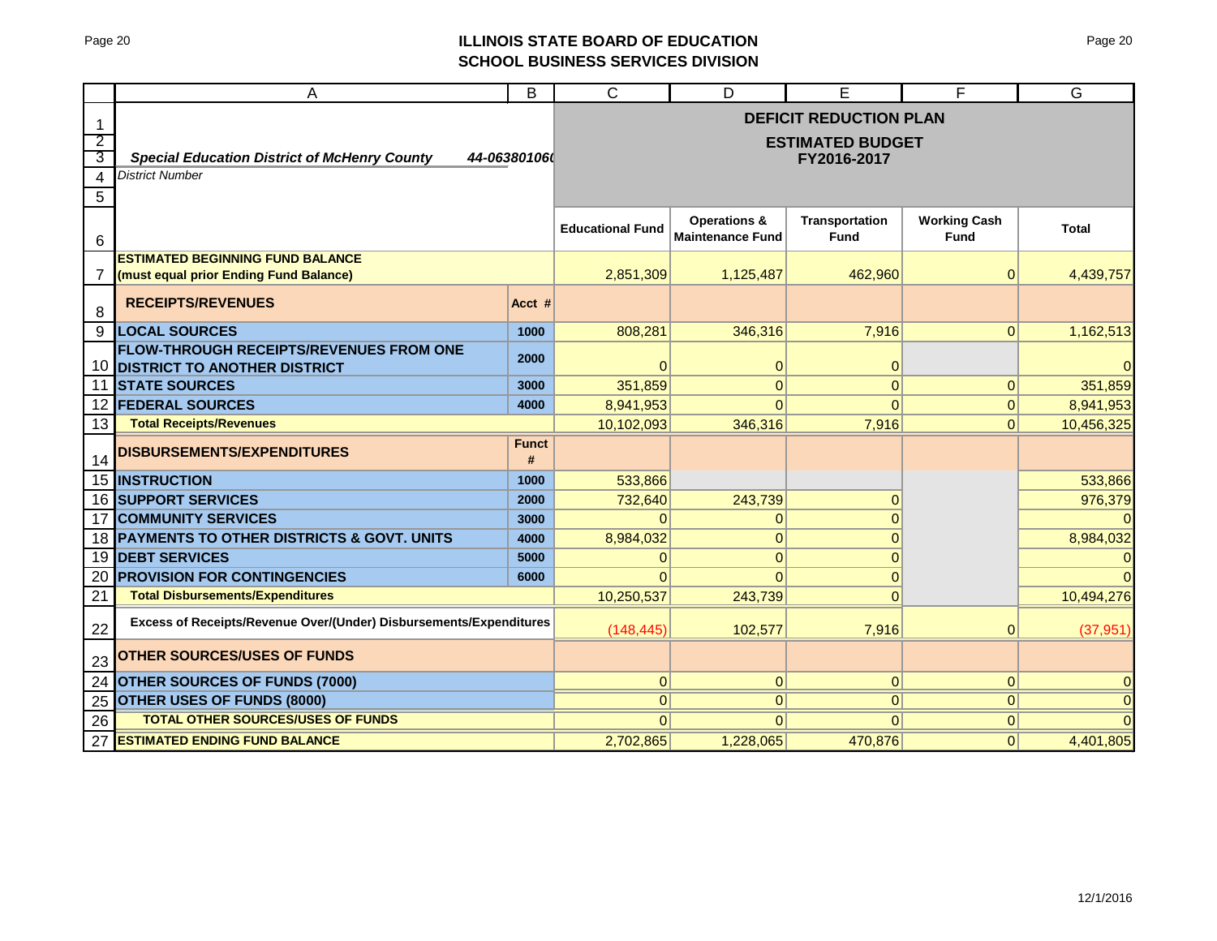## Page 20 **ILLINOIS STATE BOARD OF EDUCATION SCHOOL BUSINESS SERVICES DIVISION**

|    | A                                                                                     | B            | $\overline{C}$          | D                       | Е                             | F                   | G              |
|----|---------------------------------------------------------------------------------------|--------------|-------------------------|-------------------------|-------------------------------|---------------------|----------------|
| 1  |                                                                                       |              |                         |                         | <b>DEFICIT REDUCTION PLAN</b> |                     |                |
| 2  |                                                                                       |              |                         |                         | <b>ESTIMATED BUDGET</b>       |                     |                |
| 3  | <b>Special Education District of McHenry County</b>                                   | 44-063801060 |                         |                         | FY2016-2017                   |                     |                |
| 4  | <b>District Number</b>                                                                |              |                         |                         |                               |                     |                |
| 5  |                                                                                       |              |                         |                         |                               |                     |                |
|    |                                                                                       |              |                         | <b>Operations &amp;</b> | <b>Transportation</b>         | <b>Working Cash</b> |                |
| 6  |                                                                                       |              | <b>Educational Fund</b> | <b>Maintenance Fund</b> | <b>Fund</b>                   | <b>Fund</b>         | <b>Total</b>   |
|    | <b>ESTIMATED BEGINNING FUND BALANCE</b>                                               |              |                         |                         |                               |                     |                |
| 7  | (must equal prior Ending Fund Balance)                                                |              | 2,851,309               | 1,125,487               | 462,960                       | $\mathbf{0}$        | 4,439,757      |
| 8  | <b>RECEIPTS/REVENUES</b>                                                              | Acct #       |                         |                         |                               |                     |                |
| 9  | <b>LOCAL SOURCES</b>                                                                  | 1000         | 808,281                 | 346,316                 | 7,916                         | $\overline{0}$      | 1,162,513      |
| 10 | <b>FLOW-THROUGH RECEIPTS/REVENUES FROM ONE</b><br><b>DISTRICT TO ANOTHER DISTRICT</b> | 2000         | ი                       | 0                       | $\overline{0}$                |                     |                |
| 11 | <b>STATE SOURCES</b>                                                                  | 3000         | 351,859                 | $\overline{0}$          | $\mathbf 0$                   | $\mathbf{0}$        | 351,859        |
| 12 | <b>FEDERAL SOURCES</b>                                                                | 4000         | 8,941,953               | $\overline{0}$          | $\Omega$                      | $\overline{0}$      | 8,941,953      |
| 13 | <b>Total Receipts/Revenues</b>                                                        |              | 10,102,093              | 346,316                 | 7,916                         | 0                   | 10,456,325     |
|    |                                                                                       | <b>Funct</b> |                         |                         |                               |                     |                |
| 14 | <b>DISBURSEMENTS/EXPENDITURES</b>                                                     | #            |                         |                         |                               |                     |                |
|    | <b>15 INSTRUCTION</b>                                                                 | 1000         | 533,866                 |                         |                               |                     | 533,866        |
|    | <b>16 SUPPORT SERVICES</b>                                                            | 2000         | 732,640                 | 243,739                 | $\overline{0}$                |                     | 976,379        |
| 17 | <b>COMMUNITY SERVICES</b>                                                             | 3000         | $\Omega$                | 0                       |                               |                     |                |
|    | 18 PAYMENTS TO OTHER DISTRICTS & GOVT. UNITS                                          | 4000         | 8,984,032               | 0                       | $\Omega$                      |                     | 8,984,032      |
| 19 | <b>DEBT SERVICES</b>                                                                  | 5000         | 0                       | $\overline{0}$          | $\Omega$                      |                     |                |
| 20 | <b>PROVISION FOR CONTINGENCIES</b>                                                    | 6000         | 0                       | $\Omega$                | $\overline{0}$                |                     | $\Omega$       |
| 21 | <b>Total Disbursements/Expenditures</b>                                               |              | 10,250,537              | 243,739                 | $\Omega$                      |                     | 10,494,276     |
| 22 | Excess of Receipts/Revenue Over/(Under) Disbursements/Expenditures                    |              | (148, 445)              | 102,577                 | 7,916                         | $\mathbf 0$         | (37, 951)      |
| 23 | <b>OTHER SOURCES/USES OF FUNDS</b>                                                    |              |                         |                         |                               |                     |                |
| 24 | <b>OTHER SOURCES OF FUNDS (7000)</b>                                                  |              | 0                       | 0                       | $\mathbf{0}$                  | $\overline{0}$      | $\overline{0}$ |
| 25 | <b>OTHER USES OF FUNDS (8000)</b>                                                     |              | $\Omega$                | 0                       | $\overline{0}$                | 0                   | $\Omega$       |
| 26 | <b>TOTAL OTHER SOURCES/USES OF FUNDS</b>                                              |              | $\Omega$                | $\overline{0}$          | $\Omega$                      | $\overline{0}$      | $\Omega$       |
| 27 | <b>ESTIMATED ENDING FUND BALANCE</b>                                                  |              | 2,702,865               | 1,228,065               | 470,876                       | 0                   | 4,401,805      |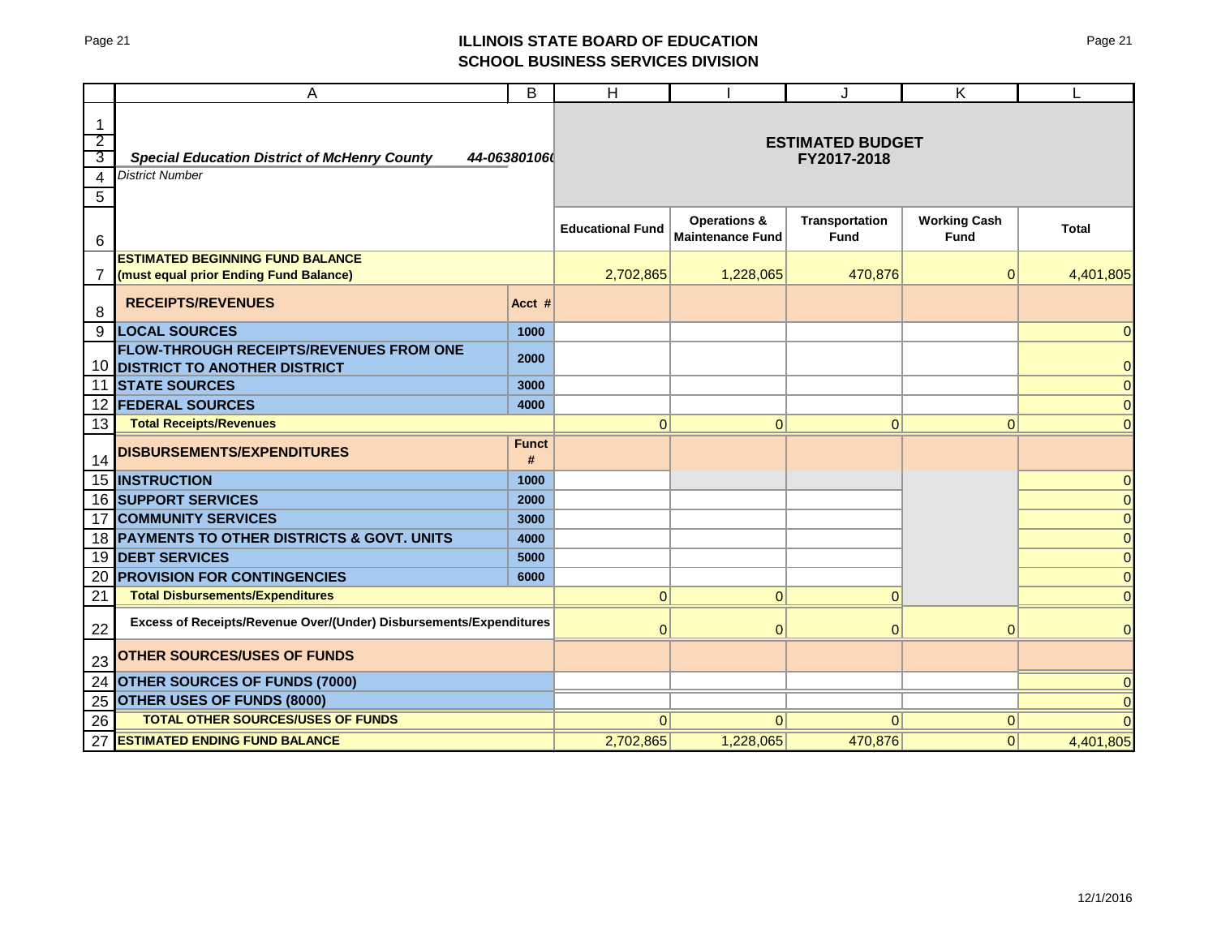## Page 21 **ILLINOIS STATE BOARD OF EDUCATION SCHOOL BUSINESS SERVICES DIVISION**

|                               | A                                                                                 | B                 | H                       |                                                    | J                                      | Κ                                  |                         |
|-------------------------------|-----------------------------------------------------------------------------------|-------------------|-------------------------|----------------------------------------------------|----------------------------------------|------------------------------------|-------------------------|
| 1<br>$\overline{2}$<br>3<br>4 | <b>Special Education District of McHenry County</b><br><b>District Number</b>     | 44-063801060      |                         |                                                    | <b>ESTIMATED BUDGET</b><br>FY2017-2018 |                                    |                         |
| 5<br>6                        |                                                                                   |                   | <b>Educational Fund</b> | <b>Operations &amp;</b><br><b>Maintenance Fund</b> | Transportation<br><b>Fund</b>          | <b>Working Cash</b><br><b>Fund</b> | Total                   |
| 7                             | <b>ESTIMATED BEGINNING FUND BALANCE</b><br>(must equal prior Ending Fund Balance) |                   | 2,702,865               | 1,228,065                                          | 470,876                                | 0                                  | 4,401,805               |
| 8                             | <b>RECEIPTS/REVENUES</b>                                                          | Acct #            |                         |                                                    |                                        |                                    |                         |
| 9                             | <b>LOCAL SOURCES</b>                                                              | 1000              |                         |                                                    |                                        |                                    | 0                       |
| 10                            | FLOW-THROUGH RECEIPTS/REVENUES FROM ONE<br><b>DISTRICT TO ANOTHER DISTRICT</b>    | 2000              |                         |                                                    |                                        |                                    | $\Omega$                |
| 11                            | <b>STATE SOURCES</b>                                                              | 3000              |                         |                                                    |                                        |                                    | $\overline{0}$          |
| 12                            | <b>FEDERAL SOURCES</b>                                                            | 4000              |                         |                                                    |                                        |                                    | $\overline{0}$          |
| 13                            | <b>Total Receipts/Revenues</b>                                                    |                   | $\mathbf{0}$            | 0                                                  | $\overline{0}$                         | 0                                  | $\overline{0}$          |
| 14                            | <b>DISBURSEMENTS/EXPENDITURES</b>                                                 | <b>Funct</b><br># |                         |                                                    |                                        |                                    |                         |
| 15                            | <b>INSTRUCTION</b>                                                                | 1000              |                         |                                                    |                                        |                                    | 0                       |
| 16                            | <b>SUPPORT SERVICES</b>                                                           | 2000              |                         |                                                    |                                        |                                    | $\mathbf 0$             |
| 17                            | <b>COMMUNITY SERVICES</b>                                                         | 3000              |                         |                                                    |                                        |                                    | $\mathbf 0$             |
| 18                            | PAYMENTS TO OTHER DISTRICTS & GOVT. UNITS                                         | 4000              |                         |                                                    |                                        |                                    | $\overline{0}$          |
| 19                            | <b>DEBT SERVICES</b>                                                              | 5000              |                         |                                                    |                                        |                                    | $\overline{0}$          |
| 20<br>21                      | <b>PROVISION FOR CONTINGENCIES</b><br><b>Total Disbursements/Expenditures</b>     | 6000              | 0                       | 0                                                  | $\overline{0}$                         |                                    | $\mathbf 0$<br>$\Omega$ |
| 22                            | Excess of Receipts/Revenue Over/(Under) Disbursements/Expenditures                |                   | $\Omega$                | $\Omega$                                           | $\Omega$                               | $\Omega$                           | $\Omega$                |
| 23                            | <b>OTHER SOURCES/USES OF FUNDS</b>                                                |                   |                         |                                                    |                                        |                                    |                         |
| 24                            | <b>OTHER SOURCES OF FUNDS (7000)</b>                                              |                   |                         |                                                    |                                        |                                    |                         |
| 25                            | OTHER USES OF FUNDS (8000)                                                        |                   |                         |                                                    |                                        |                                    |                         |
| 26                            | <b>TOTAL OTHER SOURCES/USES OF FUNDS</b>                                          |                   | 0                       | $\Omega$                                           | $\Omega$                               | 0                                  |                         |
| 27                            | <b>ESTIMATED ENDING FUND BALANCE</b>                                              |                   | 2,702,865               | 1,228,065                                          | 470,876                                | 0                                  | 4,401,805               |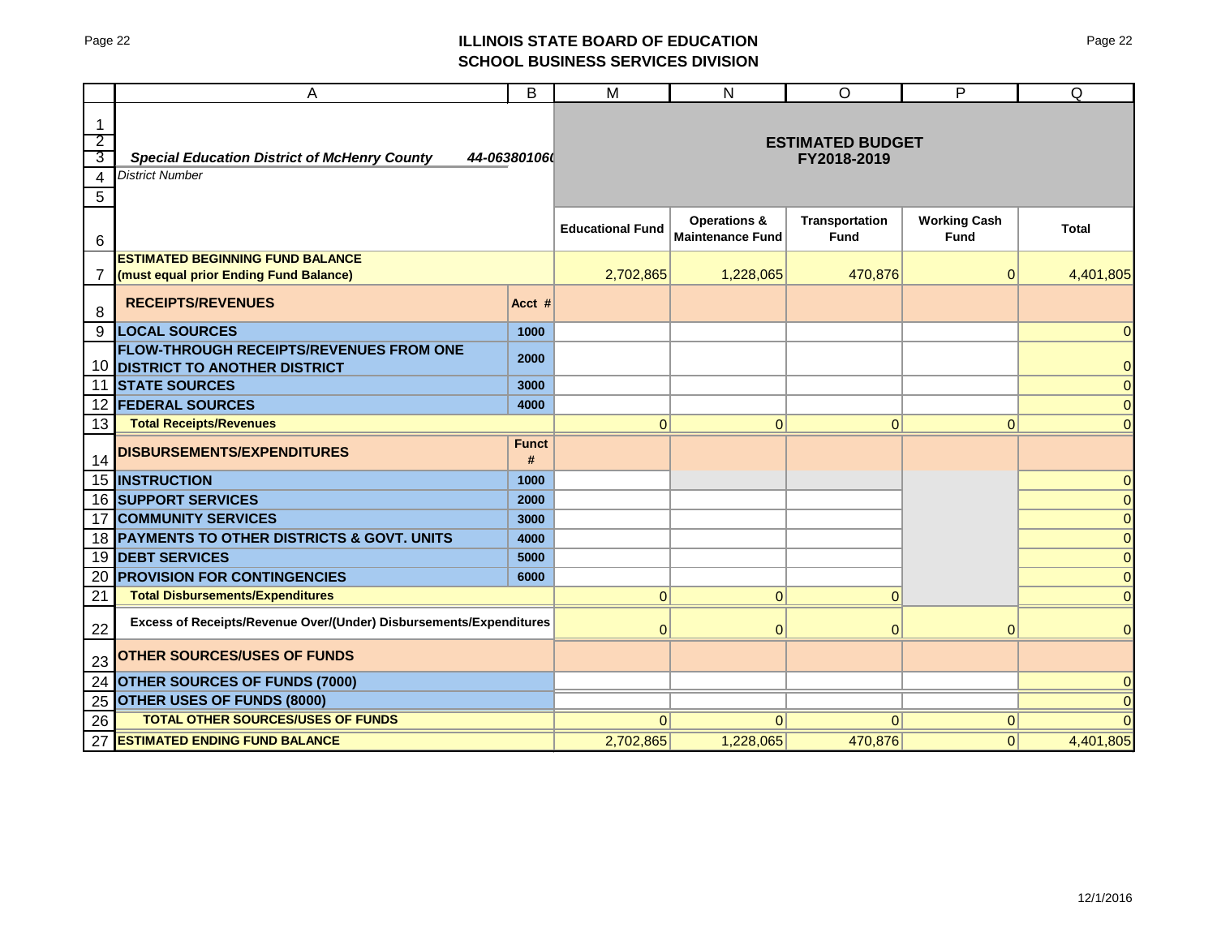# Page 22 **ILLINOIS STATE BOARD OF EDUCATION SCHOOL BUSINESS SERVICES DIVISION**

|                                | A                                                                              | B                 | M                       | N                                                  | $\circ$                              | P                                  | Q              |
|--------------------------------|--------------------------------------------------------------------------------|-------------------|-------------------------|----------------------------------------------------|--------------------------------------|------------------------------------|----------------|
| $\mathbf{1}$<br>$\overline{2}$ |                                                                                |                   |                         |                                                    | <b>ESTIMATED BUDGET</b>              |                                    |                |
| 3                              | <b>Special Education District of McHenry County</b>                            | 44-06380106       |                         |                                                    | FY2018-2019                          |                                    |                |
| 4                              | <b>District Number</b>                                                         |                   |                         |                                                    |                                      |                                    |                |
| 5                              |                                                                                |                   |                         |                                                    |                                      |                                    |                |
| 6                              |                                                                                |                   | <b>Educational Fund</b> | <b>Operations &amp;</b><br><b>Maintenance Fund</b> | <b>Transportation</b><br><b>Fund</b> | <b>Working Cash</b><br><b>Fund</b> | <b>Total</b>   |
|                                | <b>ESTIMATED BEGINNING FUND BALANCE</b>                                        |                   |                         |                                                    |                                      |                                    |                |
| 7                              | (must equal prior Ending Fund Balance)                                         |                   | 2,702,865               | 1,228,065                                          | 470,876                              | $\mathbf 0$                        | 4,401,805      |
| 8                              | <b>RECEIPTS/REVENUES</b>                                                       | Acct #            |                         |                                                    |                                      |                                    |                |
| 9                              | <b>LOCAL SOURCES</b>                                                           | 1000              |                         |                                                    |                                      |                                    | 0              |
| 10                             | FLOW-THROUGH RECEIPTS/REVENUES FROM ONE<br><b>DISTRICT TO ANOTHER DISTRICT</b> | 2000              |                         |                                                    |                                      |                                    | $\overline{0}$ |
| 11                             | <b>STATE SOURCES</b>                                                           | 3000              |                         |                                                    |                                      |                                    | $\overline{0}$ |
| 12                             | <b>FEDERAL SOURCES</b>                                                         | 4000              |                         |                                                    |                                      |                                    | $\mathbf 0$    |
| 13                             | <b>Total Receipts/Revenues</b>                                                 |                   | $\mathbf{0}$            | $\pmb{0}$                                          | $\overline{0}$                       | 0                                  | $\overline{0}$ |
| 14                             | <b>DISBURSEMENTS/EXPENDITURES</b>                                              | <b>Funct</b><br># |                         |                                                    |                                      |                                    |                |
| 15                             | <b>INSTRUCTION</b>                                                             | 1000              |                         |                                                    |                                      |                                    | $\overline{0}$ |
| 16                             | <b>SUPPORT SERVICES</b>                                                        | 2000              |                         |                                                    |                                      |                                    | $\overline{0}$ |
| 17                             | <b>COMMUNITY SERVICES</b>                                                      | 3000              |                         |                                                    |                                      |                                    | $\overline{0}$ |
| 18                             | PAYMENTS TO OTHER DISTRICTS & GOVT. UNITS                                      | 4000              |                         |                                                    |                                      |                                    | $\overline{0}$ |
| 19                             | <b>DEBT SERVICES</b>                                                           | 5000              |                         |                                                    |                                      |                                    | $\mathbf{0}$   |
| 20                             | <b>PROVISION FOR CONTINGENCIES</b>                                             | 6000              |                         |                                                    |                                      |                                    | $\overline{0}$ |
| 21                             | <b>Total Disbursements/Expenditures</b>                                        |                   | $\Omega$                | $\mathbf{0}$                                       | $\Omega$                             |                                    | $\overline{0}$ |
| 22                             | Excess of Receipts/Revenue Over/(Under) Disbursements/Expenditures             |                   | $\Omega$                | $\mathbf{0}$                                       | $\overline{0}$                       | $\Omega$                           | $\overline{0}$ |
| 23                             | <b>OTHER SOURCES/USES OF FUNDS</b>                                             |                   |                         |                                                    |                                      |                                    |                |
| 24                             | <b>OTHER SOURCES OF FUNDS (7000)</b>                                           |                   |                         |                                                    |                                      |                                    | $\overline{0}$ |
| 25                             | <b>OTHER USES OF FUNDS (8000)</b>                                              |                   |                         |                                                    |                                      |                                    | $\overline{0}$ |
| 26                             | <b>TOTAL OTHER SOURCES/USES OF FUNDS</b>                                       |                   | $\overline{0}$          | $\Omega$                                           | $\Omega$                             | $\mathbf{0}$                       | $\Omega$       |
| 27                             | <b>ESTIMATED ENDING FUND BALANCE</b>                                           |                   | 2,702,865               | 1,228,065                                          | 470,876                              | 0                                  | 4,401,805      |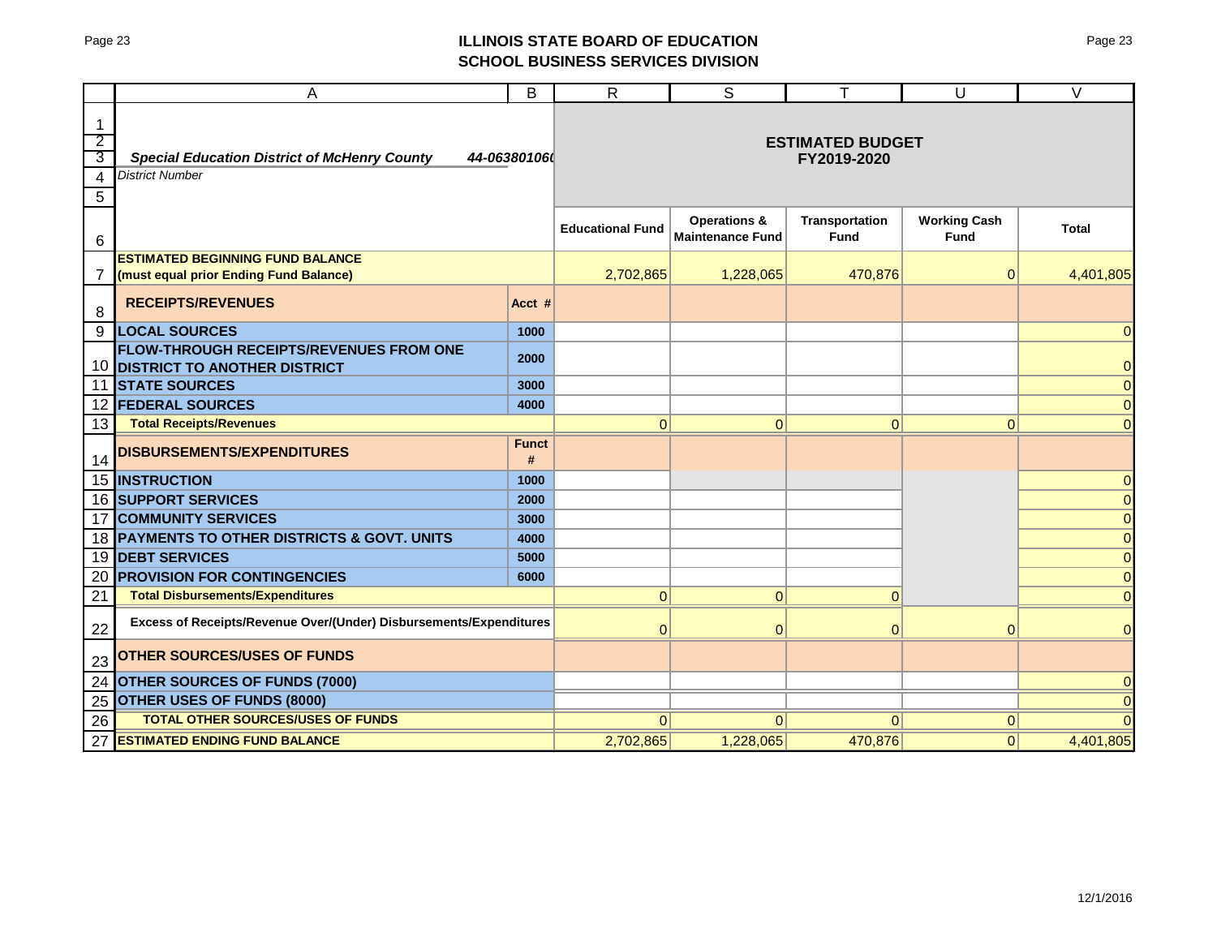## Page 23 **ILLINOIS STATE BOARD OF EDUCATION SCHOOL BUSINESS SERVICES DIVISION**

|                                | A                                                                              | B                 | $\mathsf{R}$            | S                                                  | Τ                                    | U                                  | $\vee$         |  |  |
|--------------------------------|--------------------------------------------------------------------------------|-------------------|-------------------------|----------------------------------------------------|--------------------------------------|------------------------------------|----------------|--|--|
| $\mathbf{1}$<br>$\overline{2}$ |                                                                                |                   |                         |                                                    |                                      |                                    |                |  |  |
| 3                              | <b>Special Education District of McHenry County</b>                            | 44-06380106       |                         | <b>ESTIMATED BUDGET</b><br>FY2019-2020             |                                      |                                    |                |  |  |
| 4                              | <b>District Number</b>                                                         |                   |                         |                                                    |                                      |                                    |                |  |  |
| 5                              |                                                                                |                   |                         |                                                    |                                      |                                    |                |  |  |
| 6                              |                                                                                |                   | <b>Educational Fund</b> | <b>Operations &amp;</b><br><b>Maintenance Fund</b> | <b>Transportation</b><br><b>Fund</b> | <b>Working Cash</b><br><b>Fund</b> | <b>Total</b>   |  |  |
|                                | <b>ESTIMATED BEGINNING FUND BALANCE</b>                                        |                   |                         |                                                    |                                      |                                    |                |  |  |
| 7                              | (must equal prior Ending Fund Balance)                                         |                   | 2,702,865               | 1,228,065                                          | 470,876                              | $\mathbf 0$                        | 4,401,805      |  |  |
| 8                              | <b>RECEIPTS/REVENUES</b>                                                       | Acct #            |                         |                                                    |                                      |                                    |                |  |  |
| 9                              | <b>LOCAL SOURCES</b>                                                           | 1000              |                         |                                                    |                                      |                                    | 0              |  |  |
| 10                             | FLOW-THROUGH RECEIPTS/REVENUES FROM ONE<br><b>DISTRICT TO ANOTHER DISTRICT</b> | 2000              |                         |                                                    |                                      |                                    | $\overline{0}$ |  |  |
| 11                             | <b>STATE SOURCES</b>                                                           | 3000              |                         |                                                    |                                      |                                    | $\overline{0}$ |  |  |
| 12                             | <b>FEDERAL SOURCES</b>                                                         | 4000              |                         |                                                    |                                      |                                    | $\mathbf 0$    |  |  |
| 13                             | <b>Total Receipts/Revenues</b>                                                 |                   | $\mathbf{0}$            | $\pmb{0}$                                          | $\overline{0}$                       | 0                                  | $\overline{0}$ |  |  |
| 14                             | <b>DISBURSEMENTS/EXPENDITURES</b>                                              | <b>Funct</b><br># |                         |                                                    |                                      |                                    |                |  |  |
| 15                             | <b>INSTRUCTION</b>                                                             | 1000              |                         |                                                    |                                      |                                    | $\overline{0}$ |  |  |
| 16                             | <b>SUPPORT SERVICES</b>                                                        | 2000              |                         |                                                    |                                      |                                    | $\overline{0}$ |  |  |
| 17                             | <b>COMMUNITY SERVICES</b>                                                      | 3000              |                         |                                                    |                                      |                                    | $\overline{0}$ |  |  |
| 18                             | PAYMENTS TO OTHER DISTRICTS & GOVT. UNITS                                      | 4000              |                         |                                                    |                                      |                                    | $\overline{0}$ |  |  |
| 19                             | <b>DEBT SERVICES</b>                                                           | 5000              |                         |                                                    |                                      |                                    | $\pmb{0}$      |  |  |
| 20                             | <b>PROVISION FOR CONTINGENCIES</b>                                             | 6000              |                         |                                                    |                                      |                                    | $\overline{0}$ |  |  |
| 21                             | <b>Total Disbursements/Expenditures</b>                                        |                   | $\Omega$                | $\mathbf{0}$                                       | $\Omega$                             |                                    | $\overline{0}$ |  |  |
| 22                             | Excess of Receipts/Revenue Over/(Under) Disbursements/Expenditures             |                   | $\Omega$                | $\mathbf{0}$                                       | $\overline{0}$                       | $\Omega$                           | $\overline{0}$ |  |  |
| 23                             | <b>OTHER SOURCES/USES OF FUNDS</b>                                             |                   |                         |                                                    |                                      |                                    |                |  |  |
| 24                             | <b>OTHER SOURCES OF FUNDS (7000)</b>                                           |                   |                         |                                                    |                                      |                                    | $\overline{0}$ |  |  |
| 25                             | <b>OTHER USES OF FUNDS (8000)</b>                                              |                   |                         |                                                    |                                      |                                    | $\overline{0}$ |  |  |
| 26                             | <b>TOTAL OTHER SOURCES/USES OF FUNDS</b>                                       |                   | $\overline{0}$          | $\Omega$                                           | $\Omega$                             | $\mathbf{0}$                       | $\Omega$       |  |  |
| 27                             | <b>ESTIMATED ENDING FUND BALANCE</b>                                           |                   | 2,702,865               | 1,228,065                                          | 470,876                              | 0                                  | 4,401,805      |  |  |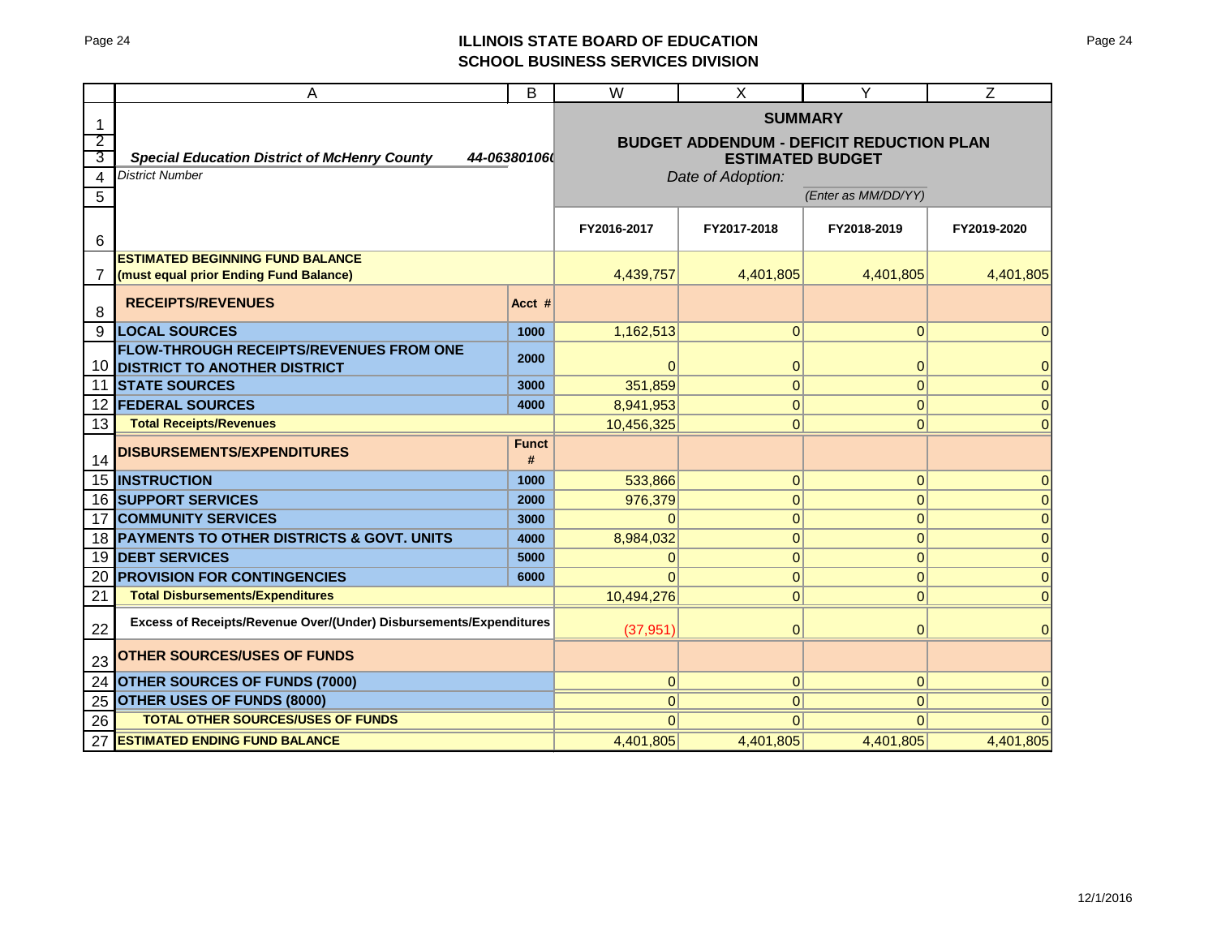## Page 24 **ILLINOIS STATE BOARD OF EDUCATION SCHOOL BUSINESS SERVICES DIVISION**

|    | Α                                                                                     | B                   | $\overline{\mathsf{W}}$                         | X                 | Υ              | $\overline{Z}$ |  |
|----|---------------------------------------------------------------------------------------|---------------------|-------------------------------------------------|-------------------|----------------|----------------|--|
|    |                                                                                       | <b>SUMMARY</b>      |                                                 |                   |                |                |  |
| 2  |                                                                                       |                     | <b>BUDGET ADDENDUM - DEFICIT REDUCTION PLAN</b> |                   |                |                |  |
| 3  | <b>Special Education District of McHenry County</b>                                   | 44-06380106         | <b>ESTIMATED BUDGET</b>                         |                   |                |                |  |
| 4  | <b>District Number</b>                                                                |                     |                                                 | Date of Adoption: |                |                |  |
| 5  |                                                                                       | (Enter as MM/DD/YY) |                                                 |                   |                |                |  |
|    |                                                                                       |                     |                                                 |                   |                |                |  |
| 6  |                                                                                       |                     | FY2016-2017                                     | FY2017-2018       | FY2018-2019    | FY2019-2020    |  |
|    | <b>ESTIMATED BEGINNING FUND BALANCE</b>                                               |                     |                                                 |                   |                |                |  |
| 7  | (must equal prior Ending Fund Balance)                                                |                     | 4,439,757                                       | 4.401.805         | 4,401,805      | 4,401,805      |  |
| 8  | <b>RECEIPTS/REVENUES</b>                                                              | Acct #              |                                                 |                   |                |                |  |
| 9  | <b>LOCAL SOURCES</b>                                                                  | 1000                | 1,162,513                                       | $\overline{0}$    | $\overline{0}$ | 0              |  |
| 10 | <b>FLOW-THROUGH RECEIPTS/REVENUES FROM ONE</b><br><b>DISTRICT TO ANOTHER DISTRICT</b> | 2000                | $\Omega$                                        | 0                 | 0              | 0              |  |
| 11 | <b>STATE SOURCES</b>                                                                  | 3000                | 351,859                                         | $\overline{0}$    | $\overline{0}$ | $\mathbf{0}$   |  |
| 12 | <b>FEDERAL SOURCES</b>                                                                | 4000                | 8,941,953                                       | $\overline{0}$    | 0              | $\Omega$       |  |
| 13 | <b>Total Receipts/Revenues</b>                                                        |                     | 10,456,325                                      | $\overline{0}$    | 0              | $\Omega$       |  |
|    |                                                                                       | <b>Funct</b>        |                                                 |                   |                |                |  |
| 14 | <b>DISBURSEMENTS/EXPENDITURES</b>                                                     | #                   |                                                 |                   |                |                |  |
| 15 | <b>INSTRUCTION</b>                                                                    | 1000                | 533.866                                         | $\overline{0}$    | $\overline{0}$ | $\Omega$       |  |
| 16 | <b>SUPPORT SERVICES</b>                                                               | 2000                | 976,379                                         | $\overline{0}$    | $\overline{0}$ | $\Omega$       |  |
| 17 | <b>COMMUNITY SERVICES</b>                                                             | 3000                | $\Omega$                                        | 0                 | $\overline{0}$ | $\Omega$       |  |
| 18 | <b>PAYMENTS TO OTHER DISTRICTS &amp; GOVT. UNITS</b>                                  | 4000                | 8,984,032                                       | $\overline{0}$    | $\overline{0}$ | $\Omega$       |  |
| 19 | <b>DEBT SERVICES</b>                                                                  | 5000                | 0                                               | $\overline{0}$    | 0              | $\Omega$       |  |
| 20 | <b>PROVISION FOR CONTINGENCIES</b>                                                    | 6000                | $\Omega$                                        | $\overline{0}$    | 0              | $\Omega$       |  |
| 21 | <b>Total Disbursements/Expenditures</b>                                               | 10,494,276          | $\Omega$                                        | $\overline{0}$    | $\Omega$       |                |  |
| 22 | Excess of Receipts/Revenue Over/(Under) Disbursements/Expenditures                    |                     | (37, 951)                                       | $\Omega$          | $\overline{0}$ | $\Omega$       |  |
| 23 | <b>OTHER SOURCES/USES OF FUNDS</b>                                                    |                     |                                                 |                   |                |                |  |
| 24 | <b>OTHER SOURCES OF FUNDS (7000)</b>                                                  |                     | $\overline{0}$                                  | 0                 | 0              | $\Omega$       |  |
| 25 | <b>OTHER USES OF FUNDS (8000)</b>                                                     |                     | $\overline{0}$                                  | 0                 | 0              | 0              |  |
| 26 | <b>TOTAL OTHER SOURCES/USES OF FUNDS</b>                                              |                     | $\Omega$                                        | $\Omega$          | $\Omega$       |                |  |
| 27 | <b>ESTIMATED ENDING FUND BALANCE</b>                                                  |                     | 4,401,805                                       | 4,401,805         | 4,401,805      | 4,401,805      |  |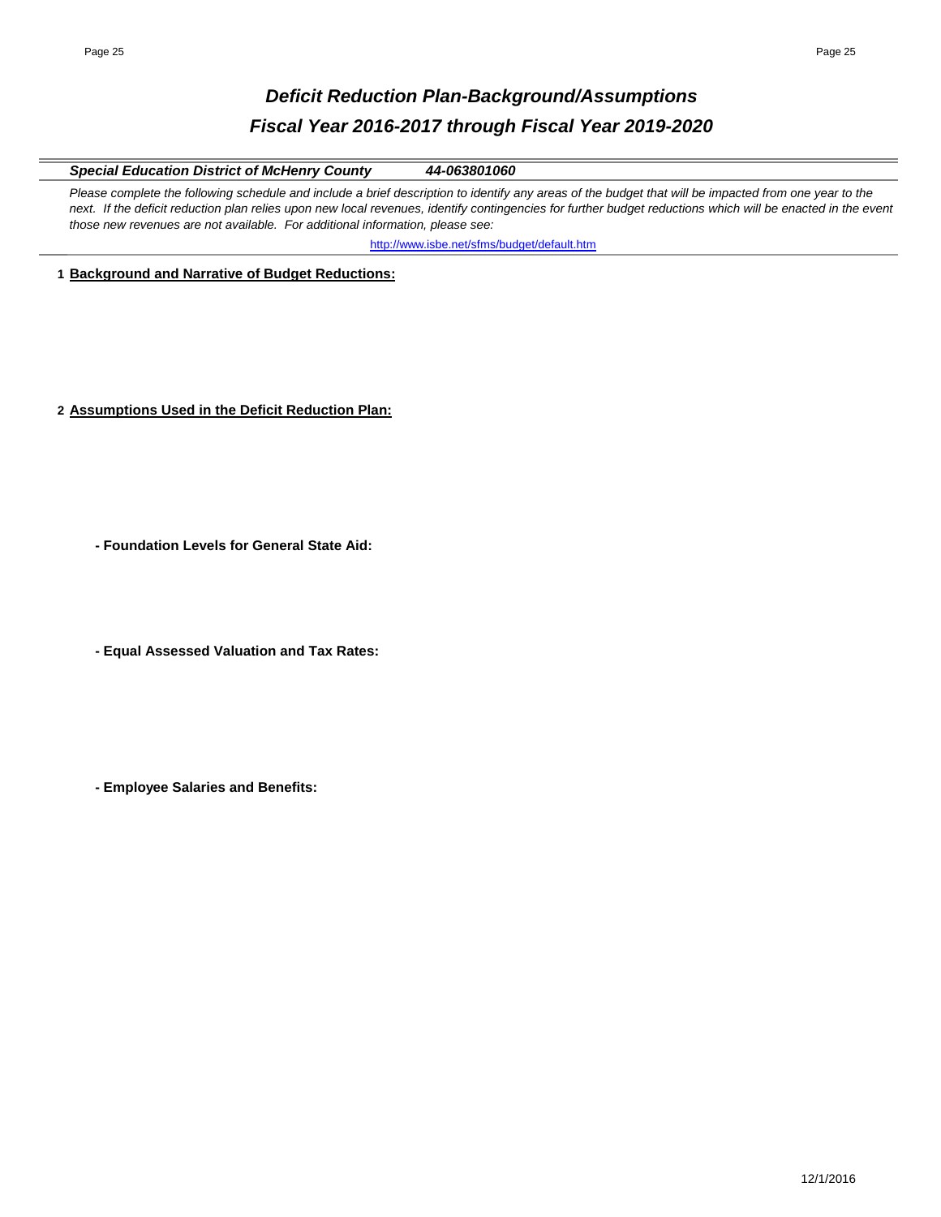# *Deficit Reduction Plan-Background/Assumptions Fiscal Year 2016-2017 through Fiscal Year 2019-2020*

### *Special Education District of McHenry County 44-063801060*

Please complete the following schedule and include a brief description to identify any areas of the budget that will be impacted from one year to the next. If the deficit reduction plan relies upon new local revenues, identify contingencies for further budget reductions which will be enacted in the event *those new revenues are not available. For additional information, please see:* 

http://www.isbe.net/sfms/budget/default.htm

### **1 Background and Narrative of Budget Reductions:**

- **2 Assumptions Used in the Deficit Reduction Plan:**
	- **Foundation Levels for General State Aid:**
	- **Equal Assessed Valuation and Tax Rates:**
	- **Employee Salaries and Benefits:**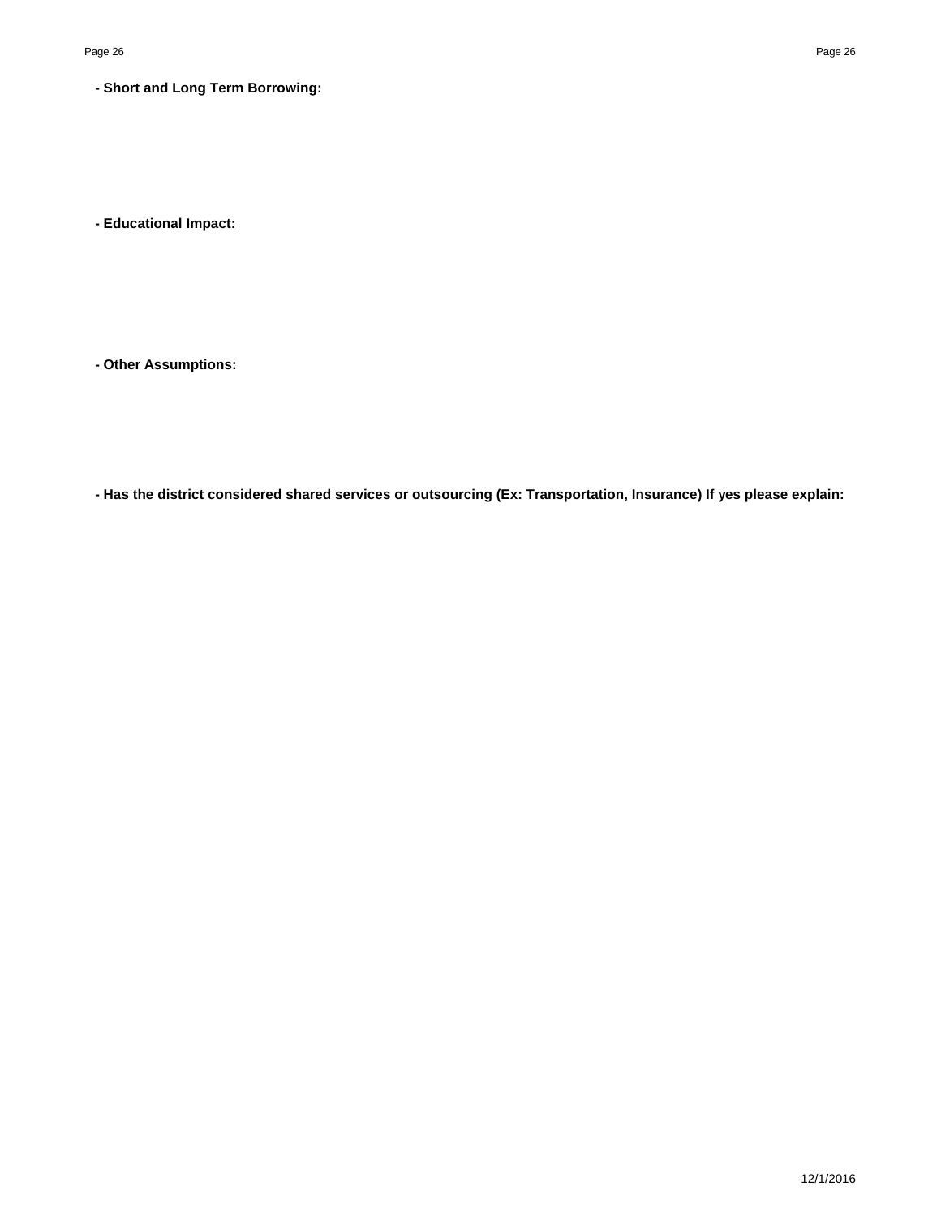**- Short and Long Term Borrowing:**

**- Educational Impact:**

**- Other Assumptions:**

**- Has the district considered shared services or outsourcing (Ex: Transportation, Insurance) If yes please explain:**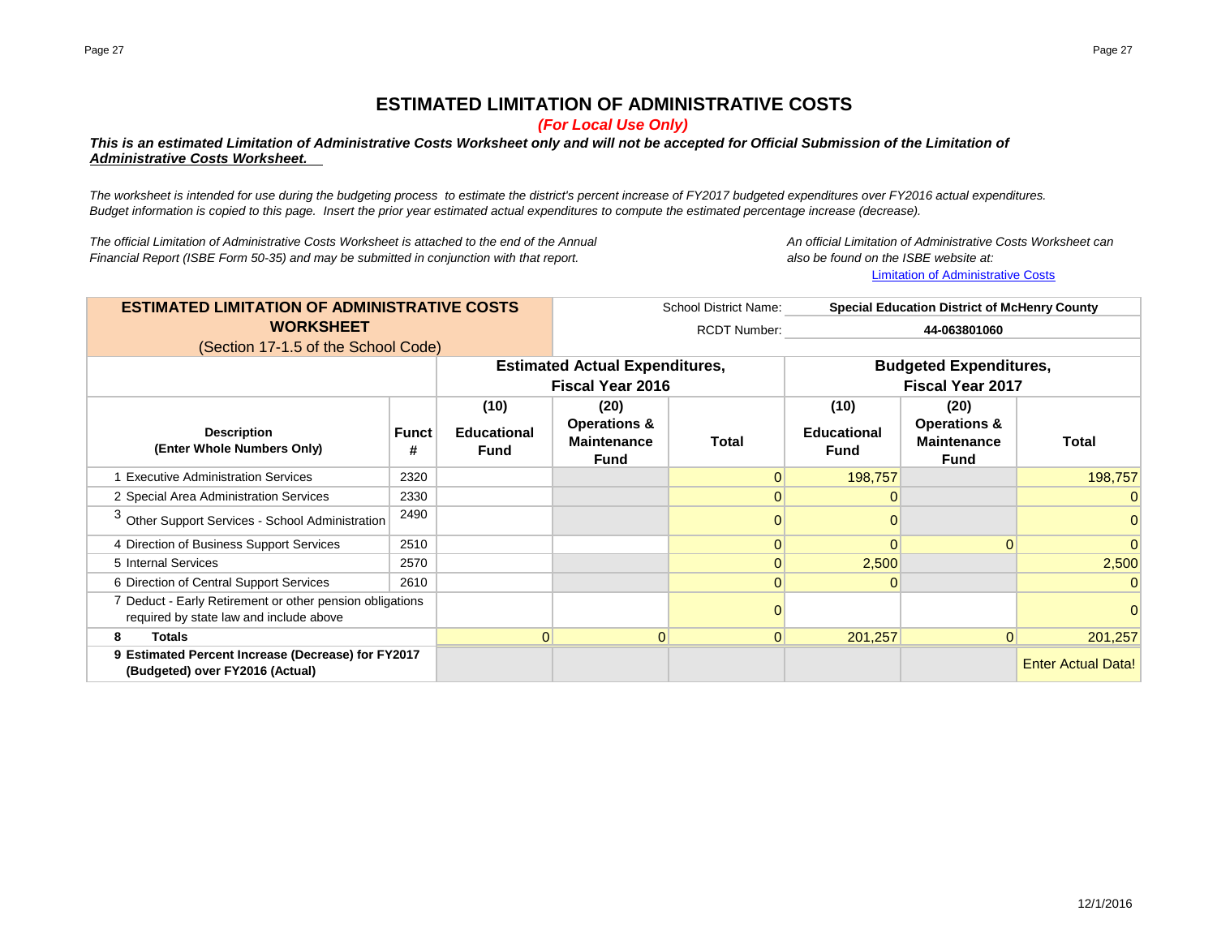# **ESTIMATED LIMITATION OF ADMINISTRATIVE COSTS**

*(For Local Use Only)*

### *This is an estimated Limitation of Administrative Costs Worksheet only and will not be accepted for Official Submission of the Limitation of Administrative Costs Worksheet.*

*The worksheet is intended for use during the budgeting process to estimate the district's percent increase of FY2017 budgeted expenditures over FY2016 actual expenditures. Budget information is copied to this page. Insert the prior year estimated actual expenditures to compute the estimated percentage increase (decrease).*

*The official Limitation of Administrative Costs Worksheet is attached to the end of the Annual An official Limitation of Administrative Costs Worksheet can Financial Report (ISBE Form 50-35) and may be submitted in conjunction with that report. also be found on the ISBE website at:*

Limitation of Administrative Costs

School District Name: RCDT Number: **(10) (20) (10) (20) Funct # Educational Fund Operations & Maintenance Fund Total Educational Fund Operations & Maintenance Fund Total** 1 Executive Administration Services 2320 2320 2320 2320 2320 2330 234 234 2357 236.757 236.757 236.757 239.757 2 Special Area Administration Services 2330 0 0 0 <sup>3</sup> Other Support Services - School Administration <sup>2490</sup> <sup>0</sup> <sup>0</sup> <sup>0</sup> 4 Direction of Business Support Services 2510 0 0 0 0 5 Internal Services 2570 | 0 <mark> 2,500</mark> <mark>2,500</mark> 6 Direction of Central Support Services 2610 0 0 0 7 Deduct - Early Retirement or other pension obligations 0 0 **8 Totals** 0 0 0 201,257 0 201,257 **9** Estimated Percent Increase (Decrease) for FY2017 **Actual Data Percent Inc. Actual Data Percent Increase (Decrease) for FY2017 ESTIMATED LIMITATION OF ADMINISTRATIVE COSTS WORKSHEET Special Education District of McHenry County 44-063801060** (Section 17-1.5 of the School Code) **(Budgeted) over FY2016 (Actual)** required by state law and include above **Estimated Actual Expenditures, Fiscal Year 2016 Budgeted Expenditures, Fiscal Year 2017 Description (Enter Whole Numbers Only)**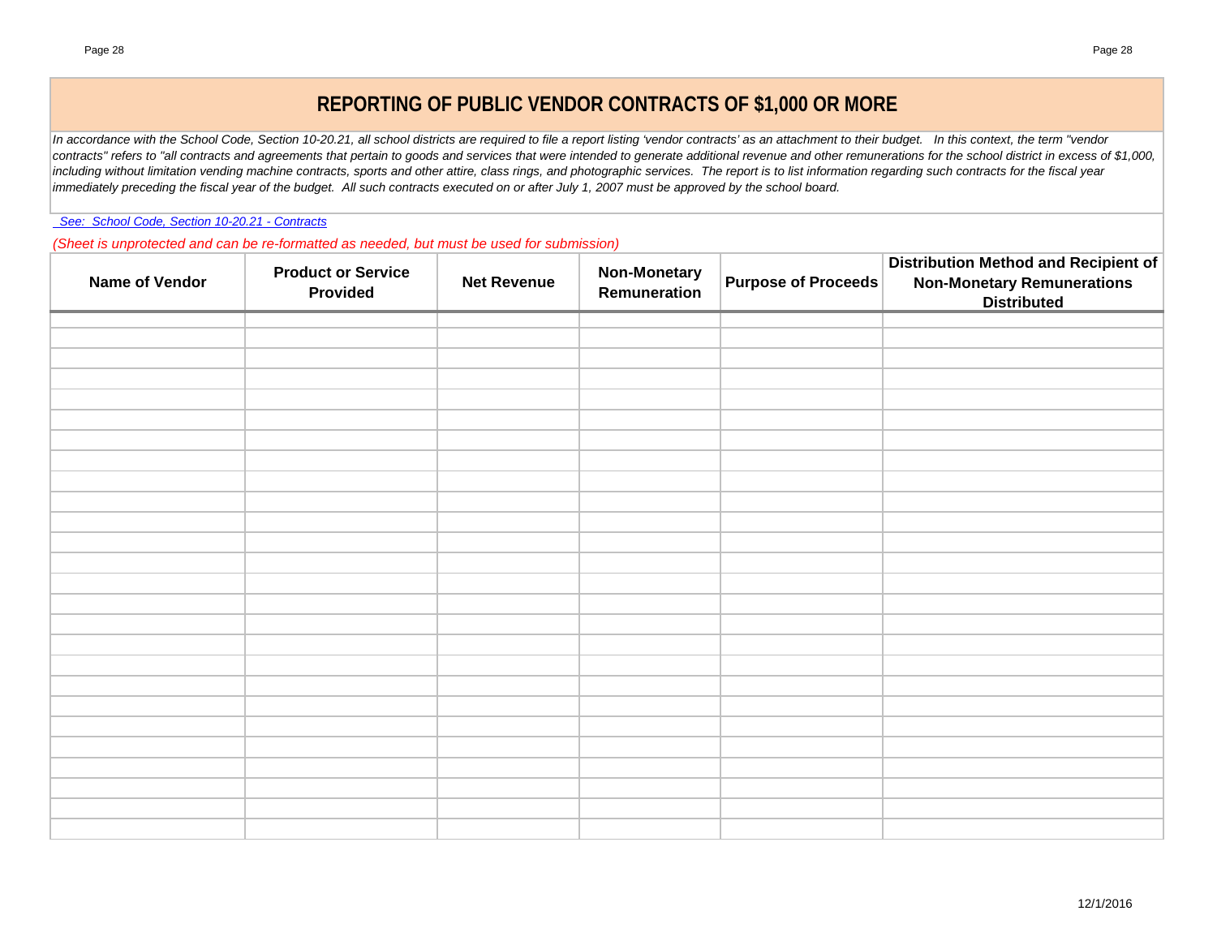# **REPORTING OF PUBLIC VENDOR CONTRACTS OF \$1,000 OR MORE**

*In accordance with the School Code, Section 10-20.21, all school districts are required to file a report listing 'vendor contracts' as an attachment to their budget. In this context, the term "vendor*  contracts" refers to "all contracts and agreements that pertain to goods and services that were intended to generate additional revenue and other remunerations for the school district in excess of \$1,000, including without limitation vending machine contracts, sports and other attire, class rings, and photographic services. The report is to list information regarding such contracts for the fiscal year *immediately preceding the fiscal year of the budget. All such contracts executed on or after July 1, 2007 must be approved by the school board.*

 *See: School Code, Section 10-20.21 - Contracts*

*(Sheet is unprotected and can be re-formatted as needed, but must be used for submission)*

| Name of Vendor | <b>Product or Service</b><br>Provided | <b>Net Revenue</b> | <b>Non-Monetary</b><br>Remuneration | <b>Purpose of Proceeds</b> | <b>Distribution Method and Recipient of</b><br><b>Non-Monetary Remunerations</b><br><b>Distributed</b> |
|----------------|---------------------------------------|--------------------|-------------------------------------|----------------------------|--------------------------------------------------------------------------------------------------------|
|                |                                       |                    |                                     |                            |                                                                                                        |
|                |                                       |                    |                                     |                            |                                                                                                        |
|                |                                       |                    |                                     |                            |                                                                                                        |
|                |                                       |                    |                                     |                            |                                                                                                        |
|                |                                       |                    |                                     |                            |                                                                                                        |
|                |                                       |                    |                                     |                            |                                                                                                        |
|                |                                       |                    |                                     |                            |                                                                                                        |
|                |                                       |                    |                                     |                            |                                                                                                        |
|                |                                       |                    |                                     |                            |                                                                                                        |
|                |                                       |                    |                                     |                            |                                                                                                        |
|                |                                       |                    |                                     |                            |                                                                                                        |
|                |                                       |                    |                                     |                            |                                                                                                        |
|                |                                       |                    |                                     |                            |                                                                                                        |
|                |                                       |                    |                                     |                            |                                                                                                        |
|                |                                       |                    |                                     |                            |                                                                                                        |
|                |                                       |                    |                                     |                            |                                                                                                        |
|                |                                       |                    |                                     |                            |                                                                                                        |
|                |                                       |                    |                                     |                            |                                                                                                        |
|                |                                       |                    |                                     |                            |                                                                                                        |
|                |                                       |                    |                                     |                            |                                                                                                        |
|                |                                       |                    |                                     |                            |                                                                                                        |
|                |                                       |                    |                                     |                            |                                                                                                        |
|                |                                       |                    |                                     |                            |                                                                                                        |
|                |                                       |                    |                                     |                            |                                                                                                        |
|                |                                       |                    |                                     |                            |                                                                                                        |
|                |                                       |                    |                                     |                            |                                                                                                        |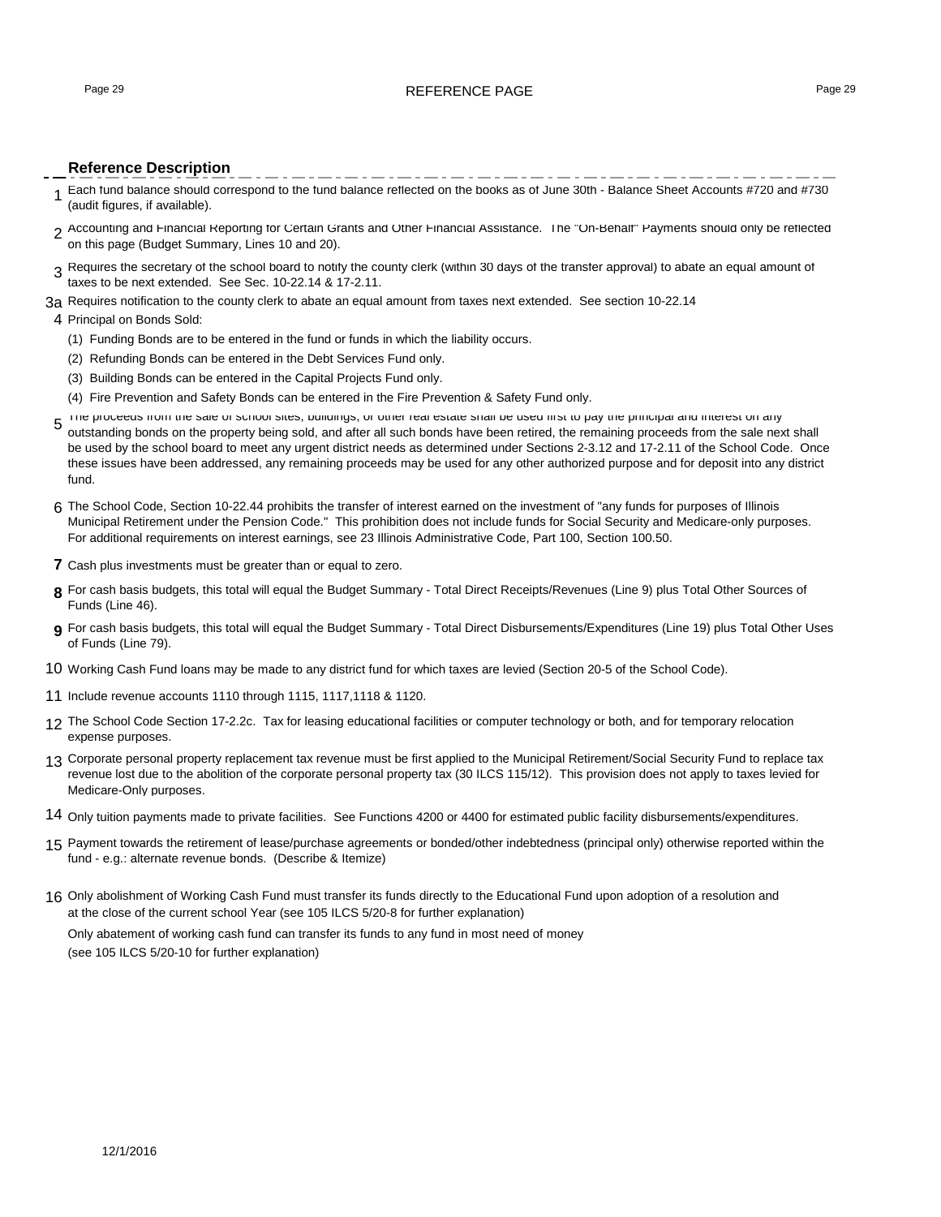### Page 29 **REFERENCE PAGE 29** REFERENCE PAGE 29

### **Reference Description**

- \_\_\_\_\_\_\_\_\_\_\_\_\_\_\_\_\_\_\_\_ 1 Each fund balance should correspond to the fund balance reflected on the books as of June 30th - Balance Sheet Accounts #720 and #730 (audit figures, if available).
- 2 Accounting and Financial Reporting for Certain Grants and Other Financial Assistance. The "On-Behalf" Payments should only be reflected on this page (Budget Summary, Lines 10 and 20).
- 3 Requires the secretary of the school board to notify the county clerk (within 30 days of the transfer approval) to abate an equal amount of taxes to be next extended. See Sec. 10-22.14 & 17-2.11.
- 3a Requires notification to the county clerk to abate an equal amount from taxes next extended. See section 10-22.14

### 4 Principal on Bonds Sold:

- (1) Funding Bonds are to be entered in the fund or funds in which the liability occurs.
- (2) Refunding Bonds can be entered in the Debt Services Fund only.
- (3) Building Bonds can be entered in the Capital Projects Fund only.
- (4) Fire Prevention and Safety Bonds can be entered in the Fire Prevention & Safety Fund only.
- 5 The proceeds from the sale of school sites, buildings, or other real estate shall be used first to pay the principal and interest on any outstanding bonds on the property being sold, and after all such bonds have been retired, the remaining proceeds from the sale next shall be used by the school board to meet any urgent district needs as determined under Sections 2-3.12 and 17-2.11 of the School Code. Once these issues have been addressed, any remaining proceeds may be used for any other authorized purpose and for deposit into any district fund.
- 6 The School Code, Section 10-22.44 prohibits the transfer of interest earned on the investment of "any funds for purposes of Illinois Municipal Retirement under the Pension Code." This prohibition does not include funds for Social Security and Medicare-only purposes. For additional requirements on interest earnings, see 23 Illinois Administrative Code, Part 100, Section 100.50.
- **7** Cash plus investments must be greater than or equal to zero.
- **8** For cash basis budgets, this total will equal the Budget Summary Total Direct Receipts/Revenues (Line 9) plus Total Other Sources of Funds (Line 46).
- **9** For cash basis budgets, this total will equal the Budget Summary Total Direct Disbursements/Expenditures (Line 19) plus Total Other Uses of Funds (Line 79).
- 10 Working Cash Fund loans may be made to any district fund for which taxes are levied (Section 20-5 of the School Code).
- 11 Include revenue accounts 1110 through 1115, 1117,1118 & 1120.
- 12 The School Code Section 17-2.2c. Tax for leasing educational facilities or computer technology or both, and for temporary relocation expense purposes.
- 13 Corporate personal property replacement tax revenue must be first applied to the Municipal Retirement/Social Security Fund to replace tax revenue lost due to the abolition of the corporate personal property tax (30 ILCS 115/12). This provision does not apply to taxes levied for Medicare-Only purposes.
- 14 Only tuition payments made to private facilities. See Functions 4200 or 4400 for estimated public facility disbursements/expenditures.
- 15 Payment towards the retirement of lease/purchase agreements or bonded/other indebtedness (principal only) otherwise reported within the fund - e.g.: alternate revenue bonds. (Describe & Itemize)
- 16 Only abolishment of Working Cash Fund must transfer its funds directly to the Educational Fund upon adoption of a resolution and at the close of the current school Year (see 105 ILCS 5/20-8 for further explanation) Only abatement of working cash fund can transfer its funds to any fund in most need of money (see 105 ILCS 5/20-10 for further explanation)